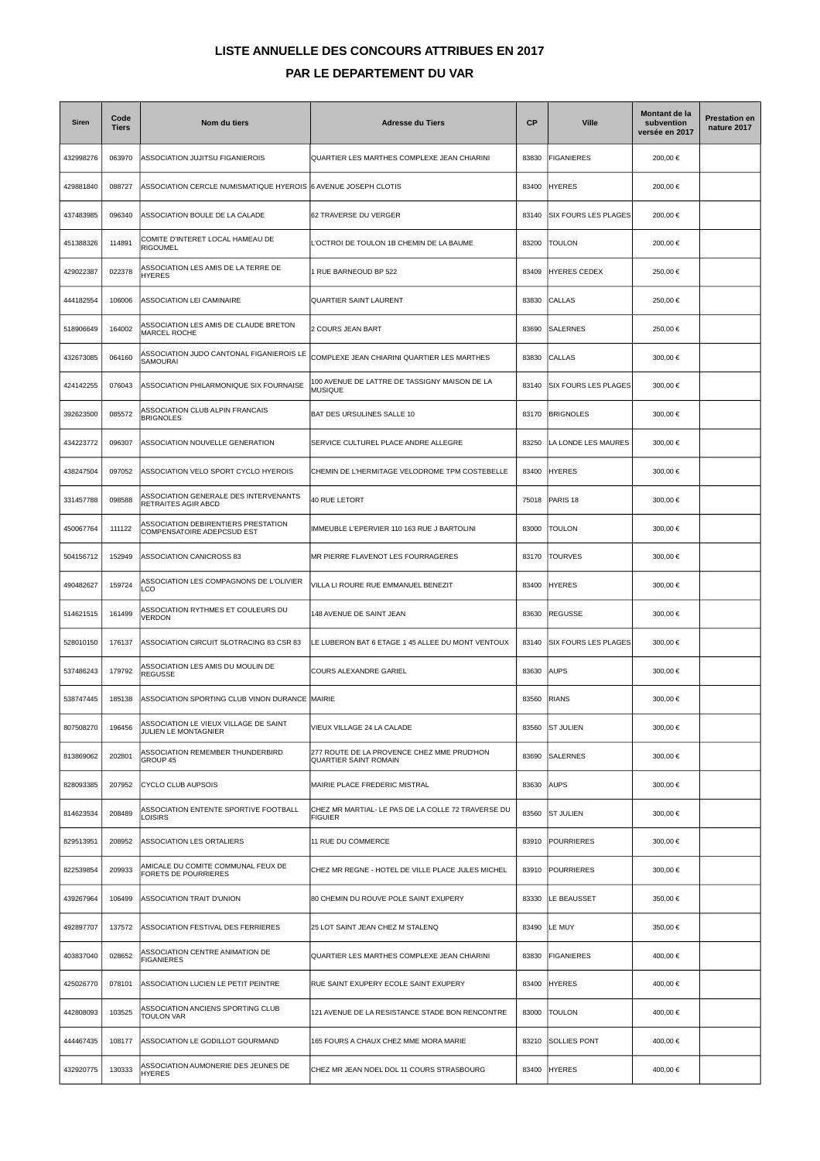## **LISTE ANNUELLE DES CONCOURS ATTRIBUES EN 2017 PAR LE DEPARTEMENT DU VAR**

| <b>Siren</b> | Code<br><b>Tiers</b> | Nom du tiers                                                      | <b>Adresse du Tiers</b>                                              | <b>CP</b> | <b>Ville</b>                | Montant de la<br>subvention<br>versée en 2017 | <b>Prestation en</b><br>nature 2017 |
|--------------|----------------------|-------------------------------------------------------------------|----------------------------------------------------------------------|-----------|-----------------------------|-----------------------------------------------|-------------------------------------|
| 432998276    | 063970               | ASSOCIATION JUJITSU FIGANIEROIS                                   | QUARTIER LES MARTHES COMPLEXE JEAN CHIARINI                          | 83830     | <b>FIGANIERES</b>           | 200,00 €                                      |                                     |
| 429881840    | 088727               | ASSOCIATION CERCLE NUMISMATIQUE HYEROIS 6 AVENUE JOSEPH CLOTIS    |                                                                      | 83400     | <b>HYERES</b>               | 200,00 €                                      |                                     |
| 437483985    | 096340               | ASSOCIATION BOULE DE LA CALADE                                    | 62 TRAVERSE DU VERGER                                                | 83140     | SIX FOURS LES PLAGES        | 200,00 €                                      |                                     |
| 451388326    | 114891               | COMITE D'INTERET LOCAL HAMEAU DE<br><b>RIGOUMEL</b>               | OCTROI DE TOULON 1B CHEMIN DE LA BAUME                               | 83200     | <b>TOULON</b>               | 200,00 €                                      |                                     |
| 429022387    | 022378               | ASSOCIATION LES AMIS DE LA TERRE DE<br><b>HYERES</b>              | I RUE BARNEOUD BP 522                                                | 83409     | HYERES CEDEX                | 250,00 €                                      |                                     |
| 444182554    | 106006               | ASSOCIATION LEI CAMINAIRE                                         | QUARTIER SAINT LAURENT                                               | 83830     | <b>CALLAS</b>               | 250,00 €                                      |                                     |
| 518906649    | 164002               | ASSOCIATION LES AMIS DE CLAUDE BRETON<br><b>MARCEL ROCHE</b>      | 2 COURS JEAN BART                                                    | 83690     | <b>SALERNES</b>             | 250,00 €                                      |                                     |
| 432673085    | 064160               | ASSOCIATION JUDO CANTONAL FIGANIEROIS LE<br>SAMOURAI              | COMPLEXE JEAN CHIARINI QUARTIER LES MARTHES                          | 83830     | <b>CALLAS</b>               | 300,00 €                                      |                                     |
| 424142255    | 076043               | ASSOCIATION PHILARMONIQUE SIX FOURNAISE                           | 100 AVENUE DE LATTRE DE TASSIGNY MAISON DE LA<br><b>MUSIQUE</b>      | 83140     | SIX FOURS LES PLAGES        | 300,00 €                                      |                                     |
| 392623500    | 085572               | ASSOCIATION CLUB ALPIN FRANCAIS<br><b>BRIGNOLES</b>               | BAT DES URSULINES SALLE 10                                           | 83170     | <b>BRIGNOLES</b>            | 300,00 €                                      |                                     |
| 434223772    | 096307               | ASSOCIATION NOUVELLE GENERATION                                   | SERVICE CULTUREL PLACE ANDRE ALLEGRE                                 | 83250     | LA LONDE LES MAURES         | 300,00 €                                      |                                     |
| 438247504    | 097052               | ASSOCIATION VELO SPORT CYCLO HYEROIS                              | CHEMIN DE L'HERMITAGE VELODROME TPM COSTEBELLE                       | 83400     | <b>HYERES</b>               | 300,00 €                                      |                                     |
| 331457788    | 098588               | ASSOCIATION GENERALE DES INTERVENANTS<br>RETRAITES AGIR ABCD      | 40 RUE LETORT                                                        | 75018     | PARIS <sub>18</sub>         | 300,00 €                                      |                                     |
| 450067764    | 111122               | ASSOCIATION DEBIRENTIERS PRESTATION<br>COMPENSATOIRE ADEPCSUD EST | MMEUBLE L'EPERVIER 110 163 RUE J BARTOLINI                           | 83000     | <b>TOULON</b>               | 300,00 €                                      |                                     |
| 504156712    | 152949               | ASSOCIATION CANICROSS 83                                          | MR PIERRE FLAVENOT LES FOURRAGERES                                   | 83170     | <b>TOURVES</b>              | 300,00 €                                      |                                     |
| 490482627    | 159724               | ASSOCIATION LES COMPAGNONS DE L'OLIVIER<br>LCO                    | VILLA LI ROURE RUE EMMANUEL BENEZIT                                  | 83400     | <b>HYERES</b>               | 300,00 €                                      |                                     |
| 514621515    | 161499               | ASSOCIATION RYTHMES ET COULEURS DU<br>VERDON                      | 48 AVENUE DE SAINT JEAN                                              | 83630     | <b>REGUSSE</b>              | 300,00 €                                      |                                     |
| 528010150    | 176137               | ASSOCIATION CIRCUIT SLOTRACING 83 CSR 83                          | LE LUBERON BAT 6 ETAGE 1 45 ALLEE DU MONT VENTOUX                    | 83140     | <b>SIX FOURS LES PLAGES</b> | 300,00 €                                      |                                     |
| 537486243    | 179792               | ASSOCIATION LES AMIS DU MOULIN DE<br><b>REGUSSE</b>               | COURS ALEXANDRE GARIEL                                               | 83630     | <b>AUPS</b>                 | 300,00 €                                      |                                     |
| 538747445    | 185138               | ASSOCIATION SPORTING CLUB VINON DURANCE MAIRIE                    |                                                                      | 83560     | <b>RIANS</b>                | 300,00 €                                      |                                     |
| 807508270    | 196456               | ASSOCIATION LE VIEUX VILLAGE DE SAINT<br>JULIEN LE MONTAGNIER     | VIEUX VILLAGE 24 LA CALADE                                           | 83560     | <b>ST JULIEN</b>            | 300,00 €                                      |                                     |
| 813869062    | 202801               | ASSOCIATION REMEMBER THUNDERBIRD<br>GROUP 45                      | 277 ROUTE DE LA PROVENCE CHEZ MME PRUD'HON<br>QUARTIER SAINT ROMAIN  | 83690     | <b>SALERNES</b>             | 300,00 €                                      |                                     |
| 828093385    | 207952               | CYCLO CLUB AUPSOIS                                                | MAIRIE PLACE FREDERIC MISTRAL                                        | 83630     | AUPS                        | 300,00 €                                      |                                     |
| 814623534    | 208489               | ASSOCIATION ENTENTE SPORTIVE FOOTBALL<br><b>LOISIRS</b>           | CHEZ MR MARTIAL- LE PAS DE LA COLLE 72 TRAVERSE DU<br><b>FIGUIER</b> | 83560     | <b>ST JULIEN</b>            | 300,00 €                                      |                                     |
| 829513951    | 208952               | ASSOCIATION LES ORTALIERS                                         | 11 RUE DU COMMERCE                                                   | 83910     | <b>POURRIERES</b>           | 300,00 €                                      |                                     |
| 822539854    | 209933               | AMICALE DU COMITE COMMUNAL FEUX DE<br><b>FORETS DE POURRIERES</b> | CHEZ MR REGNE - HOTEL DE VILLE PLACE JULES MICHEL                    | 83910     | <b>POURRIERES</b>           | 300,00 €                                      |                                     |
| 439267964    | 106499               | ASSOCIATION TRAIT D'UNION                                         | 80 CHEMIN DU ROUVE POLE SAINT EXUPERY                                | 83330     | LE BEAUSSET                 | 350,00 €                                      |                                     |
| 492897707    | 137572               | ASSOCIATION FESTIVAL DES FERRIERES                                | 25 LOT SAINT JEAN CHEZ M STALENQ                                     | 83490     | LE MUY                      | 350,00 €                                      |                                     |
| 403837040    | 028652               | ASSOCIATION CENTRE ANIMATION DE<br><b>FIGANIERES</b>              | QUARTIER LES MARTHES COMPLEXE JEAN CHIARINI                          | 83830     | <b>FIGANIERES</b>           | 400,00 €                                      |                                     |
| 425026770    | 078101               | ASSOCIATION LUCIEN LE PETIT PEINTRE                               | RUE SAINT EXUPERY ECOLE SAINT EXUPERY                                | 83400     | <b>HYERES</b>               | 400,00 €                                      |                                     |
| 442808093    | 103525               | ASSOCIATION ANCIENS SPORTING CLUB<br><b>TOULON VAR</b>            | 121 AVENUE DE LA RESISTANCE STADE BON RENCONTRE                      | 83000     | <b>TOULON</b>               | 400,00 €                                      |                                     |
| 444467435    | 108177               | ASSOCIATION LE GODILLOT GOURMAND                                  | 165 FOURS A CHAUX CHEZ MME MORA MARIE                                | 83210     | <b>SOLLIES PONT</b>         | 400,00 €                                      |                                     |
| 432920775    | 130333               | ASSOCIATION AUMONERIE DES JEUNES DE<br>HYERES                     | CHEZ MR JEAN NOEL DOL 11 COURS STRASBOURG                            | 83400     | <b>HYERES</b>               | 400,00 €                                      |                                     |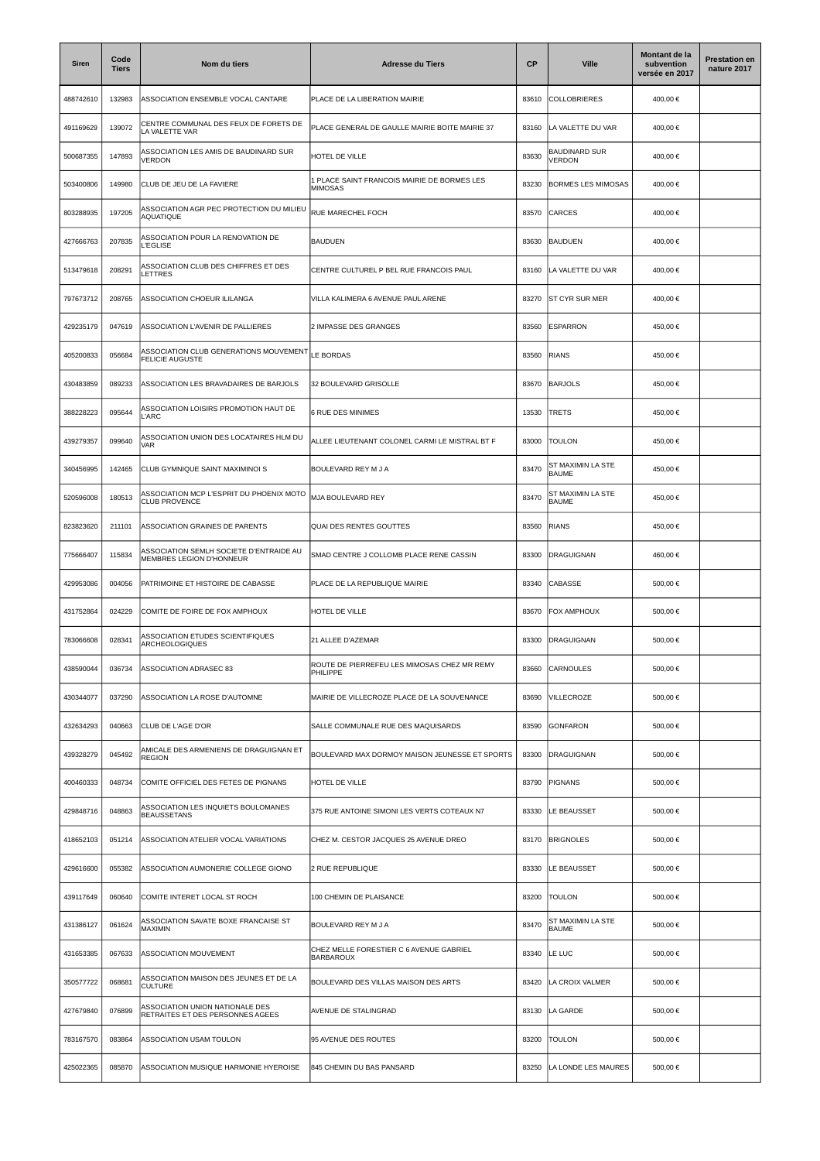| <b>Siren</b> | Code<br><b>Tiers</b> | Nom du tiers                                                        | <b>Adresse du Tiers</b>                                       | <b>CP</b> | <b>Ville</b>                          | Montant de la<br>subvention<br>versée en 2017 | <b>Prestation en</b><br>nature 2017 |
|--------------|----------------------|---------------------------------------------------------------------|---------------------------------------------------------------|-----------|---------------------------------------|-----------------------------------------------|-------------------------------------|
| 488742610    | 132983               | ASSOCIATION ENSEMBLE VOCAL CANTARE                                  | PLACE DE LA LIBERATION MAIRIE                                 | 83610     | COLLOBRIERES                          | 400,00 €                                      |                                     |
| 491169629    | 139072               | CENTRE COMMUNAL DES FEUX DE FORETS DE<br>LA VALETTE VAR             | PLACE GENERAL DE GAULLE MAIRIE BOITE MAIRIE 37                | 83160     | LA VALETTE DU VAR                     | 400,00 €                                      |                                     |
| 500687355    | 147893               | ASSOCIATION LES AMIS DE BAUDINARD SUR<br><b>VERDON</b>              | HOTEL DE VILLE                                                | 83630     | <b>BAUDINARD SUR</b><br><b>VERDON</b> | 400,00 €                                      |                                     |
| 503400806    | 149980               | CLUB DE JEU DE LA FAVIERE                                           | I PLACE SAINT FRANCOIS MAIRIE DE BORMES LES<br><b>MIMOSAS</b> | 83230     | <b>BORMES LES MIMOSAS</b>             | 400,00 €                                      |                                     |
| 803288935    | 197205               | ASSOCIATION AGR PEC PROTECTION DU MILIEU<br><b>AQUATIQUE</b>        | RUE MARECHEL FOCH                                             | 83570     | CARCES                                | 400,00 €                                      |                                     |
| 427666763    | 207835               | ASSOCIATION POUR LA RENOVATION DE<br><b>L'EGLISE</b>                | <b>BAUDUEN</b>                                                | 83630     | <b>BAUDUEN</b>                        | 400,00 €                                      |                                     |
| 513479618    | 208291               | ASSOCIATION CLUB DES CHIFFRES ET DES<br>LETTRES                     | CENTRE CULTUREL P BEL RUE FRANCOIS PAUL                       | 83160     | LA VALETTE DU VAR                     | 400,00 €                                      |                                     |
| 797673712    | 208765               | ASSOCIATION CHOEUR ILILANGA                                         | VILLA KALIMERA 6 AVENUE PAUL ARENE                            | 83270     | <b>ST CYR SUR MER</b>                 | 400,00 €                                      |                                     |
| 429235179    | 047619               | ASSOCIATION L'AVENIR DE PALLIERES                                   | 2 IMPASSE DES GRANGES                                         | 83560     | <b>ESPARRON</b>                       | 450.00 €                                      |                                     |
| 405200833    | 056684               | ASSOCIATION CLUB GENERATIONS MOUVEMENT<br><b>FELICIE AUGUSTE</b>    | LE BORDAS                                                     | 83560     | <b>RIANS</b>                          | 450,00 €                                      |                                     |
| 430483859    | 089233               | ASSOCIATION LES BRAVADAIRES DE BARJOLS                              | 32 BOULEVARD GRISOLLE                                         | 83670     | <b>BARJOLS</b>                        | 450,00 €                                      |                                     |
| 388228223    | 095644               | ASSOCIATION LOISIRS PROMOTION HAUT DE<br>L'ARC                      | <b>6 RUE DES MINIMES</b>                                      | 13530     | TRETS                                 | 450,00 €                                      |                                     |
| 439279357    | 099640               | ASSOCIATION UNION DES LOCATAIRES HLM DU<br>VAR                      | ALLEE LIEUTENANT COLONEL CARMI LE MISTRAL BT F                | 83000     | <b>TOULON</b>                         | 450.00 €                                      |                                     |
| 340456995    | 142465               | CLUB GYMNIQUE SAINT MAXIMINOI S                                     | BOULEVARD REY M J A                                           | 83470     | ST MAXIMIN LA STE<br><b>BAUME</b>     | 450,00 €                                      |                                     |
| 520596008    | 180513               | ASSOCIATION MCP L'ESPRIT DU PHOENIX MOTO<br><b>CLUB PROVENCE</b>    | MJA BOULEVARD REY                                             | 83470     | ST MAXIMIN LA STE<br><b>BAUME</b>     | 450,00 €                                      |                                     |
| 823823620    | 211101               | ASSOCIATION GRAINES DE PARENTS                                      | <b>QUAI DES RENTES GOUTTES</b>                                | 83560     | <b>RIANS</b>                          | 450,00 €                                      |                                     |
| 775666407    | 115834               | ASSOCIATION SEMLH SOCIETE D'ENTRAIDE AU<br>MEMBRES LEGION D'HONNEUR | SMAD CENTRE J COLLOMB PLACE RENE CASSIN                       | 83300     | <b>DRAGUIGNAN</b>                     | 460,00 €                                      |                                     |
| 429953086    | 004056               | PATRIMOINE ET HISTOIRE DE CABASSE                                   | PLACE DE LA REPUBLIQUE MAIRIE                                 | 83340     | <b>CABASSE</b>                        | 500,00 €                                      |                                     |
| 431752864    | 024229               | COMITE DE FOIRE DE FOX AMPHOUX                                      | HOTEL DE VILLE                                                | 83670     | FOX AMPHOUX                           | 500,00 €                                      |                                     |
| 783066608    | 028341               | ASSOCIATION ETUDES SCIENTIFIQUES<br>ARCHEOLOGIQUES                  | 21 ALLEE D'AZEMAR                                             | 83300     | DRAGUIGNAN                            | 500,00 €                                      |                                     |
| 438590044    | 036734               | ASSOCIATION ADRASEC 83                                              | ROUTE DE PIERREFEU LES MIMOSAS CHEZ MR REMY<br>PHILIPPE       | 83660     | <b>CARNOULES</b>                      | 500,00 €                                      |                                     |
| 430344077    | 037290               | ASSOCIATION LA ROSE D'AUTOMNE                                       | MAIRIE DE VILLECROZE PLACE DE LA SOUVENANCE                   | 83690     | VILLECROZE                            | 500.00€                                       |                                     |
| 432634293    | 040663               | CLUB DE L'AGE D'OR                                                  | SALLE COMMUNALE RUE DES MAQUISARDS                            | 83590     | <b>GONFARON</b>                       | 500,00 €                                      |                                     |
| 439328279    | 045492               | AMICALE DES ARMENIENS DE DRAGUIGNAN ET<br><b>REGION</b>             | BOULEVARD MAX DORMOY MAISON JEUNESSE ET SPORTS                | 83300     | <b>DRAGUIGNAN</b>                     | 500,00 €                                      |                                     |
| 400460333    | 048734               | COMITE OFFICIEL DES FETES DE PIGNANS                                | HOTEL DE VILLE                                                | 83790     | <b>PIGNANS</b>                        | 500,00 €                                      |                                     |
| 429848716    | 048863               | ASSOCIATION LES INQUIETS BOULOMANES<br><b>BEAUSSETANS</b>           | 375 RUE ANTOINE SIMONI LES VERTS COTEAUX N7                   | 83330     | LE BEAUSSET                           | 500,00 €                                      |                                     |
| 418652103    | 051214               | ASSOCIATION ATELIER VOCAL VARIATIONS                                | CHEZ M. CESTOR JACQUES 25 AVENUE DREO                         | 83170     | <b>BRIGNOLES</b>                      | 500.00€                                       |                                     |
| 429616600    | 055382               | ASSOCIATION AUMONERIE COLLEGE GIONO                                 | 2 RUE REPUBLIQUE                                              | 83330     | LE BEAUSSET                           | 500,00 €                                      |                                     |
| 439117649    | 060640               | COMITE INTERET LOCAL ST ROCH                                        | 100 CHEMIN DE PLAISANCE                                       | 83200     | <b>TOULON</b>                         | 500,00 €                                      |                                     |
| 431386127    | 061624               | ASSOCIATION SAVATE BOXE FRANCAISE ST<br>MAXIMIN                     | BOULEVARD REY M J A                                           | 83470     | ST MAXIMIN LA STE<br><b>BAUME</b>     | 500,00 €                                      |                                     |
| 431653385    | 067633               | ASSOCIATION MOUVEMENT                                               | CHEZ MELLE FORESTIER C 6 AVENUE GABRIEL<br><b>BARBAROUX</b>   | 83340     | LE LUC                                | 500,00 €                                      |                                     |
| 350577722    | 068681               | ASSOCIATION MAISON DES JEUNES ET DE LA<br><b>CULTURE</b>            | BOULEVARD DES VILLAS MAISON DES ARTS                          | 83420     | LA CROIX VALMER                       | 500,00 €                                      |                                     |
| 427679840    | 076899               | ASSOCIATION UNION NATIONALE DES<br>RETRAITES ET DES PERSONNES AGEES | AVENUE DE STALINGRAD                                          | 83130     | LA GARDE                              | 500,00 €                                      |                                     |
| 783167570    | 083864               | ASSOCIATION USAM TOULON                                             | 95 AVENUE DES ROUTES                                          | 83200     | <b>TOULON</b>                         | 500,00 €                                      |                                     |
| 425022365    | 085870               | ASSOCIATION MUSIQUE HARMONIE HYEROISE                               | 845 CHEMIN DU BAS PANSARD                                     | 83250     | LA LONDE LES MAURES                   | 500,00 €                                      |                                     |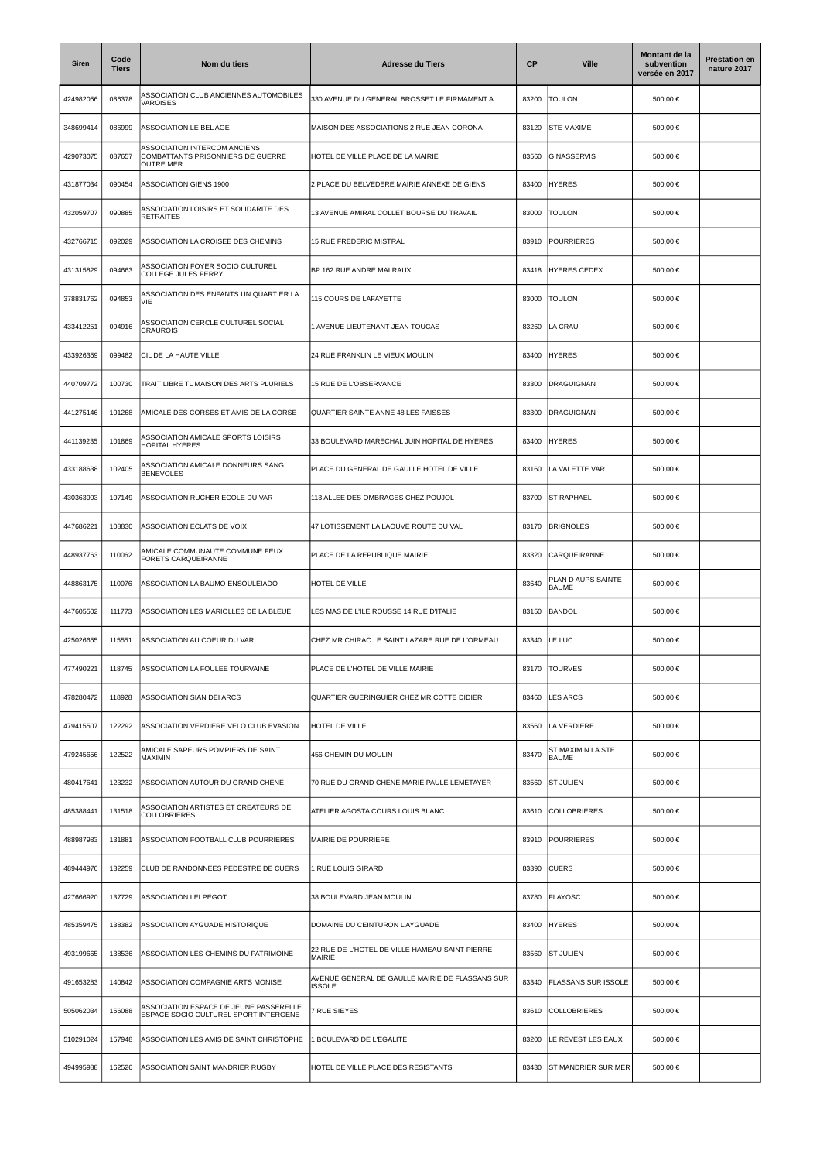| <b>Siren</b> | Code<br><b>Tiers</b> | Nom du tiers                                                                          | <b>Adresse du Tiers</b>                                          | <b>CP</b> | <b>Ville</b>                       | Montant de la<br>subvention<br>versée en 2017 | <b>Prestation en</b><br>nature 2017 |
|--------------|----------------------|---------------------------------------------------------------------------------------|------------------------------------------------------------------|-----------|------------------------------------|-----------------------------------------------|-------------------------------------|
| 424982056    | 086378               | ASSOCIATION CLUB ANCIENNES AUTOMOBILES<br>VAROISES                                    | 330 AVENUE DU GENERAL BROSSET LE FIRMAMENT A                     | 83200     | TOULON                             | 500,00 €                                      |                                     |
| 348699414    | 086999               | ASSOCIATION LE BEL AGE                                                                | MAISON DES ASSOCIATIONS 2 RUE JEAN CORONA                        | 83120     | <b>STE MAXIME</b>                  | 500,00 €                                      |                                     |
| 429073075    | 087657               | ASSOCIATION INTERCOM ANCIENS<br>COMBATTANTS PRISONNIERS DE GUERRE<br><b>OUTRE MER</b> | HOTEL DE VILLE PLACE DE LA MAIRIE                                | 83560     | GINASSERVIS                        | 500,00 €                                      |                                     |
| 431877034    | 090454               | <b>ASSOCIATION GIENS 1900</b>                                                         | 2 PLACE DU BELVEDERE MAIRIE ANNEXE DE GIENS                      | 83400     | <b>HYERES</b>                      | 500.00 €                                      |                                     |
| 432059707    | 090885               | ASSOCIATION LOISIRS ET SOLIDARITE DES<br><b>RETRAITES</b>                             | 13 AVENUE AMIRAL COLLET BOURSE DU TRAVAIL                        | 83000     | <b>TOULON</b>                      | 500,00 €                                      |                                     |
| 432766715    | 092029               | ASSOCIATION LA CROISEE DES CHEMINS                                                    | 15 RUE FREDERIC MISTRAL                                          | 83910     | POURRIERES                         | 500,00 €                                      |                                     |
| 431315829    | 094663               | ASSOCIATION FOYER SOCIO CULTUREL<br>COLLEGE JULES FERRY                               | BP 162 RUE ANDRE MALRAUX                                         | 83418     | <b>HYERES CEDEX</b>                | 500,00 €                                      |                                     |
| 378831762    | 094853               | ASSOCIATION DES ENFANTS UN QUARTIER LA<br>VIE                                         | 115 COURS DE LAFAYETTE                                           | 83000     | <b>TOULON</b>                      | 500,00 €                                      |                                     |
| 433412251    | 094916               | ASSOCIATION CERCLE CULTUREL SOCIAL<br><b>CRAUROIS</b>                                 | 1 AVENUE LIEUTENANT JEAN TOUCAS                                  | 83260     | LA CRAU                            | 500.00 €                                      |                                     |
| 433926359    | 099482               | CIL DE LA HAUTE VILLE                                                                 | 24 RUE FRANKLIN LE VIEUX MOULIN                                  | 83400     | <b>HYERES</b>                      | 500,00 €                                      |                                     |
| 440709772    | 100730               | TRAIT LIBRE TL MAISON DES ARTS PLURIELS                                               | 15 RUE DE L'OBSERVANCE                                           | 83300     | DRAGUIGNAN                         | 500,00 €                                      |                                     |
| 441275146    | 101268               | AMICALE DES CORSES ET AMIS DE LA CORSE                                                | QUARTIER SAINTE ANNE 48 LES FAISSES                              | 83300     | <b>DRAGUIGNAN</b>                  | 500,00 €                                      |                                     |
| 441139235    | 101869               | ASSOCIATION AMICALE SPORTS LOISIRS<br>HOPITAL HYERES                                  | 33 BOULEVARD MARECHAL JUIN HOPITAL DE HYERES                     | 83400     | <b>HYERES</b>                      | 500,00 €                                      |                                     |
| 433188638    | 102405               | ASSOCIATION AMICALE DONNEURS SANG<br><b>BENEVOLES</b>                                 | PLACE DU GENERAL DE GAULLE HOTEL DE VILLE                        | 83160     | LA VALETTE VAR                     | 500,00 €                                      |                                     |
| 430363903    | 107149               | ASSOCIATION RUCHER ECOLE DU VAR                                                       | 113 ALLEE DES OMBRAGES CHEZ POUJOL                               | 83700     | <b>ST RAPHAEL</b>                  | 500,00 €                                      |                                     |
| 447686221    | 108830               | ASSOCIATION ECLATS DE VOIX                                                            | 47 LOTISSEMENT LA LAOUVE ROUTE DU VAL                            | 83170     | <b>BRIGNOLES</b>                   | 500,00 €                                      |                                     |
| 448937763    | 110062               | AMICALE COMMUNAUTE COMMUNE FEUX<br>FORETS CARQUEIRANNE                                | PLACE DE LA REPUBLIQUE MAIRIE                                    | 83320     | CARQUEIRANNE                       | 500,00 €                                      |                                     |
| 448863175    | 110076               | ASSOCIATION LA BAUMO ENSOULEIADO                                                      | HOTEL DE VILLE                                                   | 83640     | PLAN D AUPS SAINTE<br><b>BAUME</b> | 500,00 €                                      |                                     |
| 447605502    | 111773               | ASSOCIATION LES MARIOLLES DE LA BLEUE                                                 | LES MAS DE L'ILE ROUSSE 14 RUE D'ITALIE                          | 83150     | BANDOL                             | 500,00 €                                      |                                     |
| 425026655    | 115551               | ASSOCIATION AU COEUR DU VAR                                                           | CHEZ MR CHIRAC LE SAINT LAZARE RUE DE L'ORMEAU                   | 83340     | LE LUC                             | 500,00 €                                      |                                     |
| 477490221    | 118745               | ASSOCIATION LA FOULEE TOURVAINE                                                       | PLACE DE L'HOTEL DE VILLE MAIRIE                                 | 83170     | <b>TOURVES</b>                     | 500,00 €                                      |                                     |
| 478280472    | 118928               | ASSOCIATION SIAN DEI ARCS                                                             | QUARTIER GUERINGUIER CHEZ MR COTTE DIDIER                        | 83460     | <b>LES ARCS</b>                    | 500.00 €                                      |                                     |
| 479415507    | 122292               | ASSOCIATION VERDIERE VELO CLUB EVASION                                                | HOTEL DE VILLE                                                   | 83560     | LA VERDIERE                        | 500,00 €                                      |                                     |
| 479245656    | 122522               | AMICALE SAPEURS POMPIERS DE SAINT<br>MAXIMIN                                          | 456 CHEMIN DU MOULIN                                             | 83470     | ST MAXIMIN LA STE<br><b>BAUME</b>  | 500,00 €                                      |                                     |
| 480417641    | 123232               | ASSOCIATION AUTOUR DU GRAND CHENE                                                     | 70 RUE DU GRAND CHENE MARIE PAULE LEMETAYER                      | 83560     | <b>ST JULIEN</b>                   | 500,00 €                                      |                                     |
| 485388441    | 131518               | ASSOCIATION ARTISTES ET CREATEURS DE<br><b>COLLOBRIERES</b>                           | ATELIER AGOSTA COURS LOUIS BLANC                                 | 83610     | <b>COLLOBRIERES</b>                | 500,00 €                                      |                                     |
| 488987983    | 131881               | ASSOCIATION FOOTBALL CLUB POURRIERES                                                  | MAIRIE DE POURRIERE                                              | 83910     | <b>POURRIERES</b>                  | 500,00 €                                      |                                     |
| 489444976    | 132259               | CLUB DE RANDONNEES PEDESTRE DE CUERS                                                  | 1 RUE LOUIS GIRARD                                               | 83390     | <b>CUERS</b>                       | 500,00 €                                      |                                     |
| 427666920    | 137729               | ASSOCIATION LEI PEGOT                                                                 | 38 BOULEVARD JEAN MOULIN                                         | 83780     | FLAYOSC                            | 500,00 €                                      |                                     |
| 485359475    | 138382               | ASSOCIATION AYGUADE HISTORIQUE                                                        | DOMAINE DU CEINTURON L'AYGUADE                                   | 83400     | <b>HYERES</b>                      | 500,00 €                                      |                                     |
| 493199665    | 138536               | ASSOCIATION LES CHEMINS DU PATRIMOINE                                                 | 22 RUE DE L'HOTEL DE VILLE HAMEAU SAINT PIERRE<br>MAIRIE         | 83560     | <b>ST JULIEN</b>                   | 500,00 €                                      |                                     |
| 491653283    | 140842               | ASSOCIATION COMPAGNIE ARTS MONISE                                                     | AVENUE GENERAL DE GAULLE MAIRIE DE FLASSANS SUR<br><b>ISSOLE</b> | 83340     | <b>FLASSANS SUR ISSOLE</b>         | 500,00 €                                      |                                     |
| 505062034    | 156088               | ASSOCIATION ESPACE DE JEUNE PASSERELLE<br>ESPACE SOCIO CULTUREL SPORT INTERGENE       | 7 RUE SIEYES                                                     | 83610     | <b>COLLOBRIERES</b>                | 500,00 €                                      |                                     |
| 510291024    | 157948               | ASSOCIATION LES AMIS DE SAINT CHRISTOPHE                                              | 1 BOULEVARD DE L'EGALITE                                         | 83200     | LE REVEST LES EAUX                 | 500,00 €                                      |                                     |
| 494995988    | 162526               | ASSOCIATION SAINT MANDRIER RUGBY                                                      | HOTEL DE VILLE PLACE DES RESISTANTS                              | 83430     | <b>ST MANDRIER SUR MER</b>         | 500,00 €                                      |                                     |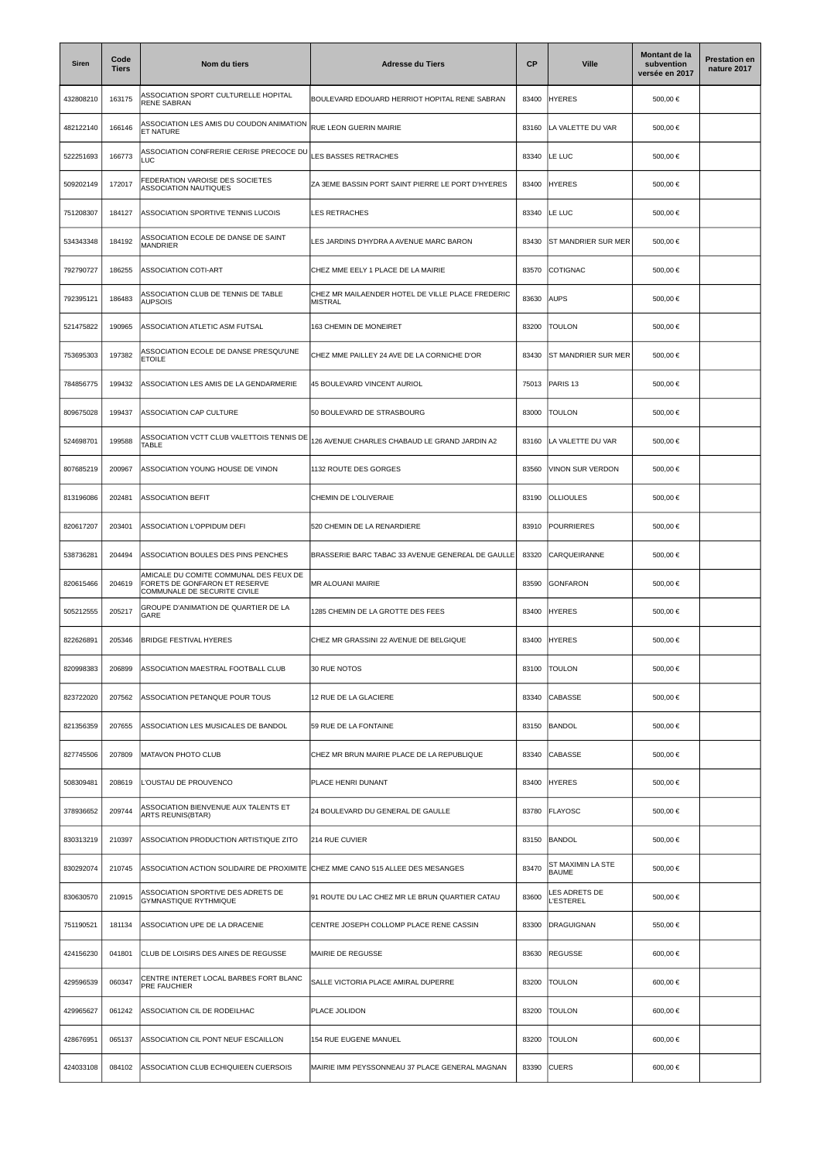| Siren     | Code<br><b>Tiers</b> | Nom du tiers                                                                                            | <b>Adresse du Tiers</b>                                            | <b>CP</b> | <b>Ville</b>                      | Montant de la<br>subvention<br>versée en 2017 | <b>Prestation en</b><br>nature 2017 |
|-----------|----------------------|---------------------------------------------------------------------------------------------------------|--------------------------------------------------------------------|-----------|-----------------------------------|-----------------------------------------------|-------------------------------------|
| 432808210 | 163175               | ASSOCIATION SPORT CULTURELLE HOPITAL<br><b>RENE SABRAN</b>                                              | BOULEVARD EDOUARD HERRIOT HOPITAL RENE SABRAN                      | 83400     | <b>HYERES</b>                     | 500,00 €                                      |                                     |
| 482122140 | 166146               | ASSOCIATION LES AMIS DU COUDON ANIMATION<br>ET NATURE                                                   | RUE LEON GUERIN MAIRIE                                             | 83160     | LA VALETTE DU VAR                 | 500,00 €                                      |                                     |
| 522251693 | 166773               | ASSOCIATION CONFRERIE CERISE PRECOCE DU<br>LUC                                                          | LES BASSES RETRACHES                                               | 83340     | LE LUC                            | 500,00 €                                      |                                     |
| 509202149 | 172017               | EDERATION VAROISE DES SOCIETES<br>ASSOCIATION NAUTIQUES                                                 | ZA 3EME BASSIN PORT SAINT PIERRE LE PORT D'HYERES                  | 83400     | <b>HYERES</b>                     | 500,00 €                                      |                                     |
| 751208307 | 184127               | ASSOCIATION SPORTIVE TENNIS LUCOIS                                                                      | LES RETRACHES                                                      | 83340     | LE LUC                            | 500,00 €                                      |                                     |
| 534343348 | 184192               | ASSOCIATION ECOLE DE DANSE DE SAINT<br><b>MANDRIER</b>                                                  | LES JARDINS D'HYDRA A AVENUE MARC BARON                            | 83430     | <b>ST MANDRIER SUR MER</b>        | 500,00 €                                      |                                     |
| 792790727 | 186255               | ASSOCIATION COTI-ART                                                                                    | CHEZ MME EELY 1 PLACE DE LA MAIRIE                                 | 83570     | COTIGNAC                          | 500,00 €                                      |                                     |
| 792395121 | 186483               | ASSOCIATION CLUB DE TENNIS DE TABLE<br><b>AUPSOIS</b>                                                   | CHEZ MR MAILAENDER HOTEL DE VILLE PLACE FREDERIC<br><b>MISTRAL</b> | 83630     | <b>AUPS</b>                       | 500,00 €                                      |                                     |
| 521475822 | 190965               | ASSOCIATION ATLETIC ASM FUTSAL                                                                          | 163 CHEMIN DE MONEIRET                                             | 83200     | <b>TOULON</b>                     | 500,00 €                                      |                                     |
| 753695303 | 197382               | ASSOCIATION ECOLE DE DANSE PRESQU'UNE<br><b>ETOILE</b>                                                  | CHEZ MME PAILLEY 24 AVE DE LA CORNICHE D'OR                        | 83430     | ST MANDRIER SUR MER               | 500,00 €                                      |                                     |
| 784856775 | 199432               | ASSOCIATION LES AMIS DE LA GENDARMERIE                                                                  | 45 BOULEVARD VINCENT AURIOL                                        | 75013     | PARIS <sub>13</sub>               | 500,00 €                                      |                                     |
| 809675028 | 199437               | ASSOCIATION CAP CULTURE                                                                                 | 50 BOULEVARD DE STRASBOURG                                         | 83000     | <b>TOULON</b>                     | 500,00 €                                      |                                     |
| 524698701 | 199588               | ASSOCIATION VCTT CLUB VALETTOIS TENNIS DE<br>TABLE                                                      | 126 AVENUE CHARLES CHABAUD LE GRAND JARDIN A2                      | 83160     | LA VALETTE DU VAR                 | 500,00 €                                      |                                     |
| 807685219 | 200967               | ASSOCIATION YOUNG HOUSE DE VINON                                                                        | 1132 ROUTE DES GORGES                                              | 83560     | VINON SUR VERDON                  | 500,00 €                                      |                                     |
| 813196086 | 202481               | <b>ASSOCIATION BEFIT</b>                                                                                | CHEMIN DE L'OLIVERAIE                                              | 83190     | <b>OLLIOULES</b>                  | 500,00 €                                      |                                     |
| 820617207 | 203401               | ASSOCIATION L'OPPIDUM DEFI                                                                              | 520 CHEMIN DE LA RENARDIERE                                        | 83910     | <b>POURRIERES</b>                 | 500,00 €                                      |                                     |
| 538736281 | 204494               | ASSOCIATION BOULES DES PINS PENCHES                                                                     | BRASSERIE BARC TABAC 33 AVENUE GENER£AL DE GAULLE                  | 83320     | CARQUEIRANNE                      | 500,00 €                                      |                                     |
| 820615466 | 204619               | AMICALE DU COMITE COMMUNAL DES FEUX DE<br>FORETS DE GONFARON ET RESERVE<br>COMMUNALE DE SECURITE CIVILE | MR ALOUANI MAIRIE                                                  | 83590     | <b>GONFARON</b>                   | 500,00 €                                      |                                     |
| 505212555 | 205217               | GROUPE D'ANIMATION DE QUARTIER DE LA<br>GARE                                                            | 1285 CHEMIN DE LA GROTTE DES FEES                                  | 83400     | <b>HYERES</b>                     | 500,00 €                                      |                                     |
| 822626891 | 205346               | <b>BRIDGE FESTIVAL HYERES</b>                                                                           | CHEZ MR GRASSINI 22 AVENUE DE BELGIQUE                             | 83400     | <b>HYERES</b>                     | 500,00 €                                      |                                     |
| 820998383 | 206899               | ASSOCIATION MAESTRAL FOOTBALL CLUB                                                                      | 30 RUE NOTOS                                                       | 83100     | <b>TOULON</b>                     | 500,00 €                                      |                                     |
| 823722020 | 207562               | ASSOCIATION PETANQUE POUR TOUS                                                                          | 12 RUE DE LA GLACIERE                                              | 83340     | CABASSE                           | 500,00 €                                      |                                     |
| 821356359 | 207655               | ASSOCIATION LES MUSICALES DE BANDOL                                                                     | 59 RUE DE LA FONTAINE                                              | 83150     | BANDOL                            | 500,00 €                                      |                                     |
| 827745506 | 207809               | MATAVON PHOTO CLUB                                                                                      | CHEZ MR BRUN MAIRIE PLACE DE LA REPUBLIQUE                         | 83340     | <b>CABASSE</b>                    | 500,00 €                                      |                                     |
| 508309481 | 208619               | L'OUSTAU DE PROUVENCO                                                                                   | PLACE HENRI DUNANT                                                 | 83400     | <b>HYERES</b>                     | 500.00 €                                      |                                     |
| 378936652 | 209744               | ASSOCIATION BIENVENUE AUX TALENTS ET<br>ARTS REUNIS(BTAR)                                               | 24 BOULEVARD DU GENERAL DE GAULLE                                  | 83780     | <b>FLAYOSC</b>                    | 500,00 €                                      |                                     |
| 830313219 | 210397               | ASSOCIATION PRODUCTION ARTISTIQUE ZITO                                                                  | 214 RUE CUVIER                                                     | 83150     | BANDOL                            | 500,00 €                                      |                                     |
| 830292074 | 210745               | ASSOCIATION ACTION SOLIDAIRE DE PROXIMITE                                                               | CHEZ MME CANO 515 ALLEE DES MESANGES                               | 83470     | ST MAXIMIN LA STE<br><b>BAUME</b> | 500,00 €                                      |                                     |
| 830630570 | 210915               | ASSOCIATION SPORTIVE DES ADRETS DE<br>GYMNASTIQUE RYTHMIQUE                                             | 91 ROUTE DU LAC CHEZ MR LE BRUN QUARTIER CATAU                     | 83600     | ES ADRETS DE<br><b>ESTEREL</b>    | 500,00 €                                      |                                     |
| 751190521 | 181134               | ASSOCIATION UPE DE LA DRACENIE                                                                          | CENTRE JOSEPH COLLOMP PLACE RENE CASSIN                            | 83300     | DRAGUIGNAN                        | 550,00 €                                      |                                     |
| 424156230 | 041801               | CLUB DE LOISIRS DES AINES DE REGUSSE                                                                    | MAIRIE DE REGUSSE                                                  | 83630     | REGUSSE                           | 600,00 €                                      |                                     |
| 429596539 | 060347               | CENTRE INTERET LOCAL BARBES FORT BLANC<br>PRE FAUCHIER                                                  | SALLE VICTORIA PLACE AMIRAL DUPERRE                                | 83200     | <b>TOULON</b>                     | 600,00 €                                      |                                     |
| 429965627 | 061242               | ASSOCIATION CIL DE RODEILHAC                                                                            | PLACE JOLIDON                                                      | 83200     | <b>TOULON</b>                     | 600,00 €                                      |                                     |
| 428676951 | 065137               | ASSOCIATION CIL PONT NEUF ESCAILLON                                                                     | 154 RUE EUGENE MANUEL                                              | 83200     | <b>TOULON</b>                     | 600,00 €                                      |                                     |
| 424033108 | 084102               | ASSOCIATION CLUB ECHIQUIEEN CUERSOIS                                                                    | MAIRIE IMM PEYSSONNEAU 37 PLACE GENERAL MAGNAN                     | 83390     | <b>CUERS</b>                      | 600,00 €                                      |                                     |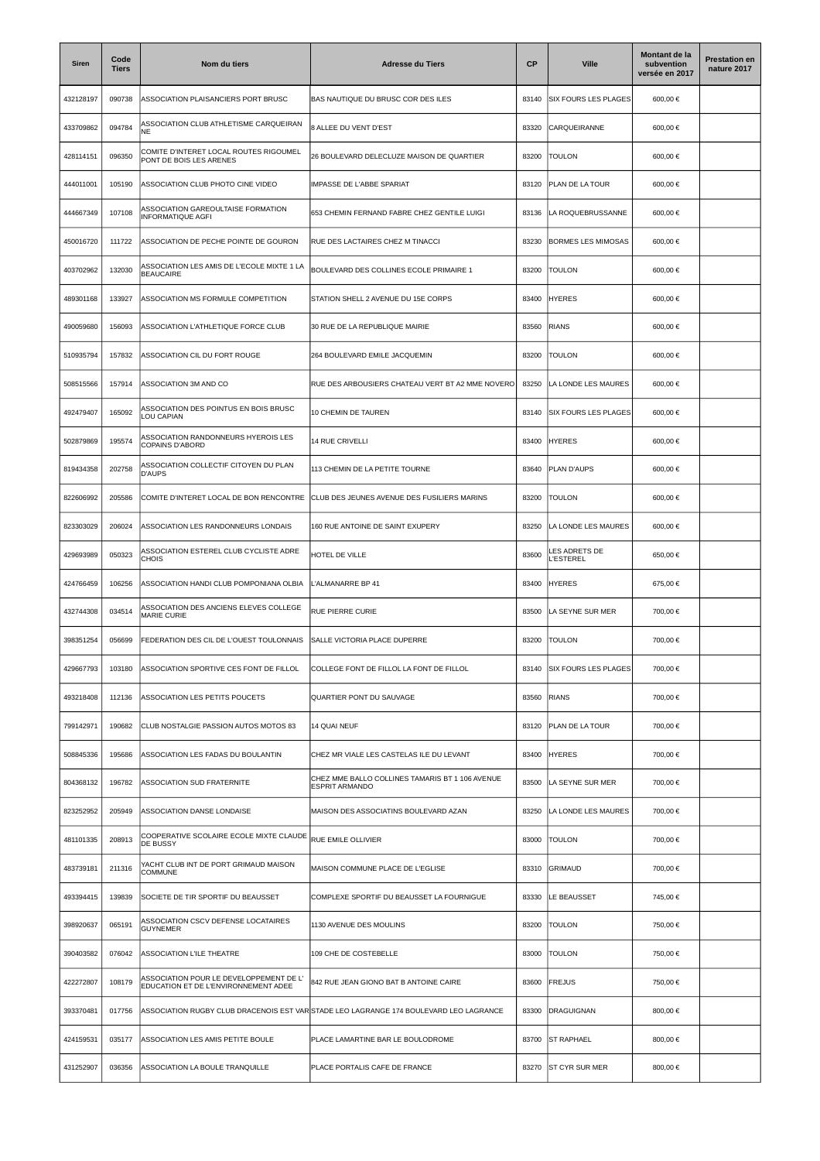| <b>Siren</b> | Code<br><b>Tiers</b> | Nom du tiers                                                                    | <b>Adresse du Tiers</b>                                                                | <b>CP</b> | <b>Ville</b>                    | Montant de la<br>subvention<br>versée en 2017 | <b>Prestation en</b><br>nature 2017 |
|--------------|----------------------|---------------------------------------------------------------------------------|----------------------------------------------------------------------------------------|-----------|---------------------------------|-----------------------------------------------|-------------------------------------|
| 432128197    | 090738               | ASSOCIATION PLAISANCIERS PORT BRUSC                                             | BAS NAUTIQUE DU BRUSC COR DES ILES                                                     | 83140     | <b>SIX FOURS LES PLAGES</b>     | 600,00 €                                      |                                     |
| 433709862    | 094784               | ASSOCIATION CLUB ATHLETISME CARQUEIRAN<br>NE                                    | 8 ALLEE DU VENT D'EST                                                                  | 83320     | CARQUEIRANNE                    | 600,00 €                                      |                                     |
| 428114151    | 096350               | COMITE D'INTERET LOCAL ROUTES RIGOUMEL<br>PONT DE BOIS LES ARENES               | 26 BOULEVARD DELECLUZE MAISON DE QUARTIER                                              | 83200     | <b>TOULON</b>                   | 600,00 €                                      |                                     |
| 444011001    | 105190               | ASSOCIATION CLUB PHOTO CINE VIDEO                                               | IMPASSE DE L'ABBE SPARIAT                                                              | 83120     | PLAN DE LA TOUR                 | 600,00 €                                      |                                     |
| 444667349    | 107108               | ASSOCIATION GAREOULTAISE FORMATION<br><b>INFORMATIQUE AGFI</b>                  | 653 CHEMIN FERNAND FABRE CHEZ GENTILE LUIGI                                            | 83136     | LA ROQUEBRUSSANNE               | 600,00 €                                      |                                     |
| 450016720    | 111722               | ASSOCIATION DE PECHE POINTE DE GOURON                                           | RUE DES LACTAIRES CHEZ M TINACCI                                                       | 83230     | <b>BORMES LES MIMOSAS</b>       | 600,00 €                                      |                                     |
| 403702962    | 132030               | ASSOCIATION LES AMIS DE L'ECOLE MIXTE 1 LA<br><b>BEAUCAIRE</b>                  | BOULEVARD DES COLLINES ECOLE PRIMAIRE 1                                                | 83200     | <b>TOULON</b>                   | 600,00 €                                      |                                     |
| 489301168    | 133927               | ASSOCIATION MS FORMULE COMPETITION                                              | STATION SHELL 2 AVENUE DU 15E CORPS                                                    | 83400     | <b>HYERES</b>                   | 600,00 €                                      |                                     |
| 490059680    | 156093               | ASSOCIATION L'ATHLETIQUE FORCE CLUB                                             | 30 RUE DE LA REPUBLIQUE MAIRIE                                                         | 83560     | <b>RIANS</b>                    | 600,00 €                                      |                                     |
| 510935794    | 157832               | ASSOCIATION CIL DU FORT ROUGE                                                   | 264 BOULEVARD EMILE JACQUEMIN                                                          | 83200     | <b>TOULON</b>                   | 600,00 €                                      |                                     |
| 508515566    | 157914               | ASSOCIATION 3M AND CO                                                           | RUE DES ARBOUSIERS CHATEAU VERT BT A2 MME NOVERO                                       | 83250     | LA LONDE LES MAURES             | 600,00 €                                      |                                     |
| 492479407    | 165092               | ASSOCIATION DES POINTUS EN BOIS BRUSC<br>LOU CAPIAN                             | 10 CHEMIN DE TAUREN                                                                    | 83140     | <b>SIX FOURS LES PLAGES</b>     | 600,00 €                                      |                                     |
| 502879869    | 195574               | ASSOCIATION RANDONNEURS HYEROIS LES<br><b>COPAINS D'ABORD</b>                   | 14 RUE CRIVELLI                                                                        | 83400     | <b>HYERES</b>                   | 600,00 €                                      |                                     |
| 819434358    | 202758               | ASSOCIATION COLLECTIF CITOYEN DU PLAN<br><b>D'AUPS</b>                          | 113 CHEMIN DE LA PETITE TOURNE                                                         | 83640     | PLAN D'AUPS                     | 600,00 €                                      |                                     |
| 822606992    | 205586               | COMITE D'INTERET LOCAL DE BON RENCONTRE                                         | CLUB DES JEUNES AVENUE DES FUSILIERS MARINS                                            | 83200     | <b>TOULON</b>                   | 600,00 €                                      |                                     |
| 823303029    | 206024               | ASSOCIATION LES RANDONNEURS LONDAIS                                             | 160 RUE ANTOINE DE SAINT EXUPERY                                                       | 83250     | LA LONDE LES MAURES             | 600,00 €                                      |                                     |
| 429693989    | 050323               | ASSOCIATION ESTEREL CLUB CYCLISTE ADRE<br><b>CHOIS</b>                          | HOTEL DE VILLE                                                                         | 83600     | LES ADRETS DE<br><b>ESTEREL</b> | 650,00 €                                      |                                     |
| 424766459    | 106256               | ASSOCIATION HANDI CLUB POMPONIANA OLBIA                                         | L'ALMANARRE BP 41                                                                      | 83400     | <b>HYERES</b>                   | 675,00 €                                      |                                     |
| 432744308    | 034514               | ASSOCIATION DES ANCIENS ELEVES COLLEGE<br><b>MARIE CURIE</b>                    | RUE PIERRE CURIE                                                                       | 83500     | LA SEYNE SUR MER                | 700,00 €                                      |                                     |
| 398351254    | 056699               | FEDERATION DES CIL DE L'OUEST TOULONNAIS                                        | SALLE VICTORIA PLACE DUPERRE                                                           | 83200     | <b>TOULON</b>                   | 700,00 €                                      |                                     |
| 429667793    | 103180               | ASSOCIATION SPORTIVE CES FONT DE FILLOL                                         | COLLEGE FONT DE FILLOL LA FONT DE FILLOL                                               | 83140     | <b>SIX FOURS LES PLAGES</b>     | 700,00 €                                      |                                     |
| 493218408    | 112136               | ASSOCIATION LES PETITS POUCETS                                                  | QUARTIER PONT DU SAUVAGE                                                               | 83560     | <b>RIANS</b>                    | 700,00 €                                      |                                     |
| 799142971    | 190682               | CLUB NOSTALGIE PASSION AUTOS MOTOS 83                                           | 14 QUAI NEUF                                                                           | 83120     | PLAN DE LA TOUR                 | 700,00 €                                      |                                     |
| 508845336    | 195686               | ASSOCIATION LES FADAS DU BOULANTIN                                              | CHEZ MR VIALE LES CASTELAS ILE DU LEVANT                                               | 83400     | <b>HYERES</b>                   | 700,00 €                                      |                                     |
| 804368132    | 196782               | <b>ASSOCIATION SUD FRATERNITE</b>                                               | CHEZ MME BALLO COLLINES TAMARIS BT 1 106 AVENUE<br><b>ESPRIT ARMANDO</b>               | 83500     | LA SEYNE SUR MER                | 700,00 €                                      |                                     |
| 823252952    | 205949               | ASSOCIATION DANSE LONDAISE                                                      | MAISON DES ASSOCIATINS BOULEVARD AZAN                                                  | 83250     | LA LONDE LES MAURES             | 700,00 €                                      |                                     |
| 481101335    | 208913               | COOPERATIVE SCOLAIRE ECOLE MIXTE CLAUDE<br>DE BUSSY                             | RUE EMILE OLLIVIER                                                                     | 83000     | <b>TOULON</b>                   | 700,00 €                                      |                                     |
| 483739181    | 211316               | YACHT CLUB INT DE PORT GRIMAUD MAISON<br><b>COMMUNE</b>                         | MAISON COMMUNE PLACE DE L'EGLISE                                                       | 83310     | <b>GRIMAUD</b>                  | 700,00 €                                      |                                     |
| 493394415    | 139839               | SOCIETE DE TIR SPORTIF DU BEAUSSET                                              | COMPLEXE SPORTIF DU BEAUSSET LA FOURNIGUE                                              | 83330     | LE BEAUSSET                     | 745,00 €                                      |                                     |
| 398920637    | 065191               | ASSOCIATION CSCV DEFENSE LOCATAIRES<br><b>GUYNEMER</b>                          | 1130 AVENUE DES MOULINS                                                                | 83200     | <b>TOULON</b>                   | 750,00 €                                      |                                     |
| 390403582    | 076042               | ASSOCIATION L'ILE THEATRE                                                       | 109 CHE DE COSTEBELLE                                                                  | 83000     | <b>TOULON</b>                   | 750,00 €                                      |                                     |
| 422272807    | 108179               | ASSOCIATION POUR LE DEVELOPPEMENT DE L'<br>EDUCATION ET DE L'ENVIRONNEMENT ADEE | 842 RUE JEAN GIONO BAT B ANTOINE CAIRE                                                 | 83600     | FREJUS                          | 750,00 €                                      |                                     |
| 393370481    | 017756               |                                                                                 | ASSOCIATION RUGBY CLUB DRACENOIS EST VAR STADE LEO LAGRANGE 174 BOULEVARD LEO LAGRANCE | 83300     | <b>DRAGUIGNAN</b>               | 800,00 €                                      |                                     |
| 424159531    | 035177               | ASSOCIATION LES AMIS PETITE BOULE                                               | PLACE LAMARTINE BAR LE BOULODROME                                                      | 83700     | <b>ST RAPHAEL</b>               | 800,00 €                                      |                                     |
| 431252907    | 036356               | ASSOCIATION LA BOULE TRANQUILLE                                                 | PLACE PORTALIS CAFE DE FRANCE                                                          | 83270     | <b>ST CYR SUR MER</b>           | 800,00 €                                      |                                     |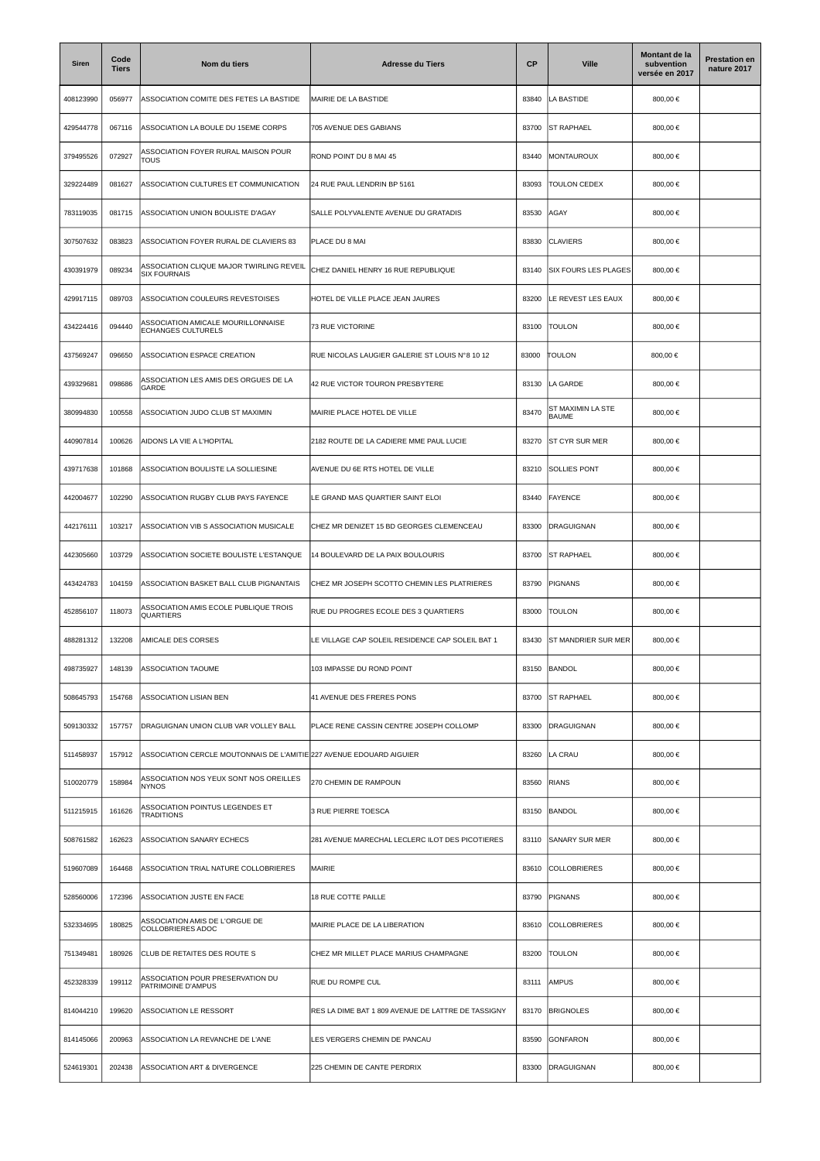| <b>Siren</b> | Code<br><b>Tiers</b> | Nom du tiers                                                         | <b>Adresse du Tiers</b>                            | <b>CP</b> | <b>Ville</b>                | Montant de la<br>subvention<br>versée en 2017 | <b>Prestation en</b><br>nature 2017 |
|--------------|----------------------|----------------------------------------------------------------------|----------------------------------------------------|-----------|-----------------------------|-----------------------------------------------|-------------------------------------|
| 408123990    | 056977               | ASSOCIATION COMITE DES FETES LA BASTIDE                              | MAIRIE DE LA BASTIDE                               | 83840     | LA BASTIDE                  | 800,00 €                                      |                                     |
| 429544778    | 067116               | ASSOCIATION LA BOULE DU 15EME CORPS                                  | 705 AVENUE DES GABIANS                             | 83700     | <b>ST RAPHAEL</b>           | 800,00 €                                      |                                     |
| 379495526    | 072927               | ASSOCIATION FOYER RURAL MAISON POUR<br>TOUS                          | ROND POINT DU 8 MAI 45                             | 83440     | MONTAUROUX                  | 800,00 €                                      |                                     |
| 329224489    | 081627               | ASSOCIATION CULTURES ET COMMUNICATION                                | 24 RUE PAUL LENDRIN BP 5161                        | 83093     | TOULON CEDEX                | 800,00 €                                      |                                     |
| 783119035    | 081715               | ASSOCIATION UNION BOULISTE D'AGAY                                    | SALLE POLYVALENTE AVENUE DU GRATADIS               | 83530     | <b>AGAY</b>                 | 800,00 €                                      |                                     |
| 307507632    | 083823               | ASSOCIATION FOYER RURAL DE CLAVIERS 83                               | PLACE DU 8 MAI                                     | 83830     | <b>CLAVIERS</b>             | 800,00 €                                      |                                     |
| 430391979    | 089234               | ASSOCIATION CLIQUE MAJOR TWIRLING REVEIL<br><b>SIX FOURNAIS</b>      | CHEZ DANIEL HENRY 16 RUE REPUBLIQUE                | 83140     | <b>SIX FOURS LES PLAGES</b> | 800,00 €                                      |                                     |
| 429917115    | 089703               | ASSOCIATION COULEURS REVESTOISES                                     | HOTEL DE VILLE PLACE JEAN JAURES                   | 83200     | LE REVEST LES EAUX          | 800,00 €                                      |                                     |
| 434224416    | 094440               | ASSOCIATION AMICALE MOURILLONNAISE<br><b>ECHANGES CULTURELS</b>      | 73 RUE VICTORINE                                   | 83100     | <b>TOULON</b>               | 800,00 €                                      |                                     |
| 437569247    | 096650               | ASSOCIATION ESPACE CREATION                                          | RUE NICOLAS LAUGIER GALERIE ST LOUIS N°8 10 12     | 83000     | TOULON                      | 800,00 €                                      |                                     |
| 439329681    | 098686               | ASSOCIATION LES AMIS DES ORGUES DE LA<br>GARDE                       | 42 RUE VICTOR TOURON PRESBYTERE                    | 83130     | LA GARDE                    | 800,00 €                                      |                                     |
| 380994830    | 100558               | ASSOCIATION JUDO CLUB ST MAXIMIN                                     | MAIRIE PLACE HOTEL DE VILLE                        | 83470     | ST MAXIMIN LA STE<br>BAUME  | 800,00 €                                      |                                     |
| 440907814    | 100626               | AIDONS LA VIE A L'HOPITAL                                            | 2182 ROUTE DE LA CADIERE MME PAUL LUCIE            | 83270     | <b>ST CYR SUR MER</b>       | 800,00 €                                      |                                     |
| 439717638    | 101868               | ASSOCIATION BOULISTE LA SOLLIESINE                                   | AVENUE DU 6E RTS HOTEL DE VILLE                    | 83210     | <b>SOLLIES PONT</b>         | 800,00 €                                      |                                     |
| 442004677    | 102290               | ASSOCIATION RUGBY CLUB PAYS FAYENCE                                  | LE GRAND MAS QUARTIER SAINT ELOI                   | 83440     | FAYENCE                     | 800,00 €                                      |                                     |
| 442176111    | 103217               | ASSOCIATION VIB S ASSOCIATION MUSICALE                               | CHEZ MR DENIZET 15 BD GEORGES CLEMENCEAU           | 83300     | <b>DRAGUIGNAN</b>           | 800,00 €                                      |                                     |
| 442305660    | 103729               | ASSOCIATION SOCIETE BOULISTE L'ESTANQUE                              | 14 BOULEVARD DE LA PAIX BOULOURIS                  | 83700     | <b>ST RAPHAEL</b>           | 800,00 €                                      |                                     |
| 443424783    | 104159               | ASSOCIATION BASKET BALL CLUB PIGNANTAIS                              | CHEZ MR JOSEPH SCOTTO CHEMIN LES PLATRIERES        | 83790     | PIGNANS                     | 800,00 €                                      |                                     |
| 452856107    | 118073               | ASSOCIATION AMIS ECOLE PUBLIQUE TROIS<br>QUARTIERS                   | RUE DU PROGRES ECOLE DES 3 QUARTIERS               | 83000     | <b>TOULON</b>               | 800,00 €                                      |                                     |
| 488281312    | 132208               | AMICALE DES CORSES                                                   | LE VILLAGE CAP SOLEIL RESIDENCE CAP SOLEIL BAT 1   | 83430     | <b>ST MANDRIER SUR MER</b>  | 800,00 €                                      |                                     |
| 498735927    | 148139               | <b>ASSOCIATION TAOUME</b>                                            | 103 IMPASSE DU ROND POINT                          | 83150     | BANDOL                      | 800,00 €                                      |                                     |
| 508645793    | 154768               | ASSOCIATION LISIAN BEN                                               | 41 AVENUE DES FRERES PONS                          | 83700     | <b>ST RAPHAEL</b>           | 800,00 €                                      |                                     |
| 509130332    | 157757               | DRAGUIGNAN UNION CLUB VAR VOLLEY BALL                                | PLACE RENE CASSIN CENTRE JOSEPH COLLOMP            | 83300     | <b>DRAGUIGNAN</b>           | 800.00 €                                      |                                     |
| 511458937    | 157912               | ASSOCIATION CERCLE MOUTONNAIS DE L'AMITIE 227 AVENUE EDOUARD AIGUIER |                                                    | 83260     | LA CRAU                     | 800,00 €                                      |                                     |
| 510020779    | 158984               | ASSOCIATION NOS YEUX SONT NOS OREILLES<br><b>NYNOS</b>               | 270 CHEMIN DE RAMPOUN                              | 83560     | <b>RIANS</b>                | 800,00 €                                      |                                     |
| 511215915    | 161626               | ASSOCIATION POINTUS LEGENDES ET<br><b>TRADITIONS</b>                 | 3 RUE PIERRE TOESCA                                | 83150     | <b>BANDOL</b>               | 800,00 €                                      |                                     |
| 508761582    | 162623               | ASSOCIATION SANARY ECHECS                                            | 281 AVENUE MARECHAL LECLERC ILOT DES PICOTIERES    | 83110     | <b>SANARY SUR MER</b>       | 800,00 €                                      |                                     |
| 519607089    | 164468               | ASSOCIATION TRIAL NATURE COLLOBRIERES                                | MAIRIE                                             | 83610     | <b>COLLOBRIERES</b>         | 800,00 €                                      |                                     |
| 528560006    | 172396               | ASSOCIATION JUSTE EN FACE                                            | 18 RUE COTTE PAILLE                                | 83790     | <b>PIGNANS</b>              | 800,00 €                                      |                                     |
| 532334695    | 180825               | ASSOCIATION AMIS DE L'ORGUE DE<br>COLLOBRIERES ADOC                  | MAIRIE PLACE DE LA LIBERATION                      | 83610     | <b>COLLOBRIERES</b>         | 800,00 €                                      |                                     |
| 751349481    | 180926               | CLUB DE RETAITES DES ROUTE S                                         | CHEZ MR MILLET PLACE MARIUS CHAMPAGNE              | 83200     | <b>TOULON</b>               | 800,00 €                                      |                                     |
| 452328339    | 199112               | <b>ASSOCIATION POUR PRESERVATION DU</b><br>PATRIMOINE D'AMPUS        | RUE DU ROMPE CUL                                   | 83111     | AMPUS                       | 800,00 €                                      |                                     |
| 814044210    | 199620               | ASSOCIATION LE RESSORT                                               | RES LA DIME BAT 1 809 AVENUE DE LATTRE DE TASSIGNY | 83170     | <b>BRIGNOLES</b>            | 800,00 €                                      |                                     |
| 814145066    | 200963               | ASSOCIATION LA REVANCHE DE L'ANE                                     | LES VERGERS CHEMIN DE PANCAU                       | 83590     | <b>GONFARON</b>             | 800,00 €                                      |                                     |
| 524619301    | 202438               | ASSOCIATION ART & DIVERGENCE                                         | 225 CHEMIN DE CANTE PERDRIX                        | 83300     | <b>DRAGUIGNAN</b>           | 800,00 €                                      |                                     |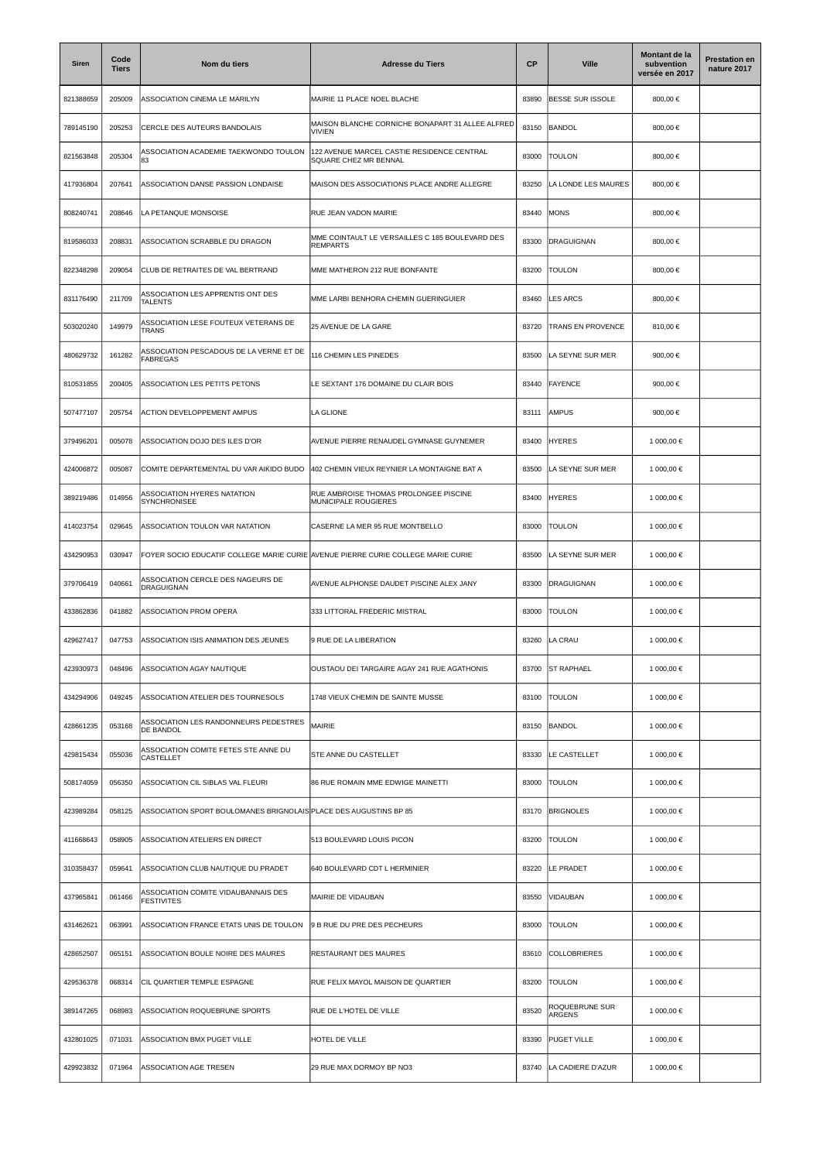| Siren     | Code<br><b>Tiers</b> | Nom du tiers                                                                     | <b>Adresse du Tiers</b>                                             | <b>CP</b> | <b>Ville</b>             | Montant de la<br>subvention<br>versée en 2017 | <b>Prestation en</b><br>nature 2017 |
|-----------|----------------------|----------------------------------------------------------------------------------|---------------------------------------------------------------------|-----------|--------------------------|-----------------------------------------------|-------------------------------------|
| 821388659 | 205009               | ASSOCIATION CINEMA LE MARILYN                                                    | MAIRIE 11 PLACE NOEL BLACHE                                         | 83890     | BESSE SUR ISSOLE         | 800,00 €                                      |                                     |
| 789145190 | 205253               | CERCLE DES AUTEURS BANDOLAIS                                                     | MAISON BLANCHE CORNICHE BONAPART 31 ALLEE ALFRED<br><b>VIVIEN</b>   | 83150     | <b>BANDOL</b>            | 800,00 €                                      |                                     |
| 821563848 | 205304               | ASSOCIATION ACADEMIE TAEKWONDO TOULON<br>83                                      | 122 AVENUE MARCEL CASTIE RESIDENCE CENTRAL<br>SQUARE CHEZ MR BENNAL | 83000     | <b>TOULON</b>            | 800,00 €                                      |                                     |
| 417936804 | 207641               | ASSOCIATION DANSE PASSION LONDAISE                                               | MAISON DES ASSOCIATIONS PLACE ANDRE ALLEGRE                         | 83250     | LA LONDE LES MAURES      | 800,00 €                                      |                                     |
| 808240741 | 208646               | LA PETANQUE MONSOISE                                                             | RUE JEAN VADON MAIRIE                                               | 83440     | MONS                     | 800,00 €                                      |                                     |
| 819586033 | 208831               | ASSOCIATION SCRABBLE DU DRAGON                                                   | MME COINTAULT LE VERSAILLES C 185 BOULEVARD DES<br><b>REMPARTS</b>  | 83300     | <b>DRAGUIGNAN</b>        | 800,00 €                                      |                                     |
| 822348298 | 209054               | CLUB DE RETRAITES DE VAL BERTRAND                                                | MME MATHERON 212 RUE BONFANTE                                       | 83200     | <b>TOULON</b>            | 800,00 €                                      |                                     |
| 831176490 | 211709               | ASSOCIATION LES APPRENTIS ONT DES<br>TALENTS                                     | MME LARBI BENHORA CHEMIN GUERINGUIER                                | 83460     | LES ARCS                 | 800,00 €                                      |                                     |
| 503020240 | 149979               | ASSOCIATION LESE FOUTEUX VETERANS DE<br><b>TRANS</b>                             | 25 AVENUE DE LA GARE                                                | 83720     | TRANS EN PROVENCE        | 810,00 €                                      |                                     |
| 480629732 | 161282               | ASSOCIATION PESCADOUS DE LA VERNE ET DE<br><b>FABREGAS</b>                       | 116 CHEMIN LES PINEDES                                              | 83500     | LA SEYNE SUR MER         | 900,00 €                                      |                                     |
| 810531855 | 200405               | ASSOCIATION LES PETITS PETONS                                                    | LE SEXTANT 176 DOMAINE DU CLAIR BOIS                                | 83440     | FAYENCE                  | 900,00 €                                      |                                     |
| 507477107 | 205754               | <b>ACTION DEVELOPPEMENT AMPUS</b>                                                | LA GLIONE                                                           | 83111     | <b>AMPUS</b>             | 900.00 €                                      |                                     |
| 379496201 | 005078               | ASSOCIATION DOJO DES ILES D'OR                                                   | AVENUE PIERRE RENAUDEL GYMNASE GUYNEMER                             | 83400     | <b>HYERES</b>            | 1 000,00 €                                    |                                     |
| 424006872 | 005087               | COMITE DEPARTEMENTAL DU VAR AIKIDO BUDO                                          | 402 CHEMIN VIEUX REYNIER LA MONTAIGNE BAT A                         | 83500     | LA SEYNE SUR MER         | 1 000,00 €                                    |                                     |
| 389219486 | 014956               | ASSOCIATION HYERES NATATION<br>SYNCHRONISEE                                      | RUE AMBROISE THOMAS PROLONGEE PISCINE<br>MUNICIPALE ROUGIERES       | 83400     | <b>HYERES</b>            | 1 000,00 €                                    |                                     |
| 414023754 | 029645               | ASSOCIATION TOULON VAR NATATION                                                  | CASERNE LA MER 95 RUE MONTBELLO                                     | 83000     | <b>TOULON</b>            | 1 000,00 €                                    |                                     |
| 434290953 | 030947               | FOYER SOCIO EDUCATIF COLLEGE MARIE CURIE AVENUE PIERRE CURIE COLLEGE MARIE CURIE |                                                                     | 83500     | A SEYNE SUR MER          | 1 000,00 €                                    |                                     |
| 379706419 | 040661               | ASSOCIATION CERCLE DES NAGEURS DE<br>DRAGUIGNAN                                  | AVENUE ALPHONSE DAUDET PISCINE ALEX JANY                            | 83300     | <b>DRAGUIGNAN</b>        | 1 000,00 €                                    |                                     |
| 433862836 | 041882               | ASSOCIATION PROM OPERA                                                           | 333 LITTORAL FREDERIC MISTRAL                                       | 83000     | TOULON                   | 1 000,00 €                                    |                                     |
| 429627417 | 047753               | ASSOCIATION ISIS ANIMATION DES JEUNES                                            | 9 RUE DE LA LIBERATION                                              | 83260     | LA CRAU                  | 1 000,00 €                                    |                                     |
| 423930973 | 048496               | ASSOCIATION AGAY NAUTIQUE                                                        | OUSTAOU DEI TARGAIRE AGAY 241 RUE AGATHONIS                         | 83700     | <b>ST RAPHAEL</b>        | 1 000,00 €                                    |                                     |
| 434294906 | 049245               | ASSOCIATION ATELIER DES TOURNESOLS                                               | 1748 VIEUX CHEMIN DE SAINTE MUSSE                                   | 83100     | <b>TOULON</b>            | 1 000,00 €                                    |                                     |
| 428661235 | 053168               | ASSOCIATION LES RANDONNEURS PEDESTRES<br>DE BANDOL                               | MAIRIE                                                              | 83150     | BANDOL                   | 1 000,00 €                                    |                                     |
| 429815434 | 055036               | ASSOCIATION COMITE FETES STE ANNE DU<br>CASTELLET                                | STE ANNE DU CASTELLET                                               | 83330     | LE CASTELLET             | 1 000,00 €                                    |                                     |
| 508174059 | 056350               | ASSOCIATION CIL SIBLAS VAL FLEURI                                                | 86 RUE ROMAIN MME EDWIGE MAINETTI                                   | 83000     | TOULON                   | 1 000,00 €                                    |                                     |
| 423989284 | 058125               | ASSOCIATION SPORT BOULOMANES BRIGNOLAIS PLACE DES AUGUSTINS BP 85                |                                                                     | 83170     | <b>BRIGNOLES</b>         | 1 000,00 €                                    |                                     |
| 411668643 | 058905               | ASSOCIATION ATELIERS EN DIRECT                                                   | 513 BOULEVARD LOUIS PICON                                           | 83200     | <b>TOULON</b>            | 1 000,00 €                                    |                                     |
| 310358437 | 059641               | ASSOCIATION CLUB NAUTIQUE DU PRADET                                              | 640 BOULEVARD CDT L HERMINIER                                       | 83220     | LE PRADET                | 1 000,00 €                                    |                                     |
| 437965841 | 061466               | ASSOCIATION COMITE VIDAUBANNAIS DES<br><b>FESTIVITES</b>                         | MAIRIE DE VIDAUBAN                                                  | 83550     | VIDAUBAN                 | 1 000,00 €                                    |                                     |
| 431462621 | 063991               | ASSOCIATION FRANCE ETATS UNIS DE TOULON                                          | 9 B RUE DU PRE DES PECHEURS                                         | 83000     | <b>TOULON</b>            | 1 000,00 €                                    |                                     |
| 428652507 | 065151               | ASSOCIATION BOULE NOIRE DES MAURES                                               | RESTAURANT DES MAURES                                               | 83610     | COLLOBRIERES             | 1 000,00 €                                    |                                     |
| 429536378 | 068314               | CIL QUARTIER TEMPLE ESPAGNE                                                      | RUE FELIX MAYOL MAISON DE QUARTIER                                  | 83200     | <b>TOULON</b>            | 1 000,00 €                                    |                                     |
| 389147265 | 068983               | ASSOCIATION ROQUEBRUNE SPORTS                                                    | RUE DE L'HOTEL DE VILLE                                             | 83520     | ROQUEBRUNE SUR<br>ARGENS | 1 000,00 €                                    |                                     |
| 432801025 | 071031               | ASSOCIATION BMX PUGET VILLE                                                      | HOTEL DE VILLE                                                      | 83390     | <b>PUGET VILLE</b>       | 1 000,00 €                                    |                                     |
| 429923832 | 071964               | ASSOCIATION AGE TRESEN                                                           | 29 RUE MAX DORMOY BP NO3                                            | 83740     | LA CADIERE D'AZUR        | 1 000,00 €                                    |                                     |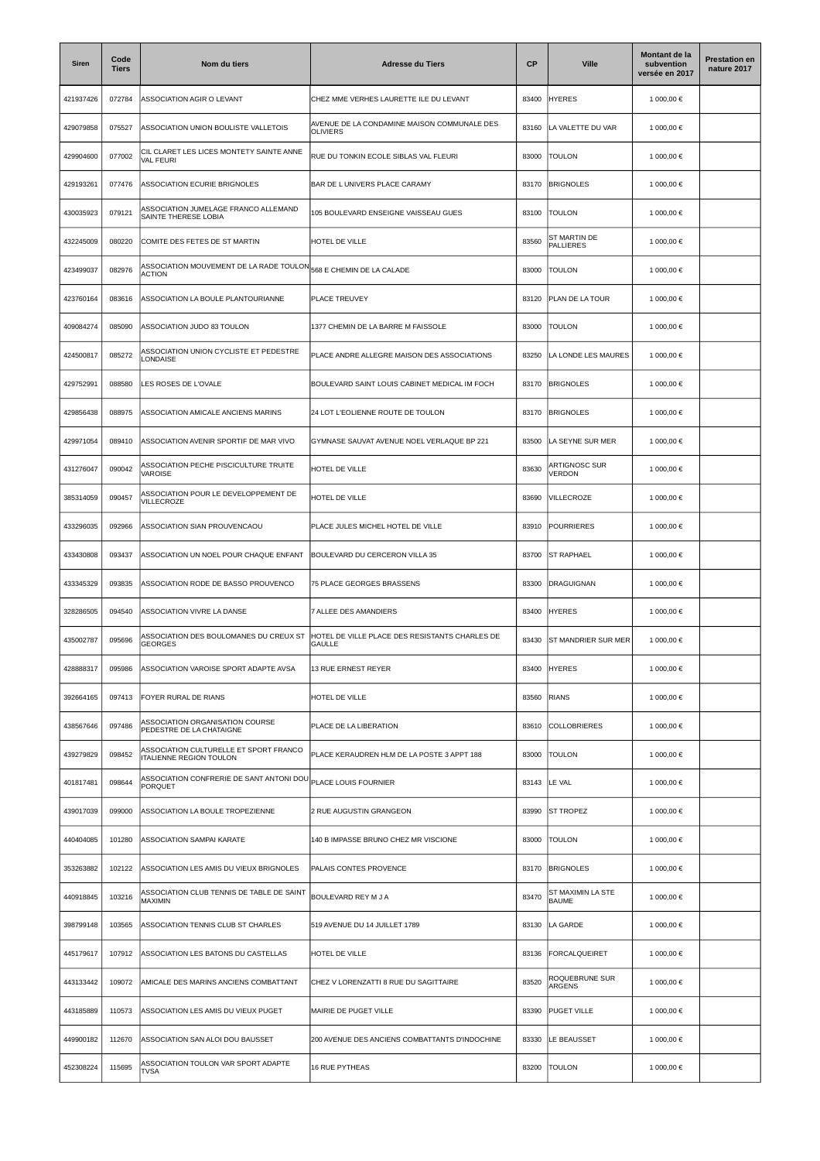| <b>Siren</b> | Code<br><b>Tiers</b> | Nom du tiers                                                             | <b>Adresse du Tiers</b>                                         | СP    | <b>Ville</b>                      | Montant de la<br>subvention<br>versée en 2017 | <b>Prestation en</b><br>nature 2017 |
|--------------|----------------------|--------------------------------------------------------------------------|-----------------------------------------------------------------|-------|-----------------------------------|-----------------------------------------------|-------------------------------------|
| 421937426    | 072784               | ASSOCIATION AGIR O LEVANT                                                | CHEZ MME VERHES LAURETTE ILE DU LEVANT                          | 83400 | <b>HYERES</b>                     | 1 000,00 €                                    |                                     |
| 429079858    | 075527               | ASSOCIATION UNION BOULISTE VALLETOIS                                     | AVENUE DE LA CONDAMINE MAISON COMMUNALE DES<br><b>OLIVIERS</b>  | 83160 | LA VALETTE DU VAR                 | 1 000,00 €                                    |                                     |
| 429904600    | 077002               | CIL CLARET LES LICES MONTETY SAINTE ANNE<br>VAL FEURI                    | RUE DU TONKIN ECOLE SIBLAS VAL FLEURI                           | 83000 | <b>TOULON</b>                     | 1 000,00 €                                    |                                     |
| 429193261    | 077476               | ASSOCIATION ECURIE BRIGNOLES                                             | BAR DE L UNIVERS PLACE CARAMY                                   | 83170 | <b>BRIGNOLES</b>                  | 1 000,00 €                                    |                                     |
| 430035923    | 079121               | ASSOCIATION JUMELAGE FRANCO ALLEMAND<br>SAINTE THERESE LOBIA             | 105 BOULEVARD ENSEIGNE VAISSEAU GUES                            | 83100 | <b>TOULON</b>                     | 1 000,00 €                                    |                                     |
| 432245009    | 080220               | COMITE DES FETES DE ST MARTIN                                            | HOTEL DE VILLE                                                  | 83560 | ST MARTIN DE<br><b>PALLIERES</b>  | 1 000,00 €                                    |                                     |
| 423499037    | 082976               | ASSOCIATION MOUVEMENT DE LA RADE TOULON<br><b>ACTION</b>                 | 568 E CHEMIN DE LA CALADE                                       | 83000 | <b>TOULON</b>                     | 1 000,00 €                                    |                                     |
| 423760164    | 083616               | ASSOCIATION LA BOULE PLANTOURIANNE                                       | PLACE TREUVEY                                                   | 83120 | <b>PLAN DE LA TOUR</b>            | 1 000,00 €                                    |                                     |
| 409084274    | 085090               | ASSOCIATION JUDO 83 TOULON                                               | 1377 CHEMIN DE LA BARRE M FAISSOLE                              | 83000 | <b>TOULON</b>                     | 1 000,00 €                                    |                                     |
| 424500817    | 085272               | ASSOCIATION UNION CYCLISTE ET PEDESTRE<br>LONDAISE                       | PLACE ANDRE ALLEGRE MAISON DES ASSOCIATIONS                     | 83250 | LA LONDE LES MAURES               | 1 000,00 €                                    |                                     |
| 429752991    | 088580               | LES ROSES DE L'OVALE                                                     | BOULEVARD SAINT LOUIS CABINET MEDICAL IM FOCH                   | 83170 | <b>BRIGNOLES</b>                  | 1 000,00 €                                    |                                     |
| 429856438    | 088975               | ASSOCIATION AMICALE ANCIENS MARINS                                       | 24 LOT L'EOLIENNE ROUTE DE TOULON                               | 83170 | <b>BRIGNOLES</b>                  | 1 000,00 €                                    |                                     |
| 429971054    | 089410               | ASSOCIATION AVENIR SPORTIF DE MAR VIVO                                   | GYMNASE SAUVAT AVENUE NOEL VERLAQUE BP 221                      | 83500 | LA SEYNE SUR MER                  | 1 000,00 €                                    |                                     |
| 431276047    | 090042               | ASSOCIATION PECHE PISCICULTURE TRUITE<br>VAROISE                         | HOTEL DE VILLE                                                  | 83630 | <b>ARTIGNOSC SUR</b><br>VERDON    | 1 000,00 €                                    |                                     |
| 385314059    | 090457               | ASSOCIATION POUR LE DEVELOPPEMENT DE<br>VILLECROZE                       | HOTEL DE VILLE                                                  | 83690 | VILLECROZE                        | 1 000,00 €                                    |                                     |
| 433296035    | 092966               | ASSOCIATION SIAN PROUVENCAOU                                             | PLACE JULES MICHEL HOTEL DE VILLE                               | 83910 | POURRIERES                        | 1 000,00 €                                    |                                     |
| 433430808    | 093437               | ASSOCIATION UN NOEL POUR CHAQUE ENFANT                                   | BOULEVARD DU CERCERON VILLA 35                                  | 83700 | <b>ST RAPHAEL</b>                 | 1 000,00 €                                    |                                     |
| 433345329    | 093835               | ASSOCIATION RODE DE BASSO PROUVENCO                                      | 75 PLACE GEORGES BRASSENS                                       | 83300 | <b>DRAGUIGNAN</b>                 | 1 000,00 €                                    |                                     |
| 328286505    | 094540               | ASSOCIATION VIVRE LA DANSE                                               | 7 ALLEE DES AMANDIERS                                           | 83400 | <b>HYERES</b>                     | 1 000,00 €                                    |                                     |
| 435002787    | 095696               | ASSOCIATION DES BOULOMANES DU CREUX ST<br><b>GEORGES</b>                 | HOTEL DE VILLE PLACE DES RESISTANTS CHARLES DE<br><b>GAULLE</b> | 83430 | ST MANDRIER SUR MER               | 1 000,00 €                                    |                                     |
| 428888317    | 095986               | ASSOCIATION VAROISE SPORT ADAPTE AVSA                                    | 13 RUE ERNEST REYER                                             | 83400 | <b>HYERES</b>                     | 1 000,00 €                                    |                                     |
| 392664165    | 097413               | FOYER RURAL DE RIANS                                                     | HOTEL DE VILLE                                                  | 83560 | <b>RIANS</b>                      | 1 000,00 €                                    |                                     |
| 438567646    | 097486               | ASSOCIATION ORGANISATION COURSE<br>PEDESTRE DE LA CHATAIGNE              | PLACE DE LA LIBERATION                                          | 83610 | <b>COLLOBRIERES</b>               | 1 000,00 €                                    |                                     |
| 439279829    | 098452               | ASSOCIATION CULTURELLE ET SPORT FRANCO<br><b>ITALIENNE REGION TOULON</b> | PLACE KERAUDREN HLM DE LA POSTE 3 APPT 188                      | 83000 | <b>TOULON</b>                     | 1 000,00 €                                    |                                     |
| 401817481    | 098644               | ASSOCIATION CONFRERIE DE SANT ANTONI DOL<br>PORQUET                      | PLACE LOUIS FOURNIER                                            | 83143 | LE VAL                            | 1 000,00 €                                    |                                     |
| 439017039    | 099000               | ASSOCIATION LA BOULE TROPEZIENNE                                         | 2 RUE AUGUSTIN GRANGEON                                         | 83990 | <b>ST TROPEZ</b>                  | 1 000,00 €                                    |                                     |
| 440404085    | 101280               | ASSOCIATION SAMPAI KARATE                                                | 140 B IMPASSE BRUNO CHEZ MR VISCIONE                            | 83000 | <b>TOULON</b>                     | 1 000,00 €                                    |                                     |
| 353263882    | 102122               | ASSOCIATION LES AMIS DU VIEUX BRIGNOLES                                  | PALAIS CONTES PROVENCE                                          | 83170 | <b>BRIGNOLES</b>                  | 1 000,00 €                                    |                                     |
| 440918845    | 103216               | ASSOCIATION CLUB TENNIS DE TABLE DE SAINT<br>MAXIMIN                     | BOULEVARD REY M J A                                             | 83470 | ST MAXIMIN LA STE<br><b>BAUME</b> | 1 000,00 €                                    |                                     |
| 398799148    | 103565               | ASSOCIATION TENNIS CLUB ST CHARLES                                       | 519 AVENUE DU 14 JUILLET 1789                                   | 83130 | LA GARDE                          | 1 000,00 €                                    |                                     |
| 445179617    | 107912               | ASSOCIATION LES BATONS DU CASTELLAS                                      | HOTEL DE VILLE                                                  | 83136 | FORCALQUEIRET                     | 1 000,00 €                                    |                                     |
| 443133442    | 109072               | AMICALE DES MARINS ANCIENS COMBATTANT                                    | CHEZ V LORENZATTI 8 RUE DU SAGITTAIRE                           | 83520 | ROQUEBRUNE SUR<br>ARGENS          | 1 000,00 €                                    |                                     |
| 443185889    | 110573               | ASSOCIATION LES AMIS DU VIEUX PUGET                                      | MAIRIE DE PUGET VILLE                                           | 83390 | <b>PUGET VILLE</b>                | 1 000,00 €                                    |                                     |
| 449900182    | 112670               | ASSOCIATION SAN ALOI DOU BAUSSET                                         | 200 AVENUE DES ANCIENS COMBATTANTS D'INDOCHINE                  | 83330 | LE BEAUSSET                       | 1 000,00 €                                    |                                     |
| 452308224    | 115695               | ASSOCIATION TOULON VAR SPORT ADAPTE<br><b>TVSA</b>                       | 16 RUE PYTHEAS                                                  | 83200 | <b>TOULON</b>                     | 1 000,00 €                                    |                                     |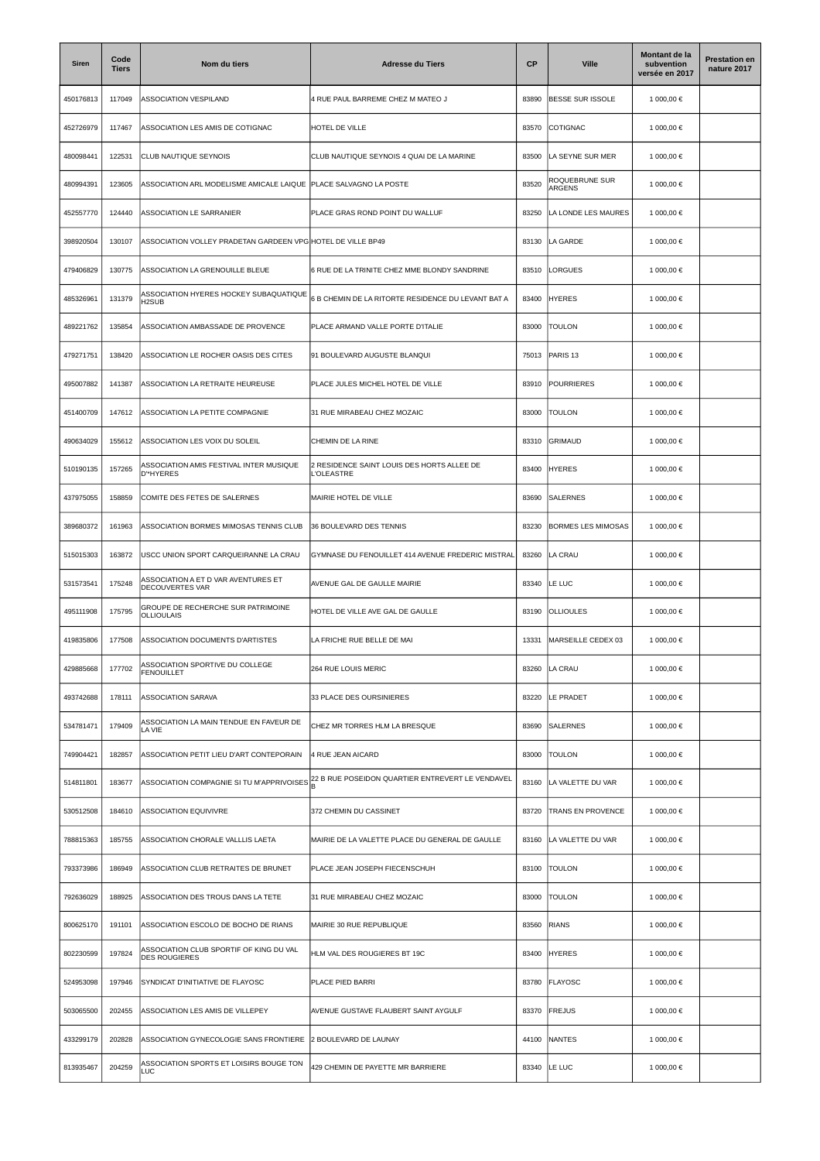| Siren     | Code<br><b>Tiers</b> | Nom du tiers                                                    | <b>Adresse du Tiers</b>                                        | <b>CP</b> | <b>Ville</b>             | Montant de la<br>subvention<br>versée en 2017 | <b>Prestation en</b><br>nature 2017 |
|-----------|----------------------|-----------------------------------------------------------------|----------------------------------------------------------------|-----------|--------------------------|-----------------------------------------------|-------------------------------------|
| 450176813 | 117049               | ASSOCIATION VESPILAND                                           | 4 RUE PAUL BARREME CHEZ M MATEO J                              | 83890     | BESSE SUR ISSOLE         | 1 000,00 €                                    |                                     |
| 452726979 | 117467               | ASSOCIATION LES AMIS DE COTIGNAC                                | HOTEL DE VILLE                                                 | 83570     | COTIGNAC                 | 1 000,00 €                                    |                                     |
| 480098441 | 122531               | CLUB NAUTIQUE SEYNOIS                                           | CLUB NAUTIQUE SEYNOIS 4 QUAI DE LA MARINE                      | 83500     | LA SEYNE SUR MER         | 1 000,00 €                                    |                                     |
| 480994391 | 123605               | ASSOCIATION ARL MODELISME AMICALE LAIQUE                        | PLACE SALVAGNO LA POSTE                                        | 83520     | ROQUEBRUNE SUR<br>ARGENS | 1 000,00 €                                    |                                     |
| 452557770 | 124440               | ASSOCIATION LE SARRANIER                                        | PLACE GRAS ROND POINT DU WALLUF                                | 83250     | LA LONDE LES MAURES      | 1 000,00 €                                    |                                     |
| 398920504 | 130107               | ASSOCIATION VOLLEY PRADETAN GARDEEN VPG HOTEL DE VILLE BP49     |                                                                | 83130     | LA GARDE                 | 1 000,00 €                                    |                                     |
| 479406829 | 130775               | ASSOCIATION LA GRENOUILLE BLEUE                                 | 6 RUE DE LA TRINITE CHEZ MME BLONDY SANDRINE                   | 83510     | LORGUES                  | 1 000,00 €                                    |                                     |
| 485326961 | 131379               | ASSOCIATION HYERES HOCKEY SUBAQUATIQUE<br>H <sub>2</sub> SUB    | 6 B CHEMIN DE LA RITORTE RESIDENCE DU LEVANT BAT A             | 83400     | <b>HYERES</b>            | 1 000,00 €                                    |                                     |
| 489221762 | 135854               | ASSOCIATION AMBASSADE DE PROVENCE                               | PLACE ARMAND VALLE PORTE D'ITALIE                              | 83000     | <b>TOULON</b>            | 1 000,00 €                                    |                                     |
| 479271751 | 138420               | ASSOCIATION LE ROCHER OASIS DES CITES                           | 91 BOULEVARD AUGUSTE BLANQUI                                   | 75013     | PARIS <sub>13</sub>      | 1 000,00 €                                    |                                     |
| 495007882 | 141387               | ASSOCIATION LA RETRAITE HEUREUSE                                | PLACE JULES MICHEL HOTEL DE VILLE                              | 83910     | <b>POURRIERES</b>        | 1 000.00 €                                    |                                     |
| 451400709 | 147612               | ASSOCIATION LA PETITE COMPAGNIE                                 | 31 RUE MIRABEAU CHEZ MOZAIC                                    | 83000     | <b>TOULON</b>            | 1 000,00 €                                    |                                     |
| 490634029 | 155612               | ASSOCIATION LES VOIX DU SOLEIL                                  | CHEMIN DE LA RINE                                              | 83310     | <b>GRIMAUD</b>           | 1 000,00 €                                    |                                     |
| 510190135 | 157265               | ASSOCIATION AMIS FESTIVAL INTER MUSIQUE<br>D'*HYERES            | 2 RESIDENCE SAINT LOUIS DES HORTS ALLEE DE<br><b>'OLEASTRE</b> | 83400     | <b>HYERES</b>            | 1 000,00 €                                    |                                     |
| 437975055 | 158859               | COMITE DES FETES DE SALERNES                                    | MAIRIE HOTEL DE VILLE                                          | 83690     | <b>SALERNES</b>          | 1 000,00 €                                    |                                     |
| 389680372 | 161963               | ASSOCIATION BORMES MIMOSAS TENNIS CLUB                          | 36 BOULEVARD DES TENNIS                                        | 83230     | BORMES LES MIMOSAS       | 1 000,00 €                                    |                                     |
| 515015303 | 163872               | USCC UNION SPORT CARQUEIRANNE LA CRAU                           | GYMNASE DU FENOUILLET 414 AVENUE FREDERIC MISTRAL              | 83260     | LA CRAU                  | 1 000,00 €                                    |                                     |
| 531573541 | 175248               | ASSOCIATION A ET D VAR AVENTURES ET<br>DECOUVERTES VAR          | AVENUE GAL DE GAULLE MAIRIE                                    | 83340     | LE LUC                   | 1 000,00 €                                    |                                     |
| 495111908 | 175795               | GROUPE DE RECHERCHE SUR PATRIMOINE<br><b>OLLIOULAIS</b>         | HOTEL DE VILLE AVE GAL DE GAULLE                               | 83190     | <b>OLLIOULES</b>         | 1 000,00 €                                    |                                     |
| 419835806 | 177508               | <b>ASSOCIATION DOCUMENTS D'ARTISTES</b>                         | LA FRICHE RUE BELLE DE MAI                                     | 13331     | MARSEILLE CEDEX 03       | 1 000,00 €                                    |                                     |
| 429885668 | 177702               | SSOCIATION SPORTIVE DU COLLEGE<br><b>FENOUILLET</b>             | 264 RUE LOUIS MERIC                                            | 83260     | LA CRAU                  | 1 000,00 €                                    |                                     |
| 493742688 | 178111               | ASSOCIATION SARAVA                                              | 33 PLACE DES OURSINIERES                                       | 83220     | LE PRADET                | 1 000,00 €                                    |                                     |
| 534781471 | 179409               | ASSOCIATION LA MAIN TENDUE EN FAVEUR DE<br>LA VIE               | CHEZ MR TORRES HLM LA BRESQUE                                  | 83690     | SALERNES                 | 1 000,00 €                                    |                                     |
| 749904421 | 182857               | ASSOCIATION PETIT LIEU D'ART CONTEPORAIN                        | 4 RUE JEAN AICARD                                              | 83000     | <b>TOULON</b>            | 1 000,00 €                                    |                                     |
| 514811801 | 183677               | ASSOCIATION COMPAGNIE SI TU M'APPRIVOISES                       | 22 B RUE POSEIDON QUARTIER ENTREVERT LE VENDAVEL               | 83160     | LA VALETTE DU VAR        | 1 000,00 €                                    |                                     |
| 530512508 | 184610               | <b>ASSOCIATION EQUIVIVRE</b>                                    | 372 CHEMIN DU CASSINET                                         | 83720     | TRANS EN PROVENCE        | 1 000,00 €                                    |                                     |
| 788815363 | 185755               | ASSOCIATION CHORALE VALLLIS LAETA                               | MAIRIE DE LA VALETTE PLACE DU GENERAL DE GAULLE                | 83160     | LA VALETTE DU VAR        | 1 000,00 €                                    |                                     |
| 793373986 | 186949               | ASSOCIATION CLUB RETRAITES DE BRUNET                            | PLACE JEAN JOSEPH FIECENSCHUH                                  | 83100     | <b>TOULON</b>            | 1 000,00 €                                    |                                     |
| 792636029 | 188925               | ASSOCIATION DES TROUS DANS LA TETE                              | 31 RUE MIRABEAU CHEZ MOZAIC                                    | 83000     | <b>TOULON</b>            | 1 000,00 €                                    |                                     |
| 800625170 | 191101               | ASSOCIATION ESCOLO DE BOCHO DE RIANS                            | MAIRIE 30 RUE REPUBLIQUE                                       | 83560     | <b>RIANS</b>             | 1 000,00 €                                    |                                     |
| 802230599 | 197824               | ASSOCIATION CLUB SPORTIF OF KING DU VAL<br><b>DES ROUGIERES</b> | HLM VAL DES ROUGIERES BT 19C                                   | 83400     | <b>HYERES</b>            | 1 000,00 €                                    |                                     |
| 524953098 | 197946               | SYNDICAT D'INITIATIVE DE FLAYOSC                                | PLACE PIED BARRI                                               | 83780     | FLAYOSC                  | 1 000,00 €                                    |                                     |
| 503065500 | 202455               | ASSOCIATION LES AMIS DE VILLEPEY                                | AVENUE GUSTAVE FLAUBERT SAINT AYGULF                           | 83370     | <b>FREJUS</b>            | 1 000,00 €                                    |                                     |
| 433299179 | 202828               | ASSOCIATION GYNECOLOGIE SANS FRONTIERE                          | 2 BOULEVARD DE LAUNAY                                          | 44100     | NANTES                   | 1 000,00 €                                    |                                     |
| 813935467 | 204259               | ASSOCIATION SPORTS ET LOISIRS BOUGE TON<br>LUC                  | 429 CHEMIN DE PAYETTE MR BARRIERE                              | 83340     | LE LUC                   | 1 000,00 €                                    |                                     |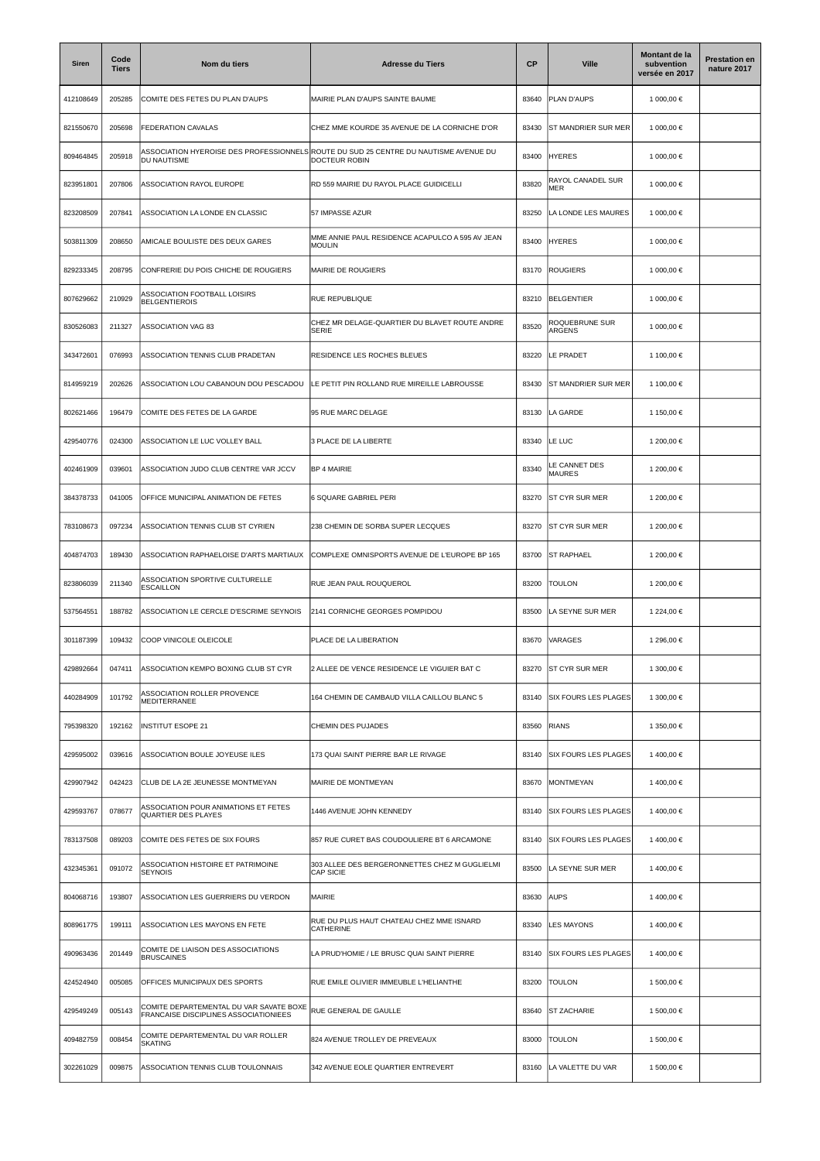| <b>Siren</b> | Code<br><b>Tiers</b> | Nom du tiers                                                                     | <b>Adresse du Tiers</b>                                                                               | CP    | <b>Ville</b>                    | Montant de la<br>subvention<br>versée en 2017 | <b>Prestation en</b><br>nature 2017 |
|--------------|----------------------|----------------------------------------------------------------------------------|-------------------------------------------------------------------------------------------------------|-------|---------------------------------|-----------------------------------------------|-------------------------------------|
| 412108649    | 205285               | COMITE DES FETES DU PLAN D'AUPS                                                  | MAIRIE PLAN D'AUPS SAINTE BAUME                                                                       | 83640 | PLAN D'AUPS                     | 1 000,00 €                                    |                                     |
| 821550670    | 205698               | FEDERATION CAVALAS                                                               | CHEZ MME KOURDE 35 AVENUE DE LA CORNICHE D'OR                                                         | 83430 | <b>ST MANDRIER SUR MER</b>      | 1 000,00 €                                    |                                     |
| 809464845    | 205918               | DU NAUTISME                                                                      | ASSOCIATION HYEROISE DES PROFESSIONNELS ROUTE DU SUD 25 CENTRE DU NAUTISME AVENUE DU<br>DOCTEUR ROBIN | 83400 | <b>HYERES</b>                   | 1 000,00 €                                    |                                     |
| 823951801    | 207806               | <b>ASSOCIATION RAYOL EUROPE</b>                                                  | RD 559 MAIRIE DU RAYOL PLACE GUIDICELLI                                                               | 83820 | RAYOL CANADEL SUR<br><b>MER</b> | 1 000,00 €                                    |                                     |
| 823208509    | 207841               | ASSOCIATION LA LONDE EN CLASSIC                                                  | 57 IMPASSE AZUR                                                                                       | 83250 | A LONDE LES MAURES              | 1 000,00 €                                    |                                     |
| 503811309    | 208650               | AMICALE BOULISTE DES DEUX GARES                                                  | MME ANNIE PAUL RESIDENCE ACAPULCO A 595 AV JEAN<br><b>MOULIN</b>                                      | 83400 | <b>HYERES</b>                   | 1 000,00 €                                    |                                     |
| 829233345    | 208795               | CONFRERIE DU POIS CHICHE DE ROUGIERS                                             | MAIRIE DE ROUGIERS                                                                                    | 83170 | <b>ROUGIERS</b>                 | 1 000,00 €                                    |                                     |
| 807629662    | 210929               | ASSOCIATION FOOTBALL LOISIRS<br><b>BELGENTIEROIS</b>                             | RUE REPUBLIQUE                                                                                        | 83210 | BELGENTIER                      | 1 000,00 €                                    |                                     |
| 830526083    | 211327               | ASSOCIATION VAG 83                                                               | CHEZ MR DELAGE-QUARTIER DU BLAVET ROUTE ANDRE<br><b>SERIE</b>                                         | 83520 | ROQUEBRUNE SUR<br>ARGENS        | 1 000,00 €                                    |                                     |
| 343472601    | 076993               | ASSOCIATION TENNIS CLUB PRADETAN                                                 | RESIDENCE LES ROCHES BLEUES                                                                           | 83220 | LE PRADET                       | 1 100,00 €                                    |                                     |
| 814959219    | 202626               | ASSOCIATION LOU CABANOUN DOU PESCADOU                                            | LE PETIT PIN ROLLAND RUE MIREILLE LABROUSSE                                                           | 83430 | <b>ST MANDRIER SUR MER</b>      | 1 100,00 €                                    |                                     |
| 802621466    | 196479               | COMITE DES FETES DE LA GARDE                                                     | 95 RUE MARC DELAGE                                                                                    | 83130 | <b>LA GARDE</b>                 | 1 150,00 €                                    |                                     |
| 429540776    | 024300               | ASSOCIATION LE LUC VOLLEY BALL                                                   | 3 PLACE DE LA LIBERTE                                                                                 | 83340 | LE LUC                          | 1 200.00 €                                    |                                     |
| 402461909    | 039601               | ASSOCIATION JUDO CLUB CENTRE VAR JCCV                                            | <b>BP 4 MAIRIE</b>                                                                                    | 83340 | LE CANNET DES<br><b>MAURES</b>  | 1 200,00 €                                    |                                     |
| 384378733    | 041005               | OFFICE MUNICIPAL ANIMATION DE FETES                                              | 6 SQUARE GABRIEL PERI                                                                                 | 83270 | <b>ST CYR SUR MER</b>           | 1 200,00 €                                    |                                     |
| 783108673    | 097234               | ASSOCIATION TENNIS CLUB ST CYRIEN                                                | 238 CHEMIN DE SORBA SUPER LECQUES                                                                     | 83270 | <b>ST CYR SUR MER</b>           | 1 200,00 €                                    |                                     |
| 404874703    | 189430               | ASSOCIATION RAPHAELOISE D'ARTS MARTIAUX                                          | COMPLEXE OMNISPORTS AVENUE DE L'EUROPE BP 165                                                         | 83700 | <b>ST RAPHAEL</b>               | 1 200,00 €                                    |                                     |
| 823806039    | 211340               | ASSOCIATION SPORTIVE CULTURELLE<br><b>ESCAILLON</b>                              | RUE JEAN PAUL ROUQUEROL                                                                               | 83200 | <b>TOULON</b>                   | 1 200,00 €                                    |                                     |
| 537564551    | 188782               | ASSOCIATION LE CERCLE D'ESCRIME SEYNOIS                                          | 2141 CORNICHE GEORGES POMPIDOU                                                                        | 83500 | LA SEYNE SUR MER                | 1 224,00 €                                    |                                     |
| 301187399    | 109432               | COOP VINICOLE OLEICOLE                                                           | PLACE DE LA LIBERATION                                                                                | 83670 | VARAGES                         | 1 296,00 €                                    |                                     |
| 429892664    | 047411               | ASSOCIATION KEMPO BOXING CLUB ST CYR                                             | 2 ALLEE DE VENCE RESIDENCE LE VIGUIER BAT C                                                           | 83270 | <b>ST CYR SUR MER</b>           | 1 300,00 €                                    |                                     |
| 440284909    | 101792               | ASSOCIATION ROLLER PROVENCE<br>MEDITERRANEE                                      | 164 CHEMIN DE CAMBAUD VILLA CAILLOU BLANC 5                                                           | 83140 | <b>SIX FOURS LES PLAGES</b>     | 1 300.00 €                                    |                                     |
| 795398320    | 192162               | <b>INSTITUT ESOPE 21</b>                                                         | CHEMIN DES PUJADES                                                                                    | 83560 | <b>RIANS</b>                    | 1 350,00 €                                    |                                     |
| 429595002    | 039616               | ASSOCIATION BOULE JOYEUSE ILES                                                   | 173 QUAI SAINT PIERRE BAR LE RIVAGE                                                                   | 83140 | <b>SIX FOURS LES PLAGES</b>     | 1400,00€                                      |                                     |
| 429907942    | 042423               | CLUB DE LA 2E JEUNESSE MONTMEYAN                                                 | MAIRIE DE MONTMEYAN                                                                                   | 83670 | MONTMEYAN                       | 1400,00€                                      |                                     |
| 429593767    | 078677               | ASSOCIATION POUR ANIMATIONS ET FETES<br>QUARTIER DES PLAYES                      | 1446 AVENUE JOHN KENNEDY                                                                              | 83140 | <b>SIX FOURS LES PLAGES</b>     | 1400,00€                                      |                                     |
| 783137508    | 089203               | COMITE DES FETES DE SIX FOURS                                                    | 857 RUE CURET BAS COUDOULIERE BT 6 ARCAMONE                                                           | 83140 | <b>SIX FOURS LES PLAGES</b>     | 1400,00€                                      |                                     |
| 432345361    | 091072               | ASSOCIATION HISTOIRE ET PATRIMOINE<br><b>SEYNOIS</b>                             | 303 ALLEE DES BERGERONNETTES CHEZ M GUGLIELMI<br><b>CAP SICIE</b>                                     | 83500 | LA SEYNE SUR MER                | 1400,00€                                      |                                     |
| 804068716    | 193807               | ASSOCIATION LES GUERRIERS DU VERDON                                              | <b>MAIRIE</b>                                                                                         | 83630 | AUPS                            | 1400,00€                                      |                                     |
| 808961775    | 199111               | ASSOCIATION LES MAYONS EN FETE                                                   | RUE DU PLUS HAUT CHATEAU CHEZ MME ISNARD<br>CATHERINE                                                 | 83340 | <b>LES MAYONS</b>               | 1400,00€                                      |                                     |
| 490963436    | 201449               | COMITE DE LIAISON DES ASSOCIATIONS<br><b>BRUSCAINES</b>                          | LA PRUD'HOMIE / LE BRUSC QUAI SAINT PIERRE                                                            | 83140 | <b>SIX FOURS LES PLAGES</b>     | 1400,00€                                      |                                     |
| 424524940    | 005085               | OFFICES MUNICIPAUX DES SPORTS                                                    | RUE EMILE OLIVIER IMMEUBLE L'HELIANTHE                                                                | 83200 | <b>TOULON</b>                   | 1 500,00 €                                    |                                     |
| 429549249    | 005143               | COMITE DEPARTEMENTAL DU VAR SAVATE BOXE<br>FRANCAISE DISCIPLINES ASSOCIATIONIEES | RUE GENERAL DE GAULLE                                                                                 | 83640 | <b>ST ZACHARIE</b>              | 1 500,00 €                                    |                                     |
| 409482759    | 008454               | COMITE DEPARTEMENTAL DU VAR ROLLER<br><b>SKATING</b>                             | 824 AVENUE TROLLEY DE PREVEAUX                                                                        | 83000 | <b>TOULON</b>                   | 1 500,00 €                                    |                                     |
| 302261029    | 009875               | ASSOCIATION TENNIS CLUB TOULONNAIS                                               | 342 AVENUE EOLE QUARTIER ENTREVERT                                                                    | 83160 | LA VALETTE DU VAR               | 1 500,00 €                                    |                                     |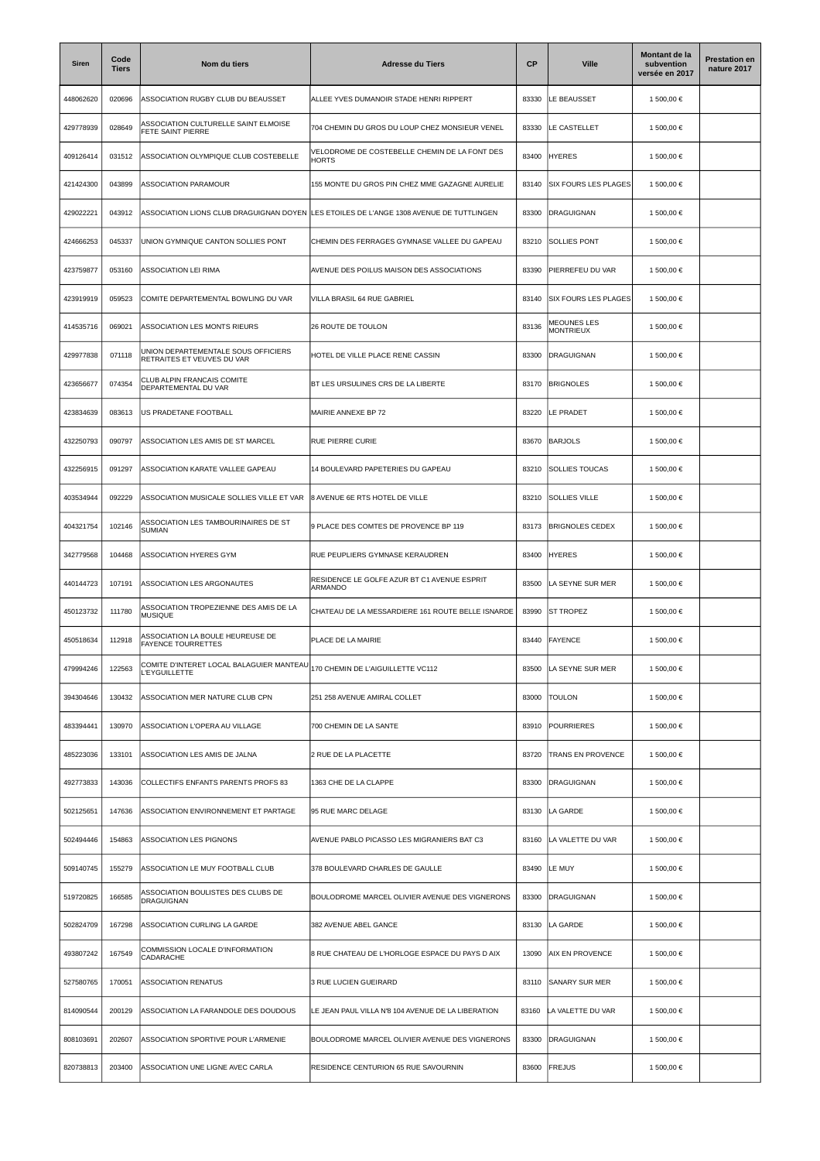| <b>Siren</b> | Code<br><b>Tiers</b> | Nom du tiers                                                      | <b>Adresse du Tiers</b>                                       | <b>CP</b> | <b>Ville</b>                           | Montant de la<br>subvention<br>versée en 2017 | <b>Prestation en</b><br>nature 2017 |
|--------------|----------------------|-------------------------------------------------------------------|---------------------------------------------------------------|-----------|----------------------------------------|-----------------------------------------------|-------------------------------------|
| 448062620    | 020696               | ASSOCIATION RUGBY CLUB DU BEAUSSET                                | ALLEE YVES DUMANOIR STADE HENRI RIPPERT                       | 83330     | LE BEAUSSET                            | 1 500,00 €                                    |                                     |
| 429778939    | 028649               | ASSOCIATION CULTURELLE SAINT ELMOISE<br>FETE SAINT PIERRE         | 704 CHEMIN DU GROS DU LOUP CHEZ MONSIEUR VENEL                | 83330     | LE CASTELLET                           | 1 500,00 €                                    |                                     |
| 409126414    | 031512               | ASSOCIATION OLYMPIQUE CLUB COSTEBELLE                             | VELODROME DE COSTEBELLE CHEMIN DE LA FONT DES<br><b>HORTS</b> | 83400     | <b>HYERES</b>                          | 1 500,00 €                                    |                                     |
| 421424300    | 043899               | <b>ASSOCIATION PARAMOUR</b>                                       | 155 MONTE DU GROS PIN CHEZ MME GAZAGNE AURELIE                | 83140     | <b>SIX FOURS LES PLAGES</b>            | 1 500,00 €                                    |                                     |
| 429022221    | 043912               | ASSOCIATION LIONS CLUB DRAGUIGNAN DOYEN                           | LES ETOILES DE L'ANGE 1308 AVENUE DE TUTTLINGEN               | 83300     | <b>DRAGUIGNAN</b>                      | 1 500,00 €                                    |                                     |
| 424666253    | 045337               | UNION GYMNIQUE CANTON SOLLIES PONT                                | CHEMIN DES FERRAGES GYMNASE VALLEE DU GAPEAU                  | 83210     | SOLLIES PONT                           | 1 500,00 €                                    |                                     |
| 423759877    | 053160               | ASSOCIATION LEI RIMA                                              | AVENUE DES POILUS MAISON DES ASSOCIATIONS                     | 83390     | PIERREFEU DU VAR                       | 1 500,00 €                                    |                                     |
| 423919919    | 059523               | COMITE DEPARTEMENTAL BOWLING DU VAR                               | VILLA BRASIL 64 RUE GABRIEL                                   | 83140     | <b>SIX FOURS LES PLAGES</b>            | 1 500,00 €                                    |                                     |
| 414535716    | 069021               | ASSOCIATION LES MONTS RIEURS                                      | 26 ROUTE DE TOULON                                            | 83136     | <b>MEOUNES LES</b><br><b>MONTRIEUX</b> | 1 500,00 €                                    |                                     |
| 429977838    | 071118               | UNION DEPARTEMENTALE SOUS OFFICIERS<br>RETRAITES ET VEUVES DU VAR | HOTEL DE VILLE PLACE RENE CASSIN                              | 83300     | <b>DRAGUIGNAN</b>                      | 1 500,00 €                                    |                                     |
| 423656677    | 074354               | CLUB ALPIN FRANCAIS COMITE<br>DEPARTEMENTAL DU VAR                | BT LES URSULINES CRS DE LA LIBERTE                            | 83170     | <b>BRIGNOLES</b>                       | 1 500,00 €                                    |                                     |
| 423834639    | 083613               | US PRADETANE FOOTBALL                                             | MAIRIE ANNEXE BP 72                                           | 83220     | LE PRADET                              | 1 500,00 €                                    |                                     |
| 432250793    | 090797               | ASSOCIATION LES AMIS DE ST MARCEL                                 | RUE PIERRE CURIE                                              | 83670     | <b>BARJOLS</b>                         | 1 500,00 €                                    |                                     |
| 432256915    | 091297               | ASSOCIATION KARATE VALLEE GAPEAU                                  | 14 BOULEVARD PAPETERIES DU GAPEAU                             | 83210     | <b>SOLLIES TOUCAS</b>                  | 1 500,00 €                                    |                                     |
| 403534944    | 092229               | ASSOCIATION MUSICALE SOLLIES VILLE ET VAR                         | 8 AVENUE 6E RTS HOTEL DE VILLE                                | 83210     | SOLLIES VILLE                          | 1 500,00 €                                    |                                     |
| 404321754    | 102146               | ASSOCIATION LES TAMBOURINAIRES DE ST<br><b>SUMIAN</b>             | 9 PLACE DES COMTES DE PROVENCE BP 119                         | 83173     | <b>BRIGNOLES CEDEX</b>                 | 1 500,00 €                                    |                                     |
| 342779568    | 104468               | ASSOCIATION HYERES GYM                                            | RUE PEUPLIERS GYMNASE KERAUDREN                               | 83400     | <b>HYERES</b>                          | 1 500,00 €                                    |                                     |
| 440144723    | 107191               | ASSOCIATION LES ARGONAUTES                                        | RESIDENCE LE GOLFE AZUR BT C1 AVENUE ESPRIT<br>ARMANDO        | 83500     | LA SEYNE SUR MER                       | 1 500,00 €                                    |                                     |
| 450123732    | 111780               | ASSOCIATION TROPEZIENNE DES AMIS DE LA<br><b>MUSIQUE</b>          | CHATEAU DE LA MESSARDIERE 161 ROUTE BELLE ISNARDE             | 83990     | <b>ST TROPEZ</b>                       | 1 500,00 €                                    |                                     |
| 450518634    | 112918               | ASSOCIATION LA BOULE HEUREUSE DE<br><b>FAYENCE TOURRETTES</b>     | PLACE DE LA MAIRIE                                            | 83440     | FAYENCE                                | 1 500,00 €                                    |                                     |
| 479994246    | 122563               | COMITE D'INTERET LOCAL BALAGUIER MANTEAU<br><b>L'EYGUILLETTE</b>  | 170 CHEMIN DE L'AIGUILLETTE VC112                             | 83500     | LA SEYNE SUR MER                       | 1 500,00 €                                    |                                     |
| 394304646    | 130432               | ASSOCIATION MER NATURE CLUB CPN                                   | 251 258 AVENUE AMIRAL COLLET                                  | 83000     | <b>TOULON</b>                          | 1 500,00 €                                    |                                     |
| 483394441    | 130970               | ASSOCIATION L'OPERA AU VILLAGE                                    | 700 CHEMIN DE LA SANTE                                        | 83910     | <b>POURRIERES</b>                      | 1 500,00 €                                    |                                     |
| 485223036    | 133101               | ASSOCIATION LES AMIS DE JALNA                                     | 2 RUE DE LA PLACETTE                                          | 83720     | TRANS EN PROVENCE                      | 1 500,00 €                                    |                                     |
| 492773833    | 143036               | COLLECTIFS ENFANTS PARENTS PROFS 83                               | 1363 CHE DE LA CLAPPE                                         | 83300     | <b>DRAGUIGNAN</b>                      | 1 500,00 €                                    |                                     |
| 502125651    | 147636               | ASSOCIATION ENVIRONNEMENT ET PARTAGE                              | 95 RUE MARC DELAGE                                            | 83130     | LA GARDE                               | 1 500,00 €                                    |                                     |
| 502494446    | 154863               | ASSOCIATION LES PIGNONS                                           | AVENUE PABLO PICASSO LES MIGRANIERS BAT C3                    | 83160     | LA VALETTE DU VAR                      | 1 500,00 €                                    |                                     |
| 509140745    | 155279               | ASSOCIATION LE MUY FOOTBALL CLUB                                  | 378 BOULEVARD CHARLES DE GAULLE                               | 83490     | LE MUY                                 | 1 500,00 €                                    |                                     |
| 519720825    | 166585               | ASSOCIATION BOULISTES DES CLUBS DE<br>DRAGUIGNAN                  | BOULODROME MARCEL OLIVIER AVENUE DES VIGNERONS                | 83300     | <b>DRAGUIGNAN</b>                      | 1 500,00 €                                    |                                     |
| 502824709    | 167298               | ASSOCIATION CURLING LA GARDE                                      | 382 AVENUE ABEL GANCE                                         | 83130     | LA GARDE                               | 1 500,00 €                                    |                                     |
| 493807242    | 167549               | COMMISSION LOCALE D'INFORMATION<br>CADARACHE                      | 8 RUE CHATEAU DE L'HORLOGE ESPACE DU PAYS D AIX               | 13090     | <b>AIX EN PROVENCE</b>                 | 1 500,00 €                                    |                                     |
| 527580765    | 170051               | <b>ASSOCIATION RENATUS</b>                                        | 3 RUE LUCIEN GUEIRARD                                         | 83110     | <b>SANARY SUR MER</b>                  | 1 500,00 €                                    |                                     |
| 814090544    | 200129               | ASSOCIATION LA FARANDOLE DES DOUDOUS                              | LE JEAN PAUL VILLA N'8 104 AVENUE DE LA LIBERATION            | 83160     | LA VALETTE DU VAR                      | 1 500,00 €                                    |                                     |
| 808103691    | 202607               | ASSOCIATION SPORTIVE POUR L'ARMENIE                               | BOULODROME MARCEL OLIVIER AVENUE DES VIGNERONS                | 83300     | <b>DRAGUIGNAN</b>                      | 1 500,00 €                                    |                                     |
| 820738813    | 203400               | ASSOCIATION UNE LIGNE AVEC CARLA                                  | RESIDENCE CENTURION 65 RUE SAVOURNIN                          | 83600     | <b>FREJUS</b>                          | 1 500,00 €                                    |                                     |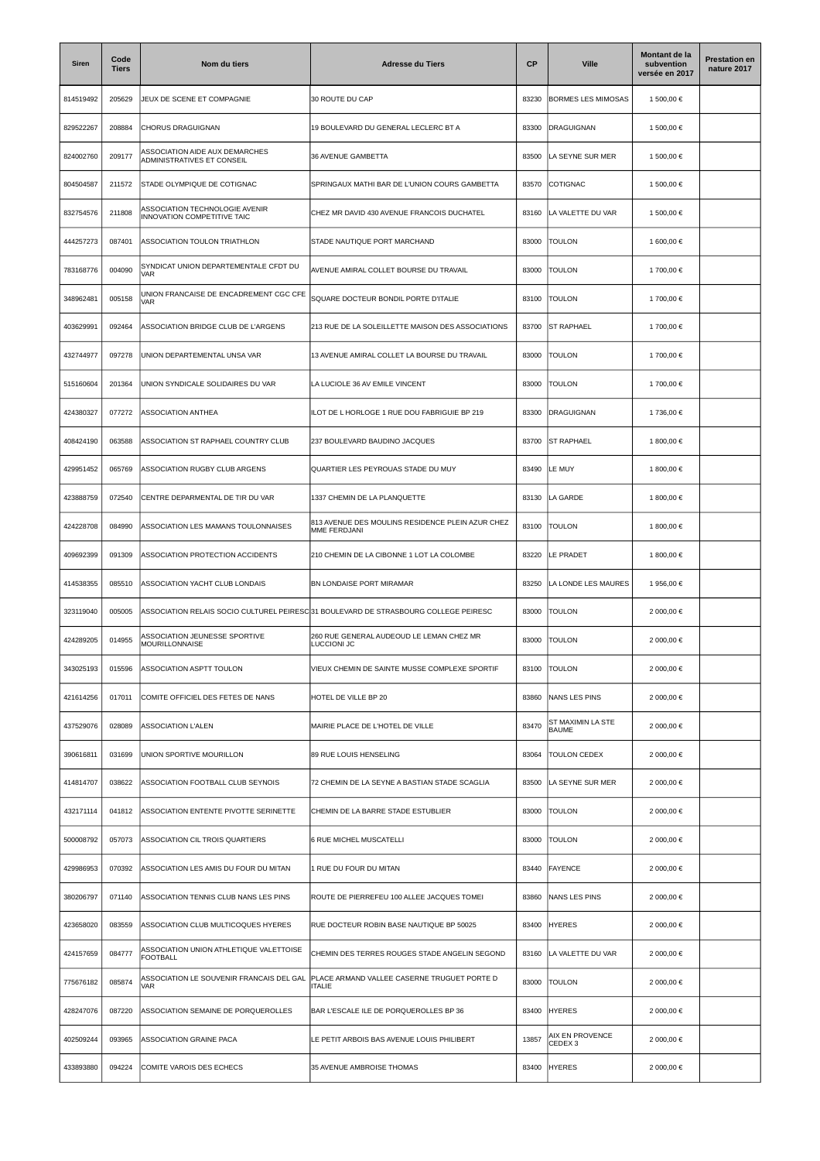| Siren     | Code<br><b>Tiers</b> | Nom du tiers                                                  | <b>Adresse du Tiers</b>                                                              | <b>CP</b> | <b>Ville</b>                          | Montant de la<br>subvention<br>versée en 2017 | <b>Prestation en</b><br>nature 2017 |
|-----------|----------------------|---------------------------------------------------------------|--------------------------------------------------------------------------------------|-----------|---------------------------------------|-----------------------------------------------|-------------------------------------|
| 814519492 | 205629               | JEUX DE SCENE ET COMPAGNIE                                    | 30 ROUTE DU CAP                                                                      | 83230     | BORMES LES MIMOSAS                    | 1 500,00 €                                    |                                     |
| 829522267 | 208884               | <b>CHORUS DRAGUIGNAN</b>                                      | 19 BOULEVARD DU GENERAL LECLERC BT A                                                 | 83300     | DRAGUIGNAN                            | 1 500,00 €                                    |                                     |
| 824002760 | 209177               | ASSOCIATION AIDE AUX DEMARCHES<br>ADMINISTRATIVES ET CONSEIL  | 36 AVENUE GAMBETTA                                                                   | 83500     | LA SEYNE SUR MER                      | 1 500,00 €                                    |                                     |
| 804504587 | 211572               | STADE OLYMPIQUE DE COTIGNAC                                   | SPRINGAUX MATHI BAR DE L'UNION COURS GAMBETTA                                        | 83570     | COTIGNAC                              | 1 500,00 €                                    |                                     |
| 832754576 | 211808               | ASSOCIATION TECHNOLOGIE AVENIR<br>INNOVATION COMPETITIVE TAIC | CHEZ MR DAVID 430 AVENUE FRANCOIS DUCHATEL                                           | 83160     | LA VALETTE DU VAR                     | 1 500,00 €                                    |                                     |
| 444257273 | 087401               | ASSOCIATION TOULON TRIATHLON                                  | STADE NAUTIQUE PORT MARCHAND                                                         | 83000     | <b>TOULON</b>                         | 1 600,00 €                                    |                                     |
| 783168776 | 004090               | SYNDICAT UNION DEPARTEMENTALE CFDT DU<br><b>VAR</b>           | AVENUE AMIRAL COLLET BOURSE DU TRAVAIL                                               | 83000     | <b>TOULON</b>                         | 1700,00 €                                     |                                     |
| 348962481 | 005158               | UNION FRANCAISE DE ENCADREMENT CGC CFE<br>VAR                 | SQUARE DOCTEUR BONDIL PORTE D'ITALIE                                                 | 83100     | <b>TOULON</b>                         | 1700,00€                                      |                                     |
| 403629991 | 092464               | ASSOCIATION BRIDGE CLUB DE L'ARGENS                           | 213 RUE DE LA SOLEILLETTE MAISON DES ASSOCIATIONS                                    | 83700     | <b>ST RAPHAEL</b>                     | 1700,00€                                      |                                     |
| 432744977 | 097278               | UNION DEPARTEMENTAL UNSA VAR                                  | 13 AVENUE AMIRAL COLLET LA BOURSE DU TRAVAIL                                         | 83000     | TOULON                                | 1700,00 €                                     |                                     |
| 515160604 | 201364               | UNION SYNDICALE SOLIDAIRES DU VAR                             | LA LUCIOLE 36 AV EMILE VINCENT                                                       | 83000     | <b>TOULON</b>                         | 1700,00 €                                     |                                     |
| 424380327 | 077272               | ASSOCIATION ANTHEA                                            | ILOT DE L HORLOGE 1 RUE DOU FABRIGUIE BP 219                                         | 83300     | <b>DRAGUIGNAN</b>                     | 1 736,00 €                                    |                                     |
| 408424190 | 063588               | ASSOCIATION ST RAPHAEL COUNTRY CLUB                           | 237 BOULEVARD BAUDINO JACQUES                                                        | 83700     | <b>ST RAPHAEL</b>                     | 1 800.00 €                                    |                                     |
| 429951452 | 065769               | ASSOCIATION RUGBY CLUB ARGENS                                 | QUARTIER LES PEYROUAS STADE DU MUY                                                   | 83490     | LE MUY                                | 1 800,00 €                                    |                                     |
| 423888759 | 072540               | CENTRE DEPARMENTAL DE TIR DU VAR                              | 1337 CHEMIN DE LA PLANQUETTE                                                         | 83130     | LA GARDE                              | 1 800,00 €                                    |                                     |
| 424228708 | 084990               | ASSOCIATION LES MAMANS TOULONNAISES                           | 813 AVENUE DES MOULINS RESIDENCE PLEIN AZUR CHEZ<br>MME FERDJANI                     | 83100     | <b>TOULON</b>                         | 1 800,00 €                                    |                                     |
| 409692399 | 091309               | ASSOCIATION PROTECTION ACCIDENTS                              | 210 CHEMIN DE LA CIBONNE 1 LOT LA COLOMBE                                            | 83220     | LE PRADET                             | 1 800,00 €                                    |                                     |
| 414538355 | 085510               | ASSOCIATION YACHT CLUB LONDAIS                                | BN LONDAISE PORT MIRAMAR                                                             | 83250     | LA LONDE LES MAURES                   | 1 956,00 €                                    |                                     |
| 323119040 | 005005               |                                                               | ASSOCIATION RELAIS SOCIO CULTUREL PEIRESC 31 BOULEVARD DE STRASBOURG COLLEGE PEIRESC | 83000     | TOULON                                | 2 000,00 €                                    |                                     |
| 424289205 | 014955               | ASSOCIATION JEUNESSE SPORTIVE<br><b>MOURILLONNAISE</b>        | 260 RUE GENERAL AUDEOUD LE LEMAN CHEZ MR<br>LUCCIONI JC                              | 83000     | <b>TOULON</b>                         | 2 000,00 €                                    |                                     |
| 343025193 | 015596               | ASSOCIATION ASPTT TOULON                                      | VIEUX CHEMIN DE SAINTE MUSSE COMPLEXE SPORTIF                                        | 83100     | <b>TOULON</b>                         | 2 000,00 €                                    |                                     |
| 421614256 | 017011               | COMITE OFFICIEL DES FETES DE NANS                             | HOTEL DE VILLE BP 20                                                                 | 83860     | NANS LES PINS                         | 2 000,00 €                                    |                                     |
| 437529076 | 028089               | ASSOCIATION L'ALEN                                            | MAIRIE PLACE DE L'HOTEL DE VILLE                                                     | 83470     | ST MAXIMIN LA STE<br><b>BAUME</b>     | 2 000,00 €                                    |                                     |
| 390616811 | 031699               | UNION SPORTIVE MOURILLON                                      | 89 RUE LOUIS HENSELING                                                               | 83064     | <b>TOULON CEDEX</b>                   | 2 000,00 €                                    |                                     |
| 414814707 | 038622               | ASSOCIATION FOOTBALL CLUB SEYNOIS                             | 72 CHEMIN DE LA SEYNE A BASTIAN STADE SCAGLIA                                        | 83500     | LA SEYNE SUR MER                      | 2 000,00 €                                    |                                     |
| 432171114 | 041812               | ASSOCIATION ENTENTE PIVOTTE SERINETTE                         | CHEMIN DE LA BARRE STADE ESTUBLIER                                                   | 83000     | <b>TOULON</b>                         | 2 000,00 €                                    |                                     |
| 500008792 | 057073               | ASSOCIATION CIL TROIS QUARTIERS                               | 6 RUE MICHEL MUSCATELLI                                                              | 83000     | <b>TOULON</b>                         | 2 000,00 €                                    |                                     |
| 429986953 | 070392               | ASSOCIATION LES AMIS DU FOUR DU MITAN                         | 1 RUE DU FOUR DU MITAN                                                               | 83440     | <b>FAYENCE</b>                        | 2 000,00 €                                    |                                     |
| 380206797 | 071140               | ASSOCIATION TENNIS CLUB NANS LES PINS                         | ROUTE DE PIERREFEU 100 ALLEE JACQUES TOMEI                                           | 83860     | NANS LES PINS                         | 2 000,00 €                                    |                                     |
| 423658020 | 083559               | ASSOCIATION CLUB MULTICOQUES HYERES                           | RUE DOCTEUR ROBIN BASE NAUTIQUE BP 50025                                             | 83400     | <b>HYERES</b>                         | 2 000,00 €                                    |                                     |
| 424157659 | 084777               | ASSOCIATION UNION ATHLETIQUE VALETTOISE<br><b>FOOTBALL</b>    | CHEMIN DES TERRES ROUGES STADE ANGELIN SEGOND                                        | 83160     | LA VALETTE DU VAR                     | 2 000,00 €                                    |                                     |
| 775676182 | 085874               | ASSOCIATION LE SOUVENIR FRANCAIS DEL GAL<br><b>VAR</b>        | PLACE ARMAND VALLEE CASERNE TRUGUET PORTE D<br>TALIE                                 | 83000     | <b>TOULON</b>                         | 2 000,00 €                                    |                                     |
| 428247076 | 087220               | ASSOCIATION SEMAINE DE PORQUEROLLES                           | BAR L'ESCALE ILE DE PORQUEROLLES BP 36                                               | 83400     | <b>HYERES</b>                         | 2 000,00 €                                    |                                     |
| 402509244 | 093965               | ASSOCIATION GRAINE PACA                                       | LE PETIT ARBOIS BAS AVENUE LOUIS PHILIBERT                                           | 13857     | AIX EN PROVENCE<br>CEDEX <sub>3</sub> | 2 000,00 €                                    |                                     |
| 433893880 | 094224               | COMITE VAROIS DES ECHECS                                      | 35 AVENUE AMBROISE THOMAS                                                            | 83400     | <b>HYERES</b>                         | 2 000,00 €                                    |                                     |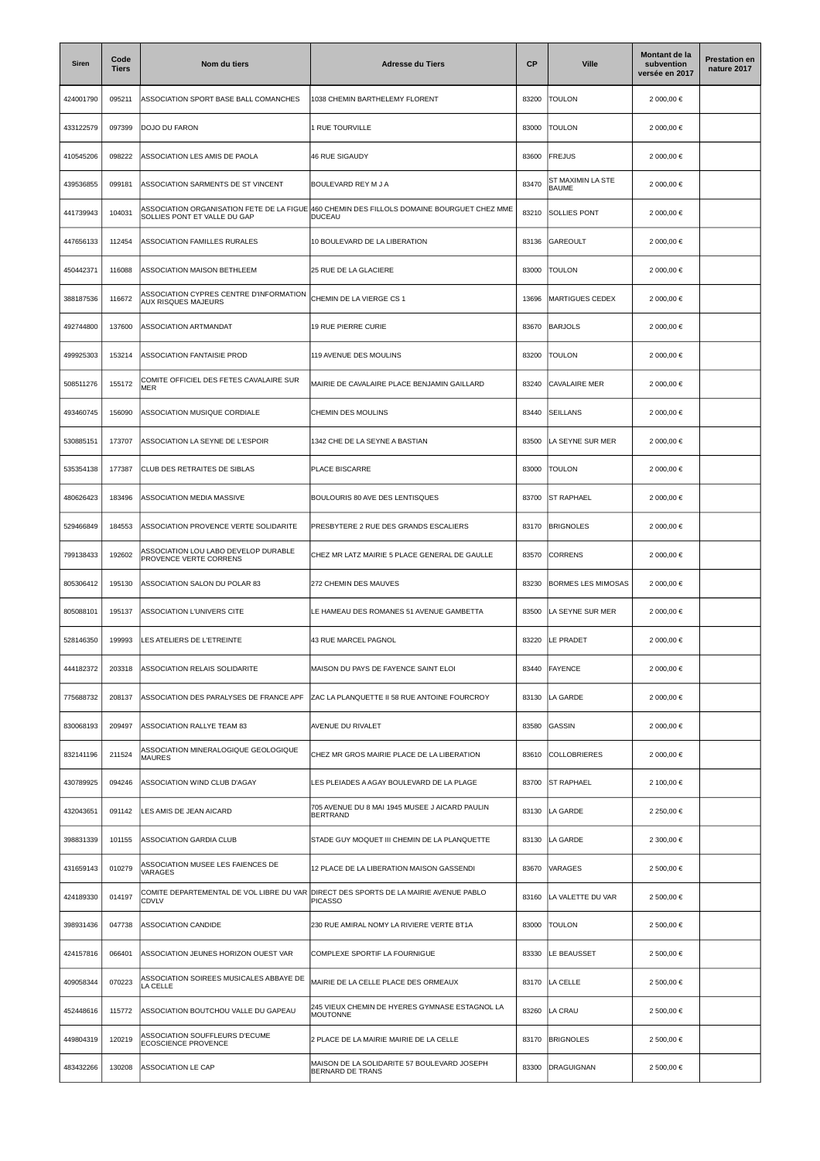| Siren     | Code<br><b>Tiers</b> | Nom du tiers                                                              | <b>Adresse du Tiers</b>                                           | <b>CP</b> | <b>Ville</b>                      | Montant de la<br>subvention<br>versée en 2017 | <b>Prestation en</b><br>nature 2017 |
|-----------|----------------------|---------------------------------------------------------------------------|-------------------------------------------------------------------|-----------|-----------------------------------|-----------------------------------------------|-------------------------------------|
| 424001790 | 095211               | ASSOCIATION SPORT BASE BALL COMANCHES                                     | 1038 CHEMIN BARTHELEMY FLORENT                                    | 83200     | TOULON                            | 2 000,00 €                                    |                                     |
| 433122579 | 097399               | DOJO DU FARON                                                             | <b>RUE TOURVILLE</b>                                              | 83000     | <b>TOULON</b>                     | 2 000,00 €                                    |                                     |
| 410545206 | 098222               | ASSOCIATION LES AMIS DE PAOLA                                             | <b>46 RUE SIGAUDY</b>                                             | 83600     | FREJUS                            | 2 000,00 €                                    |                                     |
| 439536855 | 099181               | ASSOCIATION SARMENTS DE ST VINCENT                                        | BOULEVARD REY M J A                                               | 83470     | ST MAXIMIN LA STE<br><b>BAUME</b> | 2 000,00 €                                    |                                     |
| 441739943 | 104031               | ASSOCIATION ORGANISATION FETE DE LA FIGUE<br>SOLLIES PONT ET VALLE DU GAP | 460 CHEMIN DES FILLOLS DOMAINE BOURGUET CHEZ MME<br>DUCEAU        | 83210     | <b>SOLLIES PONT</b>               | 2 000,00 €                                    |                                     |
| 447656133 | 112454               | ASSOCIATION FAMILLES RURALES                                              | 10 BOULEVARD DE LA LIBERATION                                     | 83136     | GAREOULT                          | 2 000,00 €                                    |                                     |
| 450442371 | 116088               | ASSOCIATION MAISON BETHLEEM                                               | 25 RUE DE LA GLACIERE                                             | 83000     | <b>TOULON</b>                     | 2 000,00 €                                    |                                     |
| 388187536 | 116672               | ASSOCIATION CYPRES CENTRE D'INFORMATION<br><b>AUX RISQUES MAJEURS</b>     | CHEMIN DE LA VIERGE CS 1                                          | 13696     | MARTIGUES CEDEX                   | 2 000,00 €                                    |                                     |
| 492744800 | 137600               | ASSOCIATION ARTMANDAT                                                     | <b>19 RUE PIERRE CURIE</b>                                        | 83670     | <b>BARJOLS</b>                    | 2 000,00 €                                    |                                     |
| 499925303 | 153214               | ASSOCIATION FANTAISIE PROD                                                | 119 AVENUE DES MOULINS                                            | 83200     | <b>TOULON</b>                     | 2 000,00 €                                    |                                     |
| 508511276 | 155172               | COMITE OFFICIEL DES FETES CAVALAIRE SUR<br><b>MER</b>                     | MAIRIE DE CAVALAIRE PLACE BENJAMIN GAILLARD                       | 83240     | <b>CAVALAIRE MER</b>              | 2 000,00 €                                    |                                     |
| 493460745 | 156090               | ASSOCIATION MUSIQUE CORDIALE                                              | CHEMIN DES MOULINS                                                | 83440     | <b>SEILLANS</b>                   | 2 000,00 €                                    |                                     |
| 530885151 | 173707               | ASSOCIATION LA SEYNE DE L'ESPOIR                                          | 1342 CHE DE LA SEYNE A BASTIAN                                    | 83500     | LA SEYNE SUR MER                  | 2 000,00 €                                    |                                     |
| 535354138 | 177387               | CLUB DES RETRAITES DE SIBLAS                                              | PLACE BISCARRE                                                    | 83000     | <b>TOULON</b>                     | 2 000,00 €                                    |                                     |
| 480626423 | 183496               | ASSOCIATION MEDIA MASSIVE                                                 | BOULOURIS 80 AVE DES LENTISQUES                                   | 83700     | <b>ST RAPHAEL</b>                 | 2 000,00 €                                    |                                     |
| 529466849 | 184553               | ASSOCIATION PROVENCE VERTE SOLIDARITE                                     | PRESBYTERE 2 RUE DES GRANDS ESCALIERS                             | 83170     | <b>BRIGNOLES</b>                  | 2 000,00 €                                    |                                     |
| 799138433 | 192602               | ASSOCIATION LOU LABO DEVELOP DURABLE<br>PROVENCE VERTE CORRENS            | CHEZ MR LATZ MAIRIE 5 PLACE GENERAL DE GAULLE                     | 83570     | <b>CORRENS</b>                    | 2 000,00 €                                    |                                     |
| 805306412 | 195130               | ASSOCIATION SALON DU POLAR 83                                             | 272 CHEMIN DES MAUVES                                             | 83230     | <b>BORMES LES MIMOSAS</b>         | 2 000,00 €                                    |                                     |
| 805088101 | 195137               | ASSOCIATION L'UNIVERS CITE                                                | LE HAMEAU DES ROMANES 51 AVENUE GAMBETTA                          | 83500     | LA SEYNE SUR MER                  | 2 000,00 €                                    |                                     |
| 528146350 | 199993               | LES ATELIERS DE L'ETREINTE                                                | 43 RUE MARCEL PAGNOL                                              | 83220     | LE PRADET                         | 2 000,00 €                                    |                                     |
| 444182372 | 203318               | ASSOCIATION RELAIS SOLIDARITE                                             | MAISON DU PAYS DE FAYENCE SAINT ELOI                              | 83440     | FAYENCE                           | 2 000,00 €                                    |                                     |
| 775688732 | 208137               | ASSOCIATION DES PARALYSES DE FRANCE APF                                   | ZAC LA PLANQUETTE II 58 RUE ANTOINE FOURCROY                      | 83130     | LA GARDE                          | 2 000,00 €                                    |                                     |
| 830068193 | 209497               | ASSOCIATION RALLYE TEAM 83                                                | AVENUE DU RIVALET                                                 | 83580     | GASSIN                            | 2 000,00 €                                    |                                     |
| 832141196 | 211524               | ASSOCIATION MINERALOGIQUE GEOLOGIQUE<br><b>MAURES</b>                     | CHEZ MR GROS MAIRIE PLACE DE LA LIBERATION                        | 83610     | <b>COLLOBRIERES</b>               | 2 000,00 €                                    |                                     |
| 430789925 | 094246               | ASSOCIATION WIND CLUB D'AGAY                                              | LES PLEIADES A AGAY BOULEVARD DE LA PLAGE                         | 83700     | <b>ST RAPHAEL</b>                 | 2 100,00 €                                    |                                     |
| 432043651 | 091142               | LES AMIS DE JEAN AICARD                                                   | 705 AVENUE DU 8 MAI 1945 MUSEE J AICARD PAULIN<br><b>BERTRAND</b> | 83130     | LA GARDE                          | 2 250,00 €                                    |                                     |
| 398831339 | 101155               | ASSOCIATION GARDIA CLUB                                                   | STADE GUY MOQUET III CHEMIN DE LA PLANQUETTE                      | 83130     | LA GARDE                          | 2 300,00 €                                    |                                     |
| 431659143 | 010279               | ASSOCIATION MUSEE LES FAIENCES DE<br>VARAGES                              | 12 PLACE DE LA LIBERATION MAISON GASSENDI                         | 83670     | VARAGES                           | 2 500,00 €                                    |                                     |
| 424189330 | 014197               | COMITE DEPARTEMENTAL DE VOL LIBRE DU VAR<br><b>CDVLV</b>                  | DIRECT DES SPORTS DE LA MAIRIE AVENUE PABLO<br><b>PICASSO</b>     | 83160     | LA VALETTE DU VAR                 | 2 500,00 €                                    |                                     |
| 398931436 | 047738               | ASSOCIATION CANDIDE                                                       | 230 RUE AMIRAL NOMY LA RIVIERE VERTE BT1A                         | 83000     | <b>TOULON</b>                     | 2 500,00 €                                    |                                     |
| 424157816 | 066401               | ASSOCIATION JEUNES HORIZON OUEST VAR                                      | COMPLEXE SPORTIF LA FOURNIGUE                                     | 83330     | LE BEAUSSET                       | 2 500,00 €                                    |                                     |
| 409058344 | 070223               | ASSOCIATION SOIREES MUSICALES ABBAYE DE<br>LA CELLE                       | MAIRIE DE LA CELLE PLACE DES ORMEAUX                              | 83170     | LA CELLE                          | 2 500,00 €                                    |                                     |
| 452448616 | 115772               | ASSOCIATION BOUTCHOU VALLE DU GAPEAU                                      | 245 VIEUX CHEMIN DE HYERES GYMNASE ESTAGNOL LA<br><b>MOUTONNE</b> | 83260     | LA CRAU                           | 2 500,00 €                                    |                                     |
| 449804319 | 120219               | ASSOCIATION SOUFFLEURS D'ECUME<br>ECOSCIENCE PROVENCE                     | 2 PLACE DE LA MAIRIE MAIRIE DE LA CELLE                           | 83170     | <b>BRIGNOLES</b>                  | 2 500,00 €                                    |                                     |
| 483432266 | 130208               | ASSOCIATION LE CAP                                                        | MAISON DE LA SOLIDARITE 57 BOULEVARD JOSEPH<br>BERNARD DE TRANS   | 83300     | DRAGUIGNAN                        | 2 500,00 €                                    |                                     |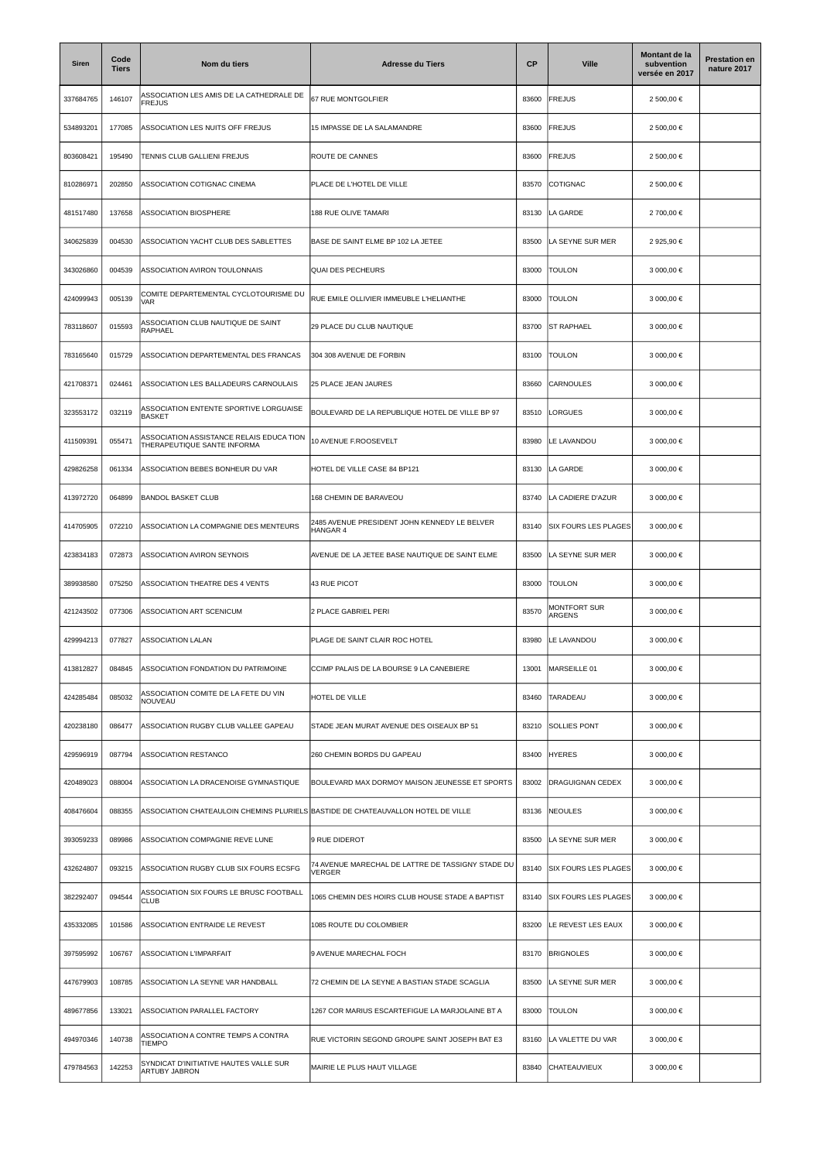| Siren     | Code<br><b>Tiers</b> | Nom du tiers                                                                     | <b>Adresse du Tiers</b>                                            | <b>CP</b> | <b>Ville</b>                | Montant de la<br>subvention<br>versée en 2017 | <b>Prestation en</b><br>nature 2017 |
|-----------|----------------------|----------------------------------------------------------------------------------|--------------------------------------------------------------------|-----------|-----------------------------|-----------------------------------------------|-------------------------------------|
| 337684765 | 146107               | ASSOCIATION LES AMIS DE LA CATHEDRALE DE<br><b>FREJUS</b>                        | 67 RUE MONTGOLFIER                                                 | 83600     | FREJUS                      | 2 500,00 €                                    |                                     |
| 534893201 | 177085               | ASSOCIATION LES NUITS OFF FREJUS                                                 | 15 IMPASSE DE LA SALAMANDRE                                        | 83600     | <b>FREJUS</b>               | 2 500,00 €                                    |                                     |
| 803608421 | 195490               | TENNIS CLUB GALLIENI FREJUS                                                      | ROUTE DE CANNES                                                    | 83600     | <b>FREJUS</b>               | 2 500,00 €                                    |                                     |
| 810286971 | 202850               | ASSOCIATION COTIGNAC CINEMA                                                      | PLACE DE L'HOTEL DE VILLE                                          | 83570     | <b>COTIGNAC</b>             | 2 500,00 €                                    |                                     |
| 481517480 | 137658               | ASSOCIATION BIOSPHERE                                                            | 188 RUE OLIVE TAMARI                                               | 83130     | LA GARDE                    | 2 700,00 €                                    |                                     |
| 340625839 | 004530               | ASSOCIATION YACHT CLUB DES SABLETTES                                             | BASE DE SAINT ELME BP 102 LA JETEE                                 | 83500     | LA SEYNE SUR MER            | 2 925,90 €                                    |                                     |
| 343026860 | 004539               | ASSOCIATION AVIRON TOULONNAIS                                                    | <b>QUAI DES PECHEURS</b>                                           | 83000     | <b>TOULON</b>               | 3 000,00 €                                    |                                     |
| 424099943 | 005139               | COMITE DEPARTEMENTAL CYCLOTOURISME DU<br>VAR                                     | RUE EMILE OLLIVIER IMMEUBLE L'HELIANTHE                            | 83000     | <b>TOULON</b>               | 3 000,00 €                                    |                                     |
| 783118607 | 015593               | ASSOCIATION CLUB NAUTIQUE DE SAINT<br>RAPHAEL                                    | 29 PLACE DU CLUB NAUTIQUE                                          | 83700     | <b>ST RAPHAEL</b>           | 3 000,00 €                                    |                                     |
| 783165640 | 015729               | ASSOCIATION DEPARTEMENTAL DES FRANCAS                                            | 304 308 AVENUE DE FORBIN                                           | 83100     | TOULON                      | 3 000,00 €                                    |                                     |
| 421708371 | 024461               | ASSOCIATION LES BALLADEURS CARNOULAIS                                            | 25 PLACE JEAN JAURES                                               | 83660     | <b>CARNOULES</b>            | 3 000,00 €                                    |                                     |
| 323553172 | 032119               | ASSOCIATION ENTENTE SPORTIVE LORGUAISE<br>BASKET                                 | BOULEVARD DE LA REPUBLIQUE HOTEL DE VILLE BP 97                    | 83510     | LORGUES                     | 3 000,00 €                                    |                                     |
| 411509391 | 055471               | ASSOCIATION ASSISTANCE RELAIS EDUCA TION<br>THERAPEUTIQUE SANTE INFORMA          | 10 AVENUE F.ROOSEVELT                                              | 83980     | LE LAVANDOU                 | 3 000,00 €                                    |                                     |
| 429826258 | 061334               | ASSOCIATION BEBES BONHEUR DU VAR                                                 | HOTEL DE VILLE CASE 84 BP121                                       | 83130     | LA GARDE                    | 3 000,00 €                                    |                                     |
| 413972720 | 064899               | <b>BANDOL BASKET CLUB</b>                                                        | 168 CHEMIN DE BARAVEOU                                             | 83740     | LA CADIERE D'AZUR           | 3 000,00 €                                    |                                     |
| 414705905 | 072210               | ASSOCIATION LA COMPAGNIE DES MENTEURS                                            | 2485 AVENUE PRESIDENT JOHN KENNEDY LE BELVER<br>HANGAR 4           | 83140     | <b>SIX FOURS LES PLAGES</b> | 3 000,00 €                                    |                                     |
| 423834183 | 072873               | ASSOCIATION AVIRON SEYNOIS                                                       | AVENUE DE LA JETEE BASE NAUTIQUE DE SAINT ELME                     | 83500     | LA SEYNE SUR MER            | 3 000,00 €                                    |                                     |
| 389938580 | 075250               | ASSOCIATION THEATRE DES 4 VENTS                                                  | 43 RUE PICOT                                                       | 83000     | <b>TOULON</b>               | 3 000,00 €                                    |                                     |
| 421243502 | 077306               | ASSOCIATION ART SCENICUM                                                         | 2 PLACE GABRIEL PERI                                               | 83570     | MONTFORT SUR<br>ARGENS      | 3 000,00 €                                    |                                     |
| 429994213 | 077827               | <b>ASSOCIATION LALAN</b>                                                         | PLAGE DE SAINT CLAIR ROC HOTEL                                     | 83980     | LE LAVANDOU                 | 3 000,00 €                                    |                                     |
| 413812827 | 084845               | ASSOCIATION FONDATION DU PATRIMOINE                                              | CCIMP PALAIS DE LA BOURSE 9 LA CANEBIERE                           | 13001     | MARSEILLE 01                | 3 000,00 €                                    |                                     |
| 424285484 | 085032               | ASSOCIATION COMITE DE LA FETE DU VIN<br>NOUVEAU                                  | HOTEL DE VILLE                                                     | 83460     | TARADEAU                    | 3 000,00 €                                    |                                     |
| 420238180 | 086477               | ASSOCIATION RUGBY CLUB VALLEE GAPEAU                                             | STADE JEAN MURAT AVENUE DES OISEAUX BP 51                          | 83210     | <b>SOLLIES PONT</b>         | 3 000,00 €                                    |                                     |
| 429596919 | 087794               | <b>ASSOCIATION RESTANCO</b>                                                      | 260 CHEMIN BORDS DU GAPEAU                                         | 83400     | <b>HYERES</b>               | 3 000.00 €                                    |                                     |
| 420489023 | 088004               | ASSOCIATION LA DRACENOISE GYMNASTIQUE                                            | BOULEVARD MAX DORMOY MAISON JEUNESSE ET SPORTS                     | 83002     | DRAGUIGNAN CEDEX            | 3 000,00 €                                    |                                     |
| 408476604 | 088355               | ASSOCIATION CHATEAULOIN CHEMINS PLURIELS BASTIDE DE CHATEAUVALLON HOTEL DE VILLE |                                                                    | 83136     | <b>NEOULES</b>              | 3 000,00 €                                    |                                     |
| 393059233 | 089986               | ASSOCIATION COMPAGNIE REVE LUNE                                                  | 9 RUE DIDEROT                                                      | 83500     | LA SEYNE SUR MER            | 3 000,00 €                                    |                                     |
| 432624807 | 093215               | ASSOCIATION RUGBY CLUB SIX FOURS ECSFG                                           | 74 AVENUE MARECHAL DE LATTRE DE TASSIGNY STADE DU<br><b>VERGER</b> | 83140     | <b>SIX FOURS LES PLAGES</b> | 3 000,00 €                                    |                                     |
| 382292407 | 094544               | ASSOCIATION SIX FOURS LE BRUSC FOOTBALL<br><b>CLUB</b>                           | 1065 CHEMIN DES HOIRS CLUB HOUSE STADE A BAPTIST                   | 83140     | <b>SIX FOURS LES PLAGES</b> | 3 000,00 €                                    |                                     |
| 435332085 | 101586               | ASSOCIATION ENTRAIDE LE REVEST                                                   | 1085 ROUTE DU COLOMBIER                                            | 83200     | LE REVEST LES EAUX          | 3 000,00 €                                    |                                     |
| 397595992 | 106767               | <b>ASSOCIATION L'IMPARFAIT</b>                                                   | 9 AVENUE MARECHAL FOCH                                             | 83170     | <b>BRIGNOLES</b>            | 3 000,00 €                                    |                                     |
| 447679903 | 108785               | ASSOCIATION LA SEYNE VAR HANDBALL                                                | 72 CHEMIN DE LA SEYNE A BASTIAN STADE SCAGLIA                      | 83500     | LA SEYNE SUR MER            | 3 000,00 €                                    |                                     |
| 489677856 | 133021               | ASSOCIATION PARALLEL FACTORY                                                     | 1267 COR MARIUS ESCARTEFIGUE LA MARJOLAINE BT A                    | 83000     | <b>TOULON</b>               | 3 000,00 €                                    |                                     |
| 494970346 | 140738               | ASSOCIATION A CONTRE TEMPS A CONTRA<br><b>TIEMPO</b>                             | RUE VICTORIN SEGOND GROUPE SAINT JOSEPH BAT E3                     | 83160     | LA VALETTE DU VAR           | 3 000,00 €                                    |                                     |
| 479784563 | 142253               | SYNDICAT D'INITIATIVE HAUTES VALLE SUR<br>ARTUBY JABRON                          | MAIRIE LE PLUS HAUT VILLAGE                                        | 83840     | CHATEAUVIEUX                | 3 000,00 €                                    |                                     |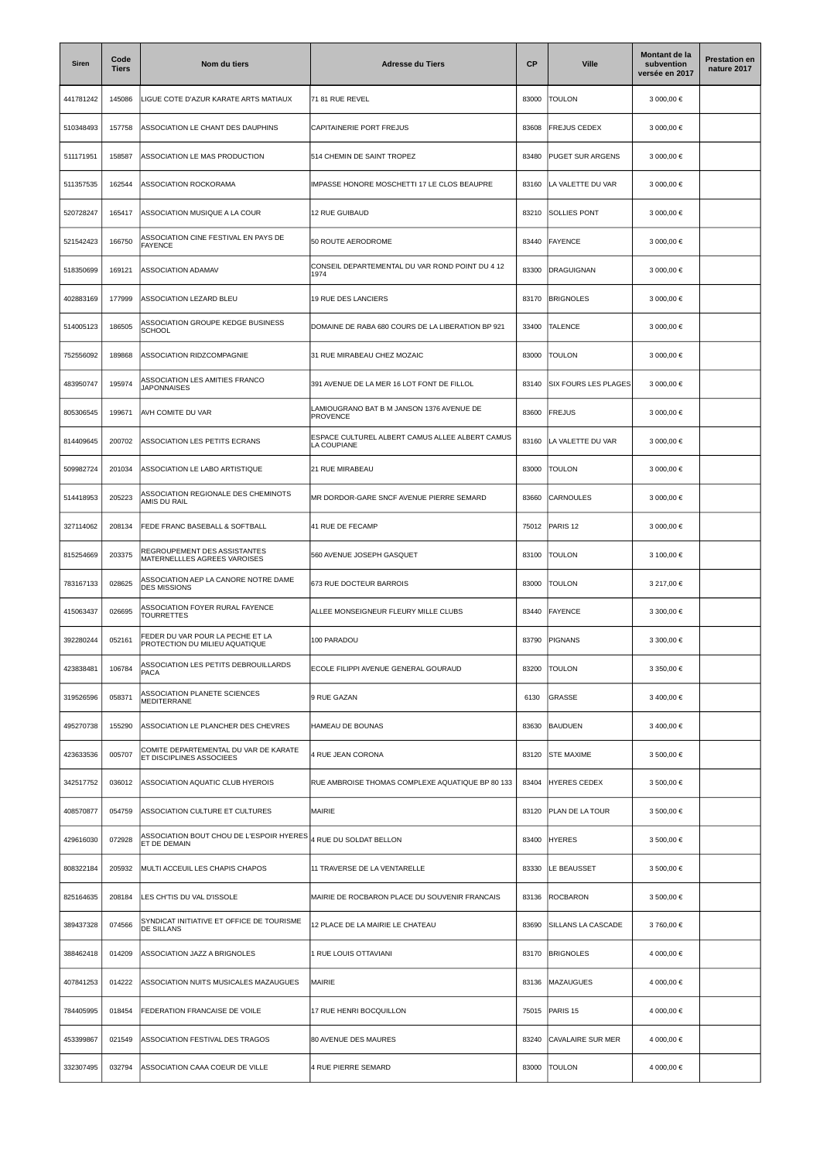| Siren     | Code<br><b>Tiers</b> | Nom du tiers                                                       | <b>Adresse du Tiers</b>                                        | <b>CP</b> | <b>Ville</b>                | Montant de la<br>subvention<br>versée en 2017 | <b>Prestation en</b><br>nature 2017 |
|-----------|----------------------|--------------------------------------------------------------------|----------------------------------------------------------------|-----------|-----------------------------|-----------------------------------------------|-------------------------------------|
| 441781242 | 145086               | LIGUE COTE D'AZUR KARATE ARTS MATIAUX                              | 71 81 RUE REVEL                                                | 83000     | <b>TOULON</b>               | 3 000,00 €                                    |                                     |
| 510348493 | 157758               | ASSOCIATION LE CHANT DES DAUPHINS                                  | CAPITAINERIE PORT FREJUS                                       | 83608     | <b>FREJUS CEDEX</b>         | 3 000,00 €                                    |                                     |
| 511171951 | 158587               | ASSOCIATION LE MAS PRODUCTION                                      | 514 CHEMIN DE SAINT TROPEZ                                     | 83480     | <b>PUGET SUR ARGENS</b>     | 3 000,00 €                                    |                                     |
| 511357535 | 162544               | ASSOCIATION ROCKORAMA                                              | IMPASSE HONORE MOSCHETTI 17 LE CLOS BEAUPRE                    | 83160     | LA VALETTE DU VAR           | 3 000,00 €                                    |                                     |
| 520728247 | 165417               | ASSOCIATION MUSIQUE A LA COUR                                      | 12 RUE GUIBAUD                                                 | 83210     | <b>SOLLIES PONT</b>         | 3 000,00 €                                    |                                     |
| 521542423 | 166750               | ASSOCIATION CINE FESTIVAL EN PAYS DE<br><b>FAYENCE</b>             | 50 ROUTE AERODROME                                             | 83440     | <b>FAYENCE</b>              | 3 000,00 €                                    |                                     |
| 518350699 | 169121               | ASSOCIATION ADAMAV                                                 | CONSEIL DEPARTEMENTAL DU VAR ROND POINT DU 4 12<br>1974        | 83300     | DRAGUIGNAN                  | 3 000,00 €                                    |                                     |
| 402883169 | 177999               | ASSOCIATION LEZARD BLEU                                            | 19 RUE DES LANCIERS                                            | 83170     | <b>BRIGNOLES</b>            | 3 000,00 €                                    |                                     |
| 514005123 | 186505               | ASSOCIATION GROUPE KEDGE BUSINESS<br><b>SCHOOL</b>                 | DOMAINE DE RABA 680 COURS DE LA LIBERATION BP 921              | 33400     | <b>TALENCE</b>              | 3 000,00 €                                    |                                     |
| 752556092 | 189868               | ASSOCIATION RIDZCOMPAGNIE                                          | 31 RUE MIRABEAU CHEZ MOZAIC                                    | 83000     | <b>TOULON</b>               | 3 000,00 €                                    |                                     |
| 483950747 | 195974               | ASSOCIATION LES AMITIES FRANCO<br><b>JAPONNAISES</b>               | 391 AVENUE DE LA MER 16 LOT FONT DE FILLOL                     | 83140     | <b>SIX FOURS LES PLAGES</b> | 3 000,00 €                                    |                                     |
| 805306545 | 199671               | AVH COMITE DU VAR                                                  | LAMIOUGRANO BAT B M JANSON 1376 AVENUE DE<br><b>PROVENCE</b>   | 83600     | <b>FREJUS</b>               | 3 000,00 €                                    |                                     |
| 814409645 | 200702               | ASSOCIATION LES PETITS ECRANS                                      | ESPACE CULTUREL ALBERT CAMUS ALLEE ALBERT CAMUS<br>LA COUPIANE | 83160     | LA VALETTE DU VAR           | 3 000,00 €                                    |                                     |
| 509982724 | 201034               | ASSOCIATION LE LABO ARTISTIQUE                                     | 21 RUE MIRABEAU                                                | 83000     | Toulon                      | 3 000,00 €                                    |                                     |
| 514418953 | 205223               | ASSOCIATION REGIONALE DES CHEMINOTS<br>AMIS DU RAIL                | MR DORDOR-GARE SNCF AVENUE PIERRE SEMARD                       | 83660     | <b>CARNOULES</b>            | 3 000,00 €                                    |                                     |
| 327114062 | 208134               | FEDE FRANC BASEBALL & SOFTBALL                                     | 41 RUE DE FECAMP                                               | 75012     | PARIS <sub>12</sub>         | 3 000,00 €                                    |                                     |
| 815254669 | 203375               | REGROUPEMENT DES ASSISTANTES<br>MATERNELLLES AGREES VAROISES       | 560 AVENUE JOSEPH GASQUET                                      | 83100     | TOULON                      | 3 100,00 €                                    |                                     |
| 783167133 | 028625               | ASSOCIATION AEP LA CANORE NOTRE DAME<br><b>DES MISSIONS</b>        | 673 RUE DOCTEUR BARROIS                                        | 83000     | <b>TOULON</b>               | 3 217,00 €                                    |                                     |
| 415063437 | 026695               | ASSOCIATION FOYER RURAL FAYENCE<br><b>TOURRETTES</b>               | ALLEE MONSEIGNEUR FLEURY MILLE CLUBS                           | 83440     | <b>FAYENCE</b>              | 3 300,00 €                                    |                                     |
| 392280244 | 052161               | FEDER DU VAR POUR LA PECHE ET LA<br>PROTECTION DU MILIEU AQUATIQUE | 100 PARADOU                                                    | 83790     | <b>PIGNANS</b>              | 3 300,00 €                                    |                                     |
| 423838481 | 106784               | <b>ASSOCIATION LES PETITS DEBROUILLARDS</b><br>PACA                | ECOLE FILIPPI AVENUE GENERAL GOURAUD                           | 83200     | <b>TOULON</b>               | 3 350,00 €                                    |                                     |
| 319526596 | 058371               | ASSOCIATION PLANETE SCIENCES<br><b>MEDITERRANE</b>                 | 9 RUE GAZAN                                                    | 6130      | <b>GRASSE</b>               | 3 400,00 €                                    |                                     |
| 495270738 | 155290               | ASSOCIATION LE PLANCHER DES CHEVRES                                | HAMEAU DE BOUNAS                                               | 83630     | <b>BAUDUEN</b>              | 3 400,00 €                                    |                                     |
| 423633536 | 005707               | COMITE DEPARTEMENTAL DU VAR DE KARATE<br>ET DISCIPLINES ASSOCIEES  | <b>4 RUE JEAN CORONA</b>                                       | 83120     | <b>STE MAXIME</b>           | 3 500.00 €                                    |                                     |
| 342517752 | 036012               | ASSOCIATION AQUATIC CLUB HYEROIS                                   | RUE AMBROISE THOMAS COMPLEXE AQUATIQUE BP 80 133               | 83404     | <b>HYERES CEDEX</b>         | 3 500,00 €                                    |                                     |
| 408570877 | 054759               | ASSOCIATION CULTURE ET CULTURES                                    | <b>MAIRIE</b>                                                  | 83120     | PLAN DE LA TOUR             | 3 500,00 €                                    |                                     |
| 429616030 | 072928               | ASSOCIATION BOUT CHOU DE L'ESPOIR HYERES<br>ET DE DEMAIN           | 4 RUE DU SOLDAT BELLON                                         | 83400     | <b>HYERES</b>               | 3 500,00 €                                    |                                     |
| 808322184 | 205932               | MULTI ACCEUIL LES CHAPIS CHAPOS                                    | 11 TRAVERSE DE LA VENTARELLE                                   | 83330     | LE BEAUSSET                 | 3 500,00 €                                    |                                     |
| 825164635 | 208184               | LES CH'TIS DU VAL D'ISSOLE                                         | MAIRIE DE ROCBARON PLACE DU SOUVENIR FRANCAIS                  | 83136     | <b>ROCBARON</b>             | 3 500,00 €                                    |                                     |
| 389437328 | 074566               | SYNDICAT INITIATIVE ET OFFICE DE TOURISME<br>DE SILLANS            | 12 PLACE DE LA MAIRIE LE CHATEAU                               | 83690     | SILLANS LA CASCADE          | 3 760,00 €                                    |                                     |
| 388462418 | 014209               | ASSOCIATION JAZZ A BRIGNOLES                                       | I RUE LOUIS OTTAVIANI                                          | 83170     | <b>BRIGNOLES</b>            | 4 000,00 €                                    |                                     |
| 407841253 | 014222               | ASSOCIATION NUITS MUSICALES MAZAUGUES                              | <b>MAIRIE</b>                                                  | 83136     | MAZAUGUES                   | 4 000,00 €                                    |                                     |
| 784405995 | 018454               | FEDERATION FRANCAISE DE VOILE                                      | 17 RUE HENRI BOCQUILLON                                        | 75015     | PARIS <sub>15</sub>         | 4 000,00 €                                    |                                     |
| 453399867 | 021549               | ASSOCIATION FESTIVAL DES TRAGOS                                    | 80 AVENUE DES MAURES                                           | 83240     | CAVALAIRE SUR MER           | 4 000,00 €                                    |                                     |
| 332307495 | 032794               | ASSOCIATION CAAA COEUR DE VILLE                                    | 4 RUE PIERRE SEMARD                                            | 83000     | <b>TOULON</b>               | 4 000,00 €                                    |                                     |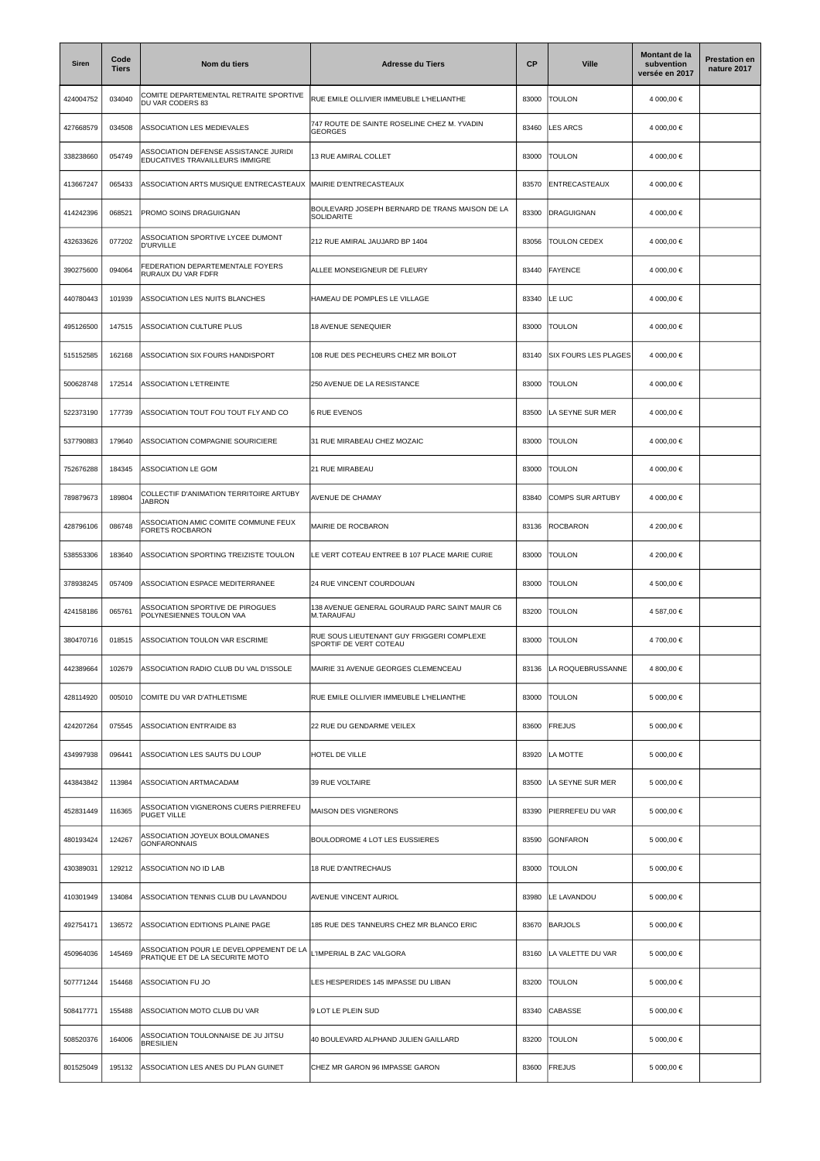| <b>Siren</b> | Code<br><b>Tiers</b> | Nom du tiers                                                               | <b>Adresse du Tiers</b>                                             | СP    | <b>Ville</b>                | Montant de la<br>subvention<br>versée en 2017 | <b>Prestation en</b><br>nature 2017 |
|--------------|----------------------|----------------------------------------------------------------------------|---------------------------------------------------------------------|-------|-----------------------------|-----------------------------------------------|-------------------------------------|
| 424004752    | 034040               | COMITE DEPARTEMENTAL RETRAITE SPORTIVE<br>DU VAR CODERS 83                 | RUE EMILE OLLIVIER IMMEUBLE L'HELIANTHE                             | 83000 | TOULON                      | 4 000,00 €                                    |                                     |
| 427668579    | 034508               | ASSOCIATION LES MEDIEVALES                                                 | 747 ROUTE DE SAINTE ROSELINE CHEZ M. YVADIN<br><b>GEORGES</b>       | 83460 | LES ARCS                    | 4 000,00 €                                    |                                     |
| 338238660    | 054749               | ASSOCIATION DEFENSE ASSISTANCE JURIDI<br>EDUCATIVES TRAVAILLEURS IMMIGRE   | 13 RUE AMIRAL COLLET                                                | 83000 | <b>TOULON</b>               | 4 000,00 €                                    |                                     |
| 413667247    | 065433               | ASSOCIATION ARTS MUSIQUE ENTRECASTEAUX                                     | MAIRIE D'ENTRECASTEAUX                                              | 83570 | ENTRECASTEAUX               | 4 000.00 €                                    |                                     |
| 414242396    | 068521               | PROMO SOINS DRAGUIGNAN                                                     | BOULEVARD JOSEPH BERNARD DE TRANS MAISON DE LA<br>SOLIDARITE        | 83300 | <b>DRAGUIGNAN</b>           | 4 000,00 €                                    |                                     |
| 432633626    | 077202               | ASSOCIATION SPORTIVE LYCEE DUMONT<br><b>D'URVILLE</b>                      | 212 RUE AMIRAL JAUJARD BP 1404                                      | 83056 | <b>TOULON CEDEX</b>         | 4 000,00 €                                    |                                     |
| 390275600    | 094064               | <b>FEDERATION DEPARTEMENTALE FOYERS</b><br>RURAUX DU VAR FDFR              | ALLEE MONSEIGNEUR DE FLEURY                                         | 83440 | <b>FAYENCE</b>              | 4 000,00 €                                    |                                     |
| 440780443    | 101939               | ASSOCIATION LES NUITS BLANCHES                                             | HAMEAU DE POMPLES LE VILLAGE                                        | 83340 | LE LUC                      | 4 000,00 €                                    |                                     |
| 495126500    | 147515               | ASSOCIATION CULTURE PLUS                                                   | <b>18 AVENUE SENEQUIER</b>                                          | 83000 | <b>TOULON</b>               | 4 000,00 €                                    |                                     |
| 515152585    | 162168               | ASSOCIATION SIX FOURS HANDISPORT                                           | 108 RUE DES PECHEURS CHEZ MR BOILOT                                 | 83140 | <b>SIX FOURS LES PLAGES</b> | 4 000,00 €                                    |                                     |
| 500628748    | 172514               | <b>ASSOCIATION L'ETREINTE</b>                                              | 250 AVENUE DE LA RESISTANCE                                         | 83000 | <b>TOULON</b>               | 4 000,00 €                                    |                                     |
| 522373190    | 177739               | ASSOCIATION TOUT FOU TOUT FLY AND CO                                       | <b>6 RUE EVENOS</b>                                                 | 83500 | LA SEYNE SUR MER            | 4 000,00 €                                    |                                     |
| 537790883    | 179640               | ASSOCIATION COMPAGNIE SOURICIERE                                           | 31 RUE MIRABEAU CHEZ MOZAIC                                         | 83000 | <b>TOULON</b>               | 4 000,00 €                                    |                                     |
| 752676288    | 184345               | ASSOCIATION LE GOM                                                         | 21 RUE MIRABEAU                                                     | 83000 | <b>TOULON</b>               | 4 000,00 €                                    |                                     |
| 789879673    | 189804               | COLLECTIF D'ANIMATION TERRITOIRE ARTUBY<br><b>JABRON</b>                   | AVENUE DE CHAMAY                                                    | 83840 | COMPS SUR ARTUBY            | 4 000,00 €                                    |                                     |
| 428796106    | 086748               | ASSOCIATION AMIC COMITE COMMUNE FEUX<br>FORETS ROCBARON                    | MAIRIE DE ROCBARON                                                  | 83136 | <b>ROCBARON</b>             | 4 200,00 €                                    |                                     |
| 538553306    | 183640               | ASSOCIATION SPORTING TREIZISTE TOULON                                      | LE VERT COTEAU ENTREE B 107 PLACE MARIE CURIE                       | 83000 | <b>TOULON</b>               | 4 200,00 €                                    |                                     |
| 378938245    | 057409               | ASSOCIATION ESPACE MEDITERRANEE                                            | 24 RUE VINCENT COURDOUAN                                            | 83000 | <b>TOULON</b>               | 4 500,00 €                                    |                                     |
| 424158186    | 065761               | ASSOCIATION SPORTIVE DE PIROGUES<br>POLYNESIENNES TOULON VAA               | 138 AVENUE GENERAL GOURAUD PARC SAINT MAUR C6<br>M.TARAUFAU         | 83200 | <b>TOULON</b>               | 4 587,00 €                                    |                                     |
| 380470716    | 018515               | ASSOCIATION TOULON VAR ESCRIME                                             | RUE SOUS LIEUTENANT GUY FRIGGERI COMPLEXE<br>SPORTIF DE VERT COTEAU | 83000 | <b>TOULON</b>               | 4 700,00 €                                    |                                     |
| 442389664    | 102679               | ASSOCIATION RADIO CLUB DU VAL D'ISSOLE                                     | MAIRIE 31 AVENUE GEORGES CLEMENCEAU                                 | 83136 | LA ROQUEBRUSSANNE           | 4 800,00 €                                    |                                     |
| 428114920    | 005010               | COMITE DU VAR D'ATHLETISME                                                 | RUE EMILE OLLIVIER IMMEUBLE L'HELIANTHE                             | 83000 | <b>TOULON</b>               | 5 000,00 €                                    |                                     |
| 424207264    | 075545               | <b>ASSOCIATION ENTR'AIDE 83</b>                                            | 22 RUE DU GENDARME VEILEX                                           | 83600 | <b>FREJUS</b>               | 5 000,00 €                                    |                                     |
| 434997938    | 096441               | ASSOCIATION LES SAUTS DU LOUP                                              | HOTEL DE VILLE                                                      | 83920 | LA MOTTE                    | 5 000,00 €                                    |                                     |
| 443843842    | 113984               | ASSOCIATION ARTMACADAM                                                     | 39 RUE VOLTAIRE                                                     | 83500 | LA SEYNE SUR MER            | 5 000,00 €                                    |                                     |
| 452831449    | 116365               | ASSOCIATION VIGNERONS CUERS PIERREFEU<br>PUGET VILLE                       | MAISON DES VIGNERONS                                                | 83390 | PIERREFEU DU VAR            | 5 000,00 €                                    |                                     |
| 480193424    | 124267               | ASSOCIATION JOYEUX BOULOMANES<br><b>GONFARONNAIS</b>                       | BOULODROME 4 LOT LES EUSSIERES                                      | 83590 | <b>GONFARON</b>             | 5 000,00 €                                    |                                     |
| 430389031    | 129212               | ASSOCIATION NO ID LAB                                                      | 18 RUE D'ANTRECHAUS                                                 | 83000 | <b>TOULON</b>               | 5 000,00 €                                    |                                     |
| 410301949    | 134084               | ASSOCIATION TENNIS CLUB DU LAVANDOU                                        | AVENUE VINCENT AURIOL                                               | 83980 | LE LAVANDOU                 | 5 000,00 €                                    |                                     |
| 492754171    | 136572               | ASSOCIATION EDITIONS PLAINE PAGE                                           | 185 RUE DES TANNEURS CHEZ MR BLANCO ERIC                            | 83670 | <b>BARJOLS</b>              | 5 000,00 €                                    |                                     |
| 450964036    | 145469               | ASSOCIATION POUR LE DEVELOPPEMENT DE LA<br>PRATIQUE ET DE LA SECURITE MOTO | IMPERIAL B ZAC VALGORA                                              | 83160 | LA VALETTE DU VAR           | 5 000,00 €                                    |                                     |
| 507771244    | 154468               | ASSOCIATION FU JO                                                          | LES HESPERIDES 145 IMPASSE DU LIBAN                                 | 83200 | <b>TOULON</b>               | 5 000,00 €                                    |                                     |
| 508417771    | 155488               | ASSOCIATION MOTO CLUB DU VAR                                               | 9 LOT LE PLEIN SUD                                                  | 83340 | <b>CABASSE</b>              | 5 000,00 €                                    |                                     |
| 508520376    | 164006               | ASSOCIATION TOULONNAISE DE JU JITSU<br><b>BRESILIEN</b>                    | 40 BOULEVARD ALPHAND JULIEN GAILLARD                                | 83200 | <b>TOULON</b>               | 5 000,00 €                                    |                                     |
| 801525049    | 195132               | ASSOCIATION LES ANES DU PLAN GUINET                                        | CHEZ MR GARON 96 IMPASSE GARON                                      | 83600 | <b>FREJUS</b>               | 5 000,00 €                                    |                                     |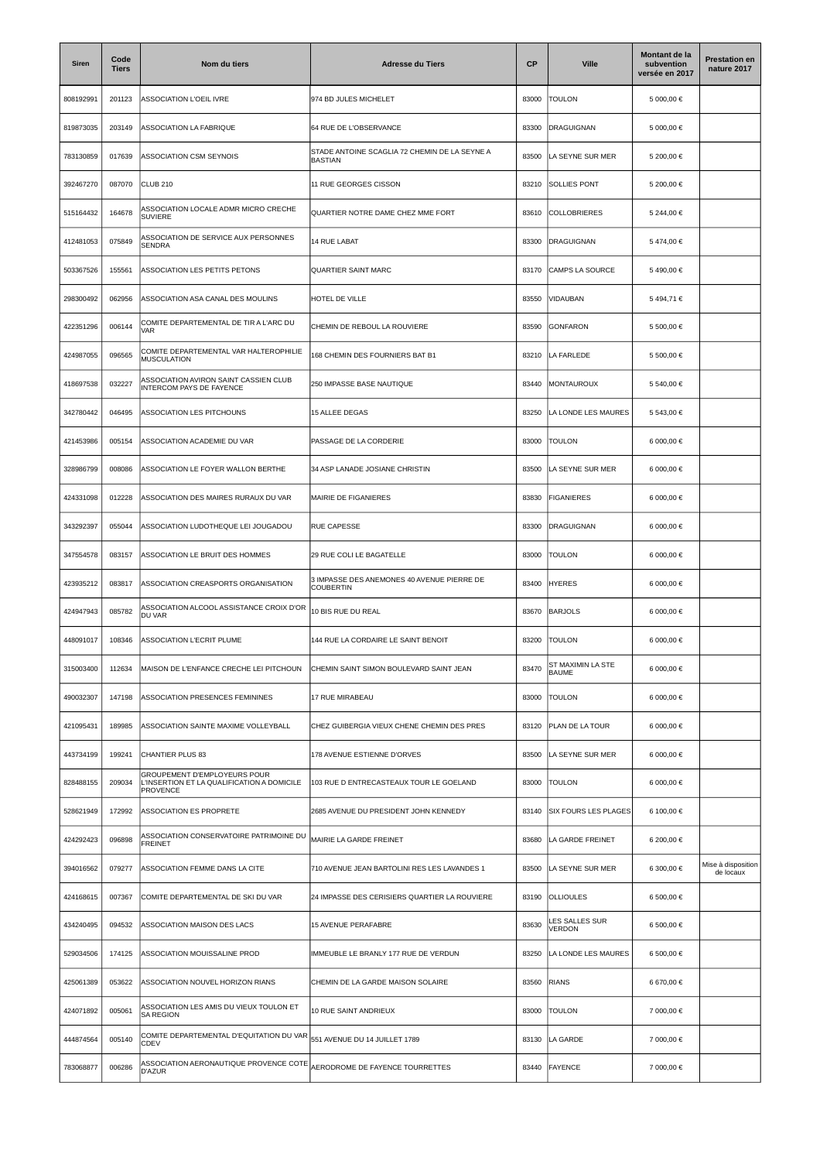| Siren     | Code<br><b>Tiers</b> | Nom du tiers                                                                                  | <b>Adresse du Tiers</b>                                         | <b>CP</b> | <b>Ville</b>                      | Montant de la<br>subvention<br>versée en 2017 | <b>Prestation en</b><br>nature 2017 |
|-----------|----------------------|-----------------------------------------------------------------------------------------------|-----------------------------------------------------------------|-----------|-----------------------------------|-----------------------------------------------|-------------------------------------|
| 808192991 | 201123               | ASSOCIATION L'OEIL IVRE                                                                       | 974 BD JULES MICHELET                                           | 83000     | <b>TOULON</b>                     | 5 000,00 €                                    |                                     |
| 819873035 | 203149               | ASSOCIATION LA FABRIQUE                                                                       | 64 RUE DE L'OBSERVANCE                                          | 83300     | DRAGUIGNAN                        | 5 000.00 €                                    |                                     |
| 783130859 | 017639               | ASSOCIATION CSM SEYNOIS                                                                       | STADE ANTOINE SCAGLIA 72 CHEMIN DE LA SEYNE A<br><b>BASTIAN</b> | 83500     | LA SEYNE SUR MER                  | 5 200,00 €                                    |                                     |
| 392467270 | 087070               | CLUB <sub>210</sub>                                                                           | 11 RUE GEORGES CISSON                                           | 83210     | <b>SOLLIES PONT</b>               | 5 200,00 €                                    |                                     |
| 515164432 | 164678               | ASSOCIATION LOCALE ADMR MICRO CRECHE<br><b>SUVIERE</b>                                        | QUARTIER NOTRE DAME CHEZ MME FORT                               | 83610     | COLLOBRIERES                      | 5 244,00 €                                    |                                     |
| 412481053 | 075849               | ASSOCIATION DE SERVICE AUX PERSONNES<br><b>SENDRA</b>                                         | 14 RUE LABAT                                                    | 83300     | <b>DRAGUIGNAN</b>                 | 5474,00€                                      |                                     |
| 503367526 | 155561               | ASSOCIATION LES PETITS PETONS                                                                 | <b>QUARTIER SAINT MARC</b>                                      | 83170     | <b>CAMPS LA SOURCE</b>            | 5490,00€                                      |                                     |
| 298300492 | 062956               | ASSOCIATION ASA CANAL DES MOULINS                                                             | HOTEL DE VILLE                                                  | 83550     | VIDAUBAN                          | 5494,71€                                      |                                     |
| 422351296 | 006144               | COMITE DEPARTEMENTAL DE TIR A L'ARC DU<br><b>VAR</b>                                          | CHEMIN DE REBOUL LA ROUVIERE                                    | 83590     | GONFARON                          | 5 500,00 €                                    |                                     |
| 424987055 | 096565               | COMITE DEPARTEMENTAL VAR HALTEROPHILIE<br><b>MUSCULATION</b>                                  | 168 CHEMIN DES FOURNIERS BAT B1                                 | 83210     | LA FARLEDE                        | 5 500,00 €                                    |                                     |
| 418697538 | 032227               | ASSOCIATION AVIRON SAINT CASSIEN CLUB<br>INTERCOM PAYS DE FAYENCE                             | 250 IMPASSE BASE NAUTIQUE                                       | 83440     | <b>MONTAUROUX</b>                 | 5 540,00 €                                    |                                     |
| 342780442 | 046495               | ASSOCIATION LES PITCHOUNS                                                                     | <b>15 ALLEE DEGAS</b>                                           | 83250     | LA LONDE LES MAURES               | 5 543,00 €                                    |                                     |
| 421453986 | 005154               | ASSOCIATION ACADEMIE DU VAR                                                                   | PASSAGE DE LA CORDERIE                                          | 83000     | TOULON                            | 6 000,00 €                                    |                                     |
| 328986799 | 008086               | ASSOCIATION LE FOYER WALLON BERTHE                                                            | 34 ASP LANADE JOSIANE CHRISTIN                                  | 83500     | LA SEYNE SUR MER                  | 6 000,00 €                                    |                                     |
| 424331098 | 012228               | ASSOCIATION DES MAIRES RURAUX DU VAR                                                          | MAIRIE DE FIGANIERES                                            | 83830     | <b>FIGANIERES</b>                 | 6 000,00 €                                    |                                     |
| 343292397 | 055044               | ASSOCIATION LUDOTHEQUE LEI JOUGADOU                                                           | RUE CAPESSE                                                     | 83300     | DRAGUIGNAN                        | 6 000,00 €                                    |                                     |
| 347554578 | 083157               | ASSOCIATION LE BRUIT DES HOMMES                                                               | 29 RUE COLI LE BAGATELLE                                        | 83000     | <b>TOULON</b>                     | 6 000,00 €                                    |                                     |
| 423935212 | 083817               | ASSOCIATION CREASPORTS ORGANISATION                                                           | 3 IMPASSE DES ANEMONES 40 AVENUE PIERRE DE<br>COUBERTIN         | 83400     | <b>HYERES</b>                     | 6 000,00 €                                    |                                     |
| 424947943 | 085782               | ASSOCIATION ALCOOL ASSISTANCE CROIX D'OR<br>DU VAR                                            | 10 BIS RUE DU REAL                                              | 83670     | <b>BARJOLS</b>                    | 6 000,00 €                                    |                                     |
| 448091017 | 108346               | ASSOCIATION L'ECRIT PLUME                                                                     | 144 RUE LA CORDAIRE LE SAINT BENOIT                             | 83200     | <b>TOULON</b>                     | 6 000,00 €                                    |                                     |
| 315003400 | 112634               | MAISON DE L'ENFANCE CRECHE LEI PITCHOUN                                                       | CHEMIN SAINT SIMON BOULEVARD SAINT JEAN                         | 83470     | ST MAXIMIN LA STE<br><b>BAUME</b> | 6 000,00 €                                    |                                     |
| 490032307 | 147198               | ASSOCIATION PRESENCES FEMININES                                                               | 17 RUE MIRABEAU                                                 | 83000     | <b>TOULON</b>                     | 6 000,00 €                                    |                                     |
| 421095431 | 189985               | ASSOCIATION SAINTE MAXIME VOLLEYBALL                                                          | CHEZ GUIBERGIA VIEUX CHENE CHEMIN DES PRES                      | 83120     | PLAN DE LA TOUR                   | 6 000,00 €                                    |                                     |
| 443734199 | 199241               | CHANTIER PLUS 83                                                                              | 178 AVENUE ESTIENNE D'ORVES                                     | 83500     | LA SEYNE SUR MER                  | 6 000,00 €                                    |                                     |
| 828488155 | 209034               | GROUPEMENT D'EMPLOYEURS POUR<br>L'INSERTION ET LA QUALIFICATION A DOMICILE<br><b>PROVENCE</b> | 103 RUE D ENTRECASTEAUX TOUR LE GOELAND                         | 83000     | TOULON                            | 6 000,00 €                                    |                                     |
| 528621949 | 172992               | ASSOCIATION ES PROPRETE                                                                       | 2685 AVENUE DU PRESIDENT JOHN KENNEDY                           | 83140     | <b>SIX FOURS LES PLAGES</b>       | 6 100,00 €                                    |                                     |
| 424292423 | 096898               | ASSOCIATION CONSERVATOIRE PATRIMOINE DU<br><b>FREINET</b>                                     | MAIRIE LA GARDE FREINET                                         | 83680     | LA GARDE FREINET                  | 6 200,00 €                                    |                                     |
| 394016562 | 079277               | ASSOCIATION FEMME DANS LA CITE                                                                | 710 AVENUE JEAN BARTOLINI RES LES LAVANDES 1                    | 83500     | LA SEYNE SUR MER                  | 6 300,00 €                                    | Mise à disposition<br>de locaux     |
| 424168615 | 007367               | COMITE DEPARTEMENTAL DE SKI DU VAR                                                            | 24 IMPASSE DES CERISIERS QUARTIER LA ROUVIERE                   | 83190     | <b>OLLIOULES</b>                  | 6 500,00 €                                    |                                     |
| 434240495 | 094532               | ASSOCIATION MAISON DES LACS                                                                   | 15 AVENUE PERAFABRE                                             | 83630     | LES SALLES SUR<br><b>VERDON</b>   | 6 500,00 €                                    |                                     |
| 529034506 | 174125               | ASSOCIATION MOUISSALINE PROD                                                                  | IMMEUBLE LE BRANLY 177 RUE DE VERDUN                            | 83250     | LA LONDE LES MAURES               | 6 500,00 €                                    |                                     |
| 425061389 | 053622               | ASSOCIATION NOUVEL HORIZON RIANS                                                              | CHEMIN DE LA GARDE MAISON SOLAIRE                               | 83560     | <b>RIANS</b>                      | 6 670,00 €                                    |                                     |
| 424071892 | 005061               | ASSOCIATION LES AMIS DU VIEUX TOULON ET<br><b>SA REGION</b>                                   | 10 RUE SAINT ANDRIEUX                                           | 83000     | <b>TOULON</b>                     | 7 000,00 €                                    |                                     |
| 444874564 | 005140               | COMITE DEPARTEMENTAL D'EQUITATION DU VAR<br>CDEV                                              | 551 AVENUE DU 14 JUILLET 1789                                   | 83130     | LA GARDE                          | 7 000,00 €                                    |                                     |
| 783068877 | 006286               | ASSOCIATION AERONAUTIQUE PROVENCE COTE<br>D'AZUR                                              | AERODROME DE FAYENCE TOURRETTES                                 | 83440     | <b>FAYENCE</b>                    | 7 000,00 €                                    |                                     |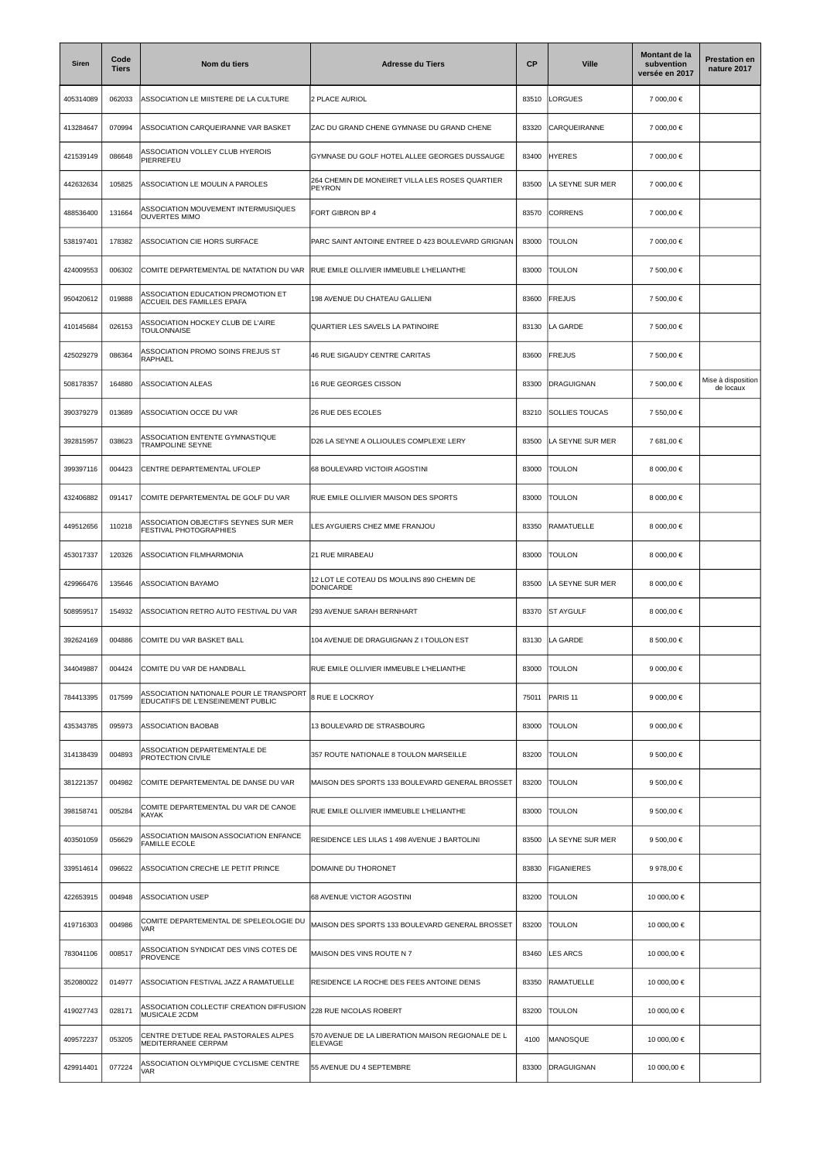| <b>Siren</b> | Code<br><b>Tiers</b> | Nom du tiers                                                                 | <b>Adresse du Tiers</b>                                       | CP    | <b>Ville</b>          | Montant de la<br>subvention<br>versée en 2017 | <b>Prestation en</b><br>nature 2017 |
|--------------|----------------------|------------------------------------------------------------------------------|---------------------------------------------------------------|-------|-----------------------|-----------------------------------------------|-------------------------------------|
| 405314089    | 062033               | ASSOCIATION LE MIISTERE DE LA CULTURE                                        | 2 PLACE AURIOL                                                | 83510 | LORGUES               | 7 000,00 €                                    |                                     |
| 413284647    | 070994               | ASSOCIATION CARQUEIRANNE VAR BASKET                                          | ZAC DU GRAND CHENE GYMNASE DU GRAND CHENE                     | 83320 | CARQUEIRANNE          | 7 000,00 €                                    |                                     |
| 421539149    | 086648               | ASSOCIATION VOLLEY CLUB HYEROIS<br>PIERREFEU                                 | GYMNASE DU GOLF HOTEL ALLEE GEORGES DUSSAUGE                  | 83400 | <b>HYERES</b>         | 7 000,00 €                                    |                                     |
| 442632634    | 105825               | ASSOCIATION LE MOULIN A PAROLES                                              | 264 CHEMIN DE MONEIRET VILLA LES ROSES QUARTIER<br>PEYRON     | 83500 | LA SEYNE SUR MER      | 7 000.00 €                                    |                                     |
| 488536400    | 131664               | ASSOCIATION MOUVEMENT INTERMUSIQUES<br><b>OUVERTES MIMO</b>                  | FORT GIBRON BP 4                                              | 83570 | <b>CORRENS</b>        | 7 000,00 €                                    |                                     |
| 538197401    | 178382               | ASSOCIATION CIE HORS SURFACE                                                 | PARC SAINT ANTOINE ENTREE D 423 BOULEVARD GRIGNAN             | 83000 | <b>TOULON</b>         | 7 000,00 €                                    |                                     |
| 424009553    | 006302               | COMITE DEPARTEMENTAL DE NATATION DU VAR                                      | RUE EMILE OLLIVIER IMMEUBLE L'HELIANTHE                       | 83000 | TOULON                | 7 500,00 €                                    |                                     |
| 950420612    | 019888               | ASSOCIATION EDUCATION PROMOTION ET<br>ACCUEIL DES FAMILLES EPAFA             | 198 AVENUE DU CHATEAU GALLIENI                                | 83600 | <b>FREJUS</b>         | 7 500,00 €                                    |                                     |
| 410145684    | 026153               | ASSOCIATION HOCKEY CLUB DE L'AIRE<br><b>TOULONNAISE</b>                      | QUARTIER LES SAVELS LA PATINOIRE                              | 83130 | LA GARDE              | 7 500,00 €                                    |                                     |
| 425029279    | 086364               | ASSOCIATION PROMO SOINS FREJUS ST<br>RAPHAEL                                 | 46 RUE SIGAUDY CENTRE CARITAS                                 | 83600 | <b>FREJUS</b>         | 7 500,00 €                                    |                                     |
| 508178357    | 164880               | ASSOCIATION ALEAS                                                            | 16 RUE GEORGES CISSON                                         | 83300 | DRAGUIGNAN            | 7 500,00 €                                    | Mise à disposition<br>de locaux     |
| 390379279    | 013689               | ASSOCIATION OCCE DU VAR                                                      | 26 RUE DES ECOLES                                             | 83210 | <b>SOLLIES TOUCAS</b> | 7 550,00 €                                    |                                     |
| 392815957    | 038623               | ASSOCIATION ENTENTE GYMNASTIQUE<br><b>TRAMPOLINE SEYNE</b>                   | D26 LA SEYNE A OLLIOULES COMPLEXE LERY                        | 83500 | LA SEYNE SUR MER      | 7 681,00 €                                    |                                     |
| 399397116    | 004423               | CENTRE DEPARTEMENTAL UFOLEP                                                  | 68 BOULEVARD VICTOIR AGOSTINI                                 | 83000 | TOULON                | 8 000,00 €                                    |                                     |
| 432406882    | 091417               | COMITE DEPARTEMENTAL DE GOLF DU VAR                                          | RUE EMILE OLLIVIER MAISON DES SPORTS                          | 83000 | <b>TOULON</b>         | 8 000,00 €                                    |                                     |
| 449512656    | 110218               | ASSOCIATION OBJECTIFS SEYNES SUR MER<br>FESTIVAL PHOTOGRAPHIES               | LES AYGUIERS CHEZ MME FRANJOU                                 | 83350 | RAMATUELLE            | 8 000,00 €                                    |                                     |
| 453017337    | 120326               | ASSOCIATION FILMHARMONIA                                                     | 21 RUE MIRABEAU                                               | 83000 | <b>TOULON</b>         | 8 000,00 €                                    |                                     |
| 429966476    | 135646               | ASSOCIATION BAYAMO                                                           | 12 LOT LE COTEAU DS MOULINS 890 CHEMIN DE<br><b>DONICARDE</b> | 83500 | LA SEYNE SUR MER      | 8 000,00 €                                    |                                     |
| 508959517    | 154932               | ASSOCIATION RETRO AUTO FESTIVAL DU VAR                                       | 293 AVENUE SARAH BERNHART                                     | 83370 | <b>ST AYGULF</b>      | 8 000,00 €                                    |                                     |
| 392624169    | 004886               | COMITE DU VAR BASKET BALL                                                    | 104 AVENUE DE DRAGUIGNAN Z I TOULON EST                       | 83130 | LA GARDE              | 8 500,00 €                                    |                                     |
| 344049887    | 004424               | COMITE DU VAR DE HANDBALL                                                    | RUE EMILE OLLIVIER IMMEUBLE L'HELIANTHE                       | 83000 | <b>TOULON</b>         | 9 000,00 €                                    |                                     |
| 784413395    | 017599               | ASSOCIATION NATIONALE POUR LE TRANSPORT<br>EDUCATIFS DE L'ENSEINEMENT PUBLIC | 8 RUE E LOCKROY                                               | 75011 | PARIS <sub>11</sub>   | 9 000,00 $\in$                                |                                     |
| 435343785    | 095973               | <b>ASSOCIATION BAOBAB</b>                                                    | 13 BOULEVARD DE STRASBOURG                                    | 83000 | <b>TOULON</b>         | 9 000,00 $\in$                                |                                     |
| 314138439    | 004893               | ASSOCIATION DEPARTEMENTALE DE<br>PROTECTION CIVILE                           | 357 ROUTE NATIONALE 8 TOULON MARSEILLE                        | 83200 | <b>TOULON</b>         | 9 500,00 €                                    |                                     |
| 381221357    | 004982               | COMITE DEPARTEMENTAL DE DANSE DU VAR                                         | MAISON DES SPORTS 133 BOULEVARD GENERAL BROSSET               | 83200 | <b>TOULON</b>         | 9 500,00 €                                    |                                     |
| 398158741    | 005284               | COMITE DEPARTEMENTAL DU VAR DE CANOE<br>KAYAK                                | RUE EMILE OLLIVIER IMMEUBLE L'HELIANTHE                       | 83000 | <b>TOULON</b>         | 9 500,00 €                                    |                                     |
| 403501059    | 056629               | ASSOCIATION MAISON ASSOCIATION ENFANCE<br>FAMILLE ECOLE                      | RESIDENCE LES LILAS 1 498 AVENUE J BARTOLINI                  | 83500 | LA SEYNE SUR MER      | 9 500,00 €                                    |                                     |
| 339514614    | 096622               | ASSOCIATION CRECHE LE PETIT PRINCE                                           | DOMAINE DU THORONET                                           | 83830 | <b>FIGANIERES</b>     | 9 978,00 €                                    |                                     |
| 422653915    | 004948               | <b>ASSOCIATION USEP</b>                                                      | 68 AVENUE VICTOR AGOSTINI                                     | 83200 | <b>TOULON</b>         | 10 000,00 €                                   |                                     |
| 419716303    | 004986               | COMITE DEPARTEMENTAL DE SPELEOLOGIE DU<br><b>VAR</b>                         | MAISON DES SPORTS 133 BOULEVARD GENERAL BROSSET               | 83200 | <b>TOULON</b>         | 10 000,00 €                                   |                                     |
| 783041106    | 008517               | ASSOCIATION SYNDICAT DES VINS COTES DE<br><b>PROVENCE</b>                    | MAISON DES VINS ROUTE N 7                                     | 83460 | <b>LES ARCS</b>       | 10 000,00 €                                   |                                     |
| 352080022    | 014977               | ASSOCIATION FESTIVAL JAZZ A RAMATUELLE                                       | RESIDENCE LA ROCHE DES FEES ANTOINE DENIS                     | 83350 | <b>RAMATUELLE</b>     | 10 000,00 €                                   |                                     |
| 419027743    | 028171               | ASSOCIATION COLLECTIF CREATION DIFFUSION<br>MUSICALE 2CDM                    | 228 RUE NICOLAS ROBERT                                        | 83200 | <b>TOULON</b>         | 10 000,00 €                                   |                                     |
| 409572237    | 053205               | CENTRE D'ETUDE REAL PASTORALES ALPES<br>MEDITERRANEE CERPAM                  | 570 AVENUE DE LA LIBERATION MAISON REGIONALE DE L<br>ELEVAGE  | 4100  | MANOSQUE              | 10 000,00 €                                   |                                     |
| 429914401    | 077224               | ASSOCIATION OLYMPIQUE CYCLISME CENTRE<br><b>VAR</b>                          | 55 AVENUE DU 4 SEPTEMBRE                                      | 83300 | DRAGUIGNAN            | 10 000,00 €                                   |                                     |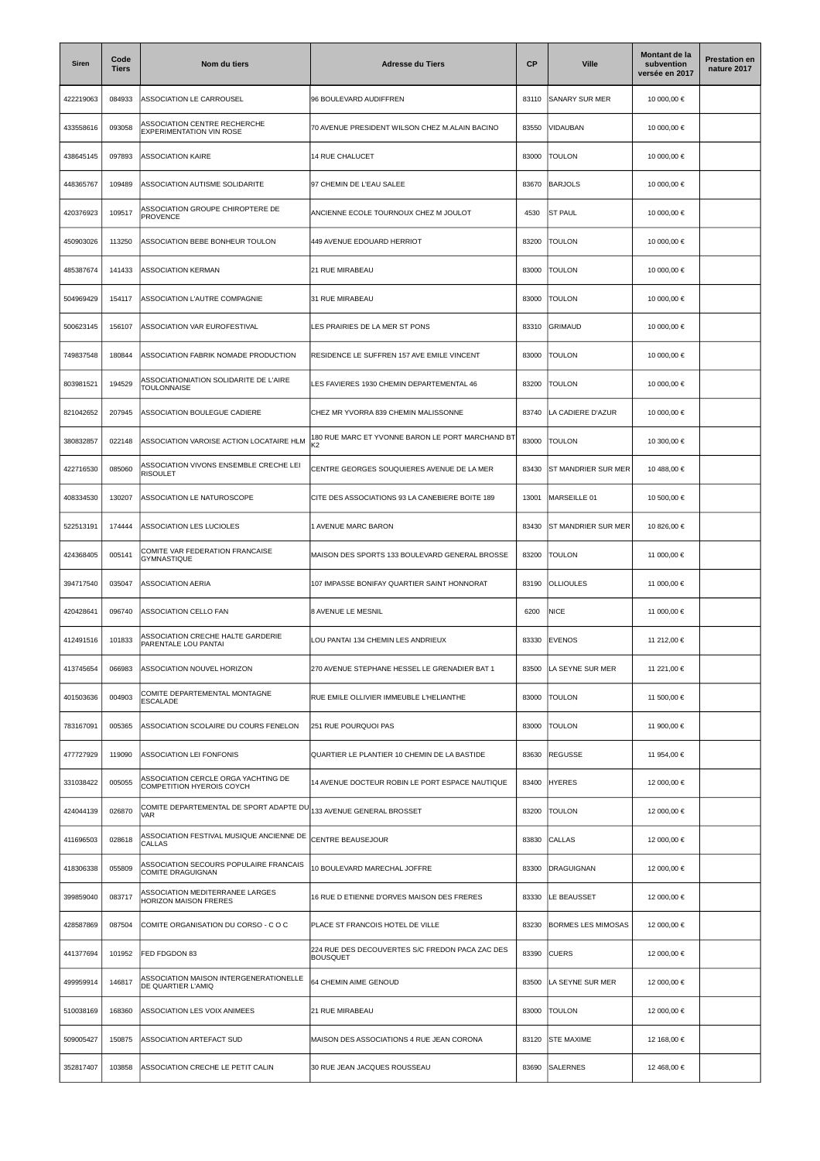| Siren     | Code<br><b>Tiers</b> | Nom du tiers                                                            | <b>Adresse du Tiers</b>                                            | <b>CP</b> | <b>Ville</b>              | Montant de la<br>subvention<br>versée en 2017 | <b>Prestation en</b><br>nature 2017 |
|-----------|----------------------|-------------------------------------------------------------------------|--------------------------------------------------------------------|-----------|---------------------------|-----------------------------------------------|-------------------------------------|
| 422219063 | 084933               | ASSOCIATION LE CARROUSEL                                                | 96 BOULEVARD AUDIFFREN                                             | 83110     | SANARY SUR MER            | 10 000,00 €                                   |                                     |
| 433558616 | 093058               | ASSOCIATION CENTRE RECHERCHE<br><b>EXPERIMENTATION VIN ROSE</b>         | 70 AVENUE PRESIDENT WILSON CHEZ M.ALAIN BACINO                     | 83550     | VIDAUBAN                  | 10 000,00 €                                   |                                     |
| 438645145 | 097893               | <b>ASSOCIATION KAIRE</b>                                                | 14 RUE CHALUCET                                                    | 83000     | <b>TOULON</b>             | 10 000,00 €                                   |                                     |
| 448365767 | 109489               | ASSOCIATION AUTISME SOLIDARITE                                          | 97 CHEMIN DE L'EAU SALEE                                           | 83670     | <b>BARJOLS</b>            | 10 000,00 €                                   |                                     |
| 420376923 | 109517               | ASSOCIATION GROUPE CHIROPTERE DE<br><b>PROVENCE</b>                     | ANCIENNE ECOLE TOURNOUX CHEZ M JOULOT                              | 4530      | <b>ST PAUL</b>            | 10 000,00 €                                   |                                     |
| 450903026 | 113250               | ASSOCIATION BEBE BONHEUR TOULON                                         | 449 AVENUE EDOUARD HERRIOT                                         | 83200     | <b>TOULON</b>             | 10 000,00 €                                   |                                     |
| 485387674 | 141433               | <b>ASSOCIATION KERMAN</b>                                               | 21 RUE MIRABEAU                                                    | 83000     | <b>TOULON</b>             | 10 000,00 €                                   |                                     |
| 504969429 | 154117               | ASSOCIATION L'AUTRE COMPAGNIE                                           | 31 RUE MIRABEAU                                                    | 83000     | <b>TOULON</b>             | 10 000,00 €                                   |                                     |
| 500623145 | 156107               | ASSOCIATION VAR EUROFESTIVAL                                            | LES PRAIRIES DE LA MER ST PONS                                     | 83310     | GRIMAUD                   | 10 000,00 €                                   |                                     |
| 749837548 | 180844               | ASSOCIATION FABRIK NOMADE PRODUCTION                                    | RESIDENCE LE SUFFREN 157 AVE EMILE VINCENT                         | 83000     | TOULON                    | 10 000,00 €                                   |                                     |
| 803981521 | 194529               | ASSOCIATIONIATION SOLIDARITE DE L'AIRE<br><b>TOULONNAISE</b>            | ES FAVIERES 1930 CHEMIN DEPARTEMENTAL 46                           | 83200     | <b>TOULON</b>             | 10 000,00 €                                   |                                     |
| 821042652 | 207945               | ASSOCIATION BOULEGUE CADIERE                                            | CHEZ MR YVORRA 839 CHEMIN MALISSONNE                               | 83740     | LA CADIERE D'AZUR         | 10 000,00 €                                   |                                     |
| 380832857 | 022148               | ASSOCIATION VAROISE ACTION LOCATAIRE HLM                                | 180 RUE MARC ET YVONNE BARON LE PORT MARCHAND BT<br>〈2             | 83000     | <b>TOULON</b>             | 10 300,00 €                                   |                                     |
| 422716530 | 085060               | ASSOCIATION VIVONS ENSEMBLE CRECHE LEI<br><b>RISOULET</b>               | CENTRE GEORGES SOUQUIERES AVENUE DE LA MER                         | 83430     | ST MANDRIER SUR MER       | 10 488,00 €                                   |                                     |
| 408334530 | 130207               | ASSOCIATION LE NATUROSCOPE                                              | CITE DES ASSOCIATIONS 93 LA CANEBIERE BOITE 189                    | 13001     | MARSEILLE 01              | 10 500,00 €                                   |                                     |
| 522513191 | 174444               | ASSOCIATION LES LUCIOLES                                                | 1 AVENUE MARC BARON                                                | 83430     | ST MANDRIER SUR MER       | 10 826,00 €                                   |                                     |
| 424368405 | 005141               | COMITE VAR FEDERATION FRANCAISE<br>GYMNASTIQUE                          | MAISON DES SPORTS 133 BOULEVARD GENERAL BROSSE                     | 83200     | <b>TOULON</b>             | 11 000,00 €                                   |                                     |
| 394717540 | 035047               | <b>ASSOCIATION AERIA</b>                                                | 107 IMPASSE BONIFAY QUARTIER SAINT HONNORAT                        | 83190     | <b>OLLIOULES</b>          | 11 000,00 €                                   |                                     |
| 420428641 | 096740               | ASSOCIATION CELLO FAN                                                   | 8 AVENUE LE MESNIL                                                 | 6200      | <b>NICE</b>               | 11 000,00 €                                   |                                     |
| 412491516 | 101833               | ASSOCIATION CRECHE HALTE GARDERIE<br>PARENTALE LOU PANTAI               | OU PANTAI 134 CHEMIN LES ANDRIEUX                                  | 83330     | <b>EVENOS</b>             | 11 212,00 €                                   |                                     |
| 413745654 | 066983               | ASSOCIATION NOUVEL HORIZON                                              | 270 AVENUE STEPHANE HESSEL LE GRENADIER BAT 1                      | 83500     | LA SEYNE SUR MER          | 11 221,00 €                                   |                                     |
| 401503636 | 004903               | COMITE DEPARTEMENTAL MONTAGNE<br><b>ESCALADE</b>                        | RUE EMILE OLLIVIER IMMEUBLE L'HELIANTHE                            | 83000     | <b>TOULON</b>             | 11 500,00 €                                   |                                     |
| 783167091 | 005365               | ASSOCIATION SCOLAIRE DU COURS FENELON                                   | 251 RUE POURQUOI PAS                                               | 83000     | <b>TOULON</b>             | 11 900,00 €                                   |                                     |
| 477727929 | 119090               | ASSOCIATION LEI FONFONIS                                                | QUARTIER LE PLANTIER 10 CHEMIN DE LA BASTIDE                       | 83630     | <b>REGUSSE</b>            | 11 954,00 €                                   |                                     |
| 331038422 | 005055               | ASSOCIATION CERCLE ORGA YACHTING DE<br><b>COMPETITION HYEROIS COYCH</b> | 14 AVENUE DOCTEUR ROBIN LE PORT ESPACE NAUTIQUE                    | 83400     | <b>HYERES</b>             | 12 000,00 €                                   |                                     |
| 424044139 | 026870               | COMITE DEPARTEMENTAL DE SPORT ADAPTE DU<br><b>VAR</b>                   | 133 AVENUE GENERAL BROSSET                                         | 83200     | <b>TOULON</b>             | 12 000,00 €                                   |                                     |
| 411696503 | 028618               | ASSOCIATION FESTIVAL MUSIQUE ANCIENNE DE<br>CALLAS                      | CENTRE BEAUSEJOUR                                                  | 83830     | <b>CALLAS</b>             | 12 000,00 €                                   |                                     |
| 418306338 | 055809               | ASSOCIATION SECOURS POPULAIRE FRANCAIS<br>COMITE DRAGUIGNAN             | 10 BOULEVARD MARECHAL JOFFRE                                       | 83300     | <b>DRAGUIGNAN</b>         | 12 000,00 €                                   |                                     |
| 399859040 | 083717               | ASSOCIATION MEDITERRANEE LARGES<br>HORIZON MAISON FRERES                | 16 RUE D ETIENNE D'ORVES MAISON DES FRERES                         | 83330     | LE BEAUSSET               | 12 000,00 €                                   |                                     |
| 428587869 | 087504               | COMITE ORGANISATION DU CORSO - C O C                                    | PLACE ST FRANCOIS HOTEL DE VILLE                                   | 83230     | <b>BORMES LES MIMOSAS</b> | 12 000,00 €                                   |                                     |
| 441377694 | 101952               | FED FDGDON 83                                                           | 224 RUE DES DECOUVERTES S/C FREDON PACA ZAC DES<br><b>BOUSQUET</b> | 83390     | <b>CUERS</b>              | 12 000,00 €                                   |                                     |
| 499959914 | 146817               | ASSOCIATION MAISON INTERGENERATIONELLE<br>DE QUARTIER L'AMIQ            | 64 CHEMIN AIME GENOUD                                              | 83500     | LA SEYNE SUR MER          | 12 000,00 €                                   |                                     |
| 510038169 | 168360               | ASSOCIATION LES VOIX ANIMEES                                            | 21 RUE MIRABEAU                                                    | 83000     | <b>TOULON</b>             | 12 000,00 €                                   |                                     |
| 509005427 | 150875               | ASSOCIATION ARTEFACT SUD                                                | MAISON DES ASSOCIATIONS 4 RUE JEAN CORONA                          | 83120     | <b>STE MAXIME</b>         | 12 168,00 €                                   |                                     |
| 352817407 | 103858               | ASSOCIATION CRECHE LE PETIT CALIN                                       | 30 RUE JEAN JACQUES ROUSSEAU                                       | 83690     | <b>SALERNES</b>           | 12 468,00 €                                   |                                     |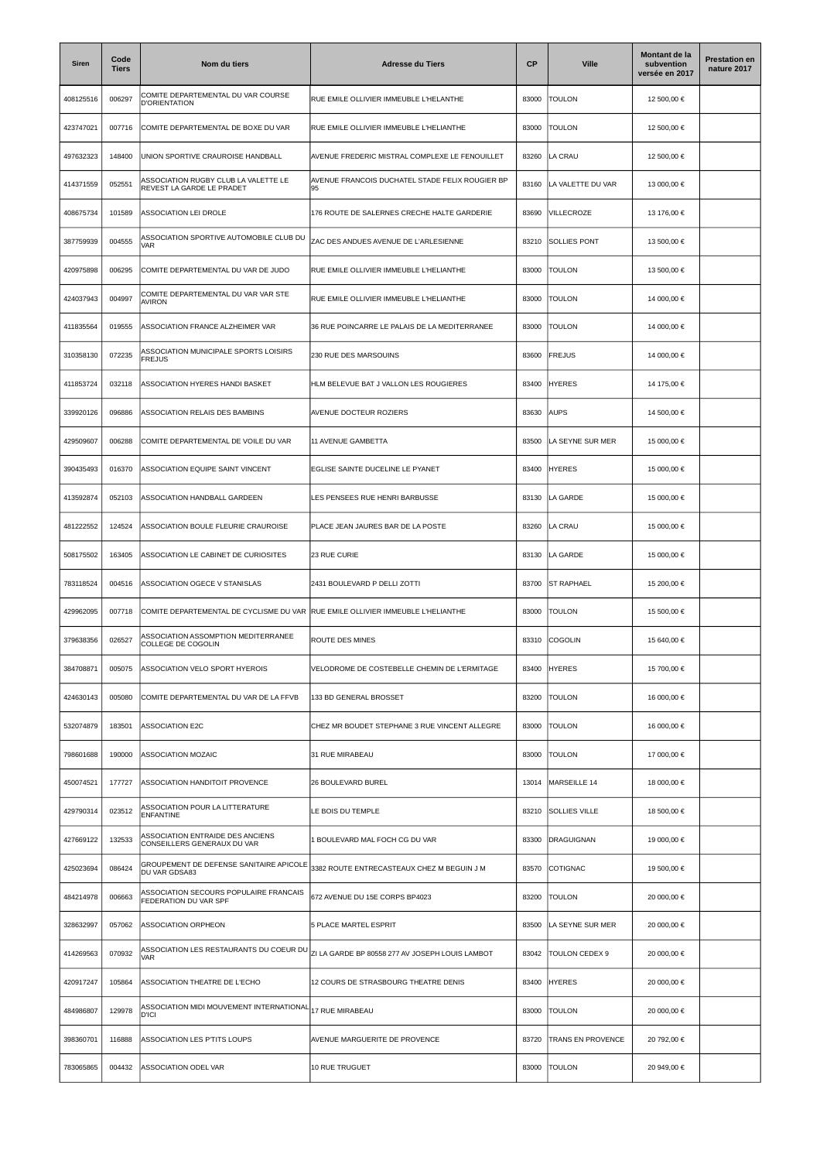| Siren     | Code<br><b>Tiers</b> | Nom du tiers                                                      | <b>Adresse du Tiers</b>                               | <b>CP</b> | <b>Ville</b>             | Montant de la<br>subvention<br>versée en 2017 | <b>Prestation en</b><br>nature 2017 |
|-----------|----------------------|-------------------------------------------------------------------|-------------------------------------------------------|-----------|--------------------------|-----------------------------------------------|-------------------------------------|
| 408125516 | 006297               | COMITE DEPARTEMENTAL DU VAR COURSE<br><b>D'ORIENTATION</b>        | RUE EMILE OLLIVIER IMMEUBLE L'HELANTHE                | 83000     | <b>TOULON</b>            | 12 500,00 €                                   |                                     |
| 423747021 | 007716               | COMITE DEPARTEMENTAL DE BOXE DU VAR                               | RUE EMILE OLLIVIER IMMEUBLE L'HELIANTHE               | 83000     | <b>TOULON</b>            | 12 500,00 €                                   |                                     |
| 497632323 | 148400               | UNION SPORTIVE CRAUROISE HANDBALL                                 | AVENUE FREDERIC MISTRAL COMPLEXE LE FENOUILLET        | 83260     | LA CRAU                  | 12 500,00 €                                   |                                     |
| 414371559 | 052551               | ASSOCIATION RUGBY CLUB LA VALETTE LE<br>REVEST LA GARDE LE PRADET | AVENUE FRANCOIS DUCHATEL STADE FELIX ROUGIER BP<br>95 | 83160     | LA VALETTE DU VAR        | 13 000,00 €                                   |                                     |
| 408675734 | 101589               | ASSOCIATION LEI DROLE                                             | 176 ROUTE DE SALERNES CRECHE HALTE GARDERIE           | 83690     | VILLECROZE               | 13 176,00 €                                   |                                     |
| 387759939 | 004555               | ASSOCIATION SPORTIVE AUTOMOBILE CLUB DU<br><b>VAR</b>             | ZAC DES ANDUES AVENUE DE L'ARLESIENNE                 | 83210     | <b>SOLLIES PONT</b>      | 13 500,00 €                                   |                                     |
| 420975898 | 006295               | COMITE DEPARTEMENTAL DU VAR DE JUDO                               | RUE EMILE OLLIVIER IMMEUBLE L'HELIANTHE               | 83000     | <b>TOULON</b>            | 13 500,00 €                                   |                                     |
| 424037943 | 004997               | COMITE DEPARTEMENTAL DU VAR VAR STE<br>AVIRON                     | RUE EMILE OLLIVIER IMMEUBLE L'HELIANTHE               | 83000     | <b>TOULON</b>            | 14 000,00 €                                   |                                     |
| 411835564 | 019555               | ASSOCIATION FRANCE ALZHEIMER VAR                                  | 36 RUE POINCARRE LE PALAIS DE LA MEDITERRANEE         | 83000     | <b>TOULON</b>            | 14 000,00 €                                   |                                     |
| 310358130 | 072235               | ASSOCIATION MUNICIPALE SPORTS LOISIRS<br><b>FREJUS</b>            | 230 RUE DES MARSOUINS                                 | 83600     | <b>FREJUS</b>            | 14 000,00 €                                   |                                     |
| 411853724 | 032118               | ASSOCIATION HYERES HANDI BASKET                                   | HLM BELEVUE BAT J VALLON LES ROUGIERES                | 83400     | <b>HYERES</b>            | 14 175,00 €                                   |                                     |
| 339920126 | 096886               | ASSOCIATION RELAIS DES BAMBINS                                    | AVENUE DOCTEUR ROZIERS                                | 83630     | <b>AUPS</b>              | 14 500,00 €                                   |                                     |
| 429509607 | 006288               | COMITE DEPARTEMENTAL DE VOILE DU VAR                              | 11 AVENUE GAMBETTA                                    | 83500     | LA SEYNE SUR MER         | 15 000,00 €                                   |                                     |
| 390435493 | 016370               | ASSOCIATION EQUIPE SAINT VINCENT                                  | EGLISE SAINTE DUCELINE LE PYANET                      | 83400     | <b>HYERES</b>            | 15 000,00 €                                   |                                     |
| 413592874 | 052103               | ASSOCIATION HANDBALL GARDEEN                                      | LES PENSEES RUE HENRI BARBUSSE                        | 83130     | LA GARDE                 | 15 000,00 €                                   |                                     |
| 481222552 | 124524               | ASSOCIATION BOULE FLEURIE CRAUROISE                               | PLACE JEAN JAURES BAR DE LA POSTE                     | 83260     | LA CRAU                  | 15 000,00 €                                   |                                     |
| 508175502 | 163405               | ASSOCIATION LE CABINET DE CURIOSITES                              | 23 RUE CURIE                                          | 83130     | LA GARDE                 | 15 000,00 €                                   |                                     |
| 783118524 | 004516               | ASSOCIATION OGECE V STANISLAS                                     | 2431 BOULEVARD P DELLI ZOTTI                          | 83700     | <b>ST RAPHAEL</b>        | 15 200,00 €                                   |                                     |
| 429962095 | 007718               | COMITE DEPARTEMENTAL DE CYCLISME DU VAR                           | RUE EMILE OLLIVIER IMMEUBLE L'HELIANTHE               | 83000     | <b>TOULON</b>            | 15 500,00 €                                   |                                     |
| 379638356 | 026527               | ASSOCIATION ASSOMPTION MEDITERRANEE<br>COLLEGE DE COGOLIN         | ROUTE DES MINES                                       | 83310     | COGOLIN                  | 15 640,00 €                                   |                                     |
| 384708871 | 005075               | ASSOCIATION VELO SPORT HYEROIS                                    | VELODROME DE COSTEBELLE CHEMIN DE L'ERMITAGE          | 83400     | <b>HYERES</b>            | 15 700,00 €                                   |                                     |
| 424630143 | 005080               | COMITE DEPARTEMENTAL DU VAR DE LA FFVB                            | 133 BD GENERAL BROSSET                                | 83200     | <b>TOULON</b>            | 16 000,00 €                                   |                                     |
| 532074879 | 183501               | <b>ASSOCIATION E2C</b>                                            | CHEZ MR BOUDET STEPHANE 3 RUE VINCENT ALLEGRE         | 83000     | <b>TOULON</b>            | 16 000,00 €                                   |                                     |
| 798601688 | 190000               | ASSOCIATION MOZAIC                                                | 31 RUE MIRABEAU                                       | 83000     | TOULON                   | 17 000,00 €                                   |                                     |
| 450074521 | 177727               | ASSOCIATION HANDITOIT PROVENCE                                    | 26 BOULEVARD BUREL                                    | 13014     | MARSEILLE 14             | 18 000,00 €                                   |                                     |
| 429790314 | 023512               | ASSOCIATION POUR LA LITTERATURE<br><b>ENFANTINE</b>               | LE BOIS DU TEMPLE                                     | 83210     | <b>SOLLIES VILLE</b>     | 18 500,00 €                                   |                                     |
| 427669122 | 132533               | ASSOCIATION ENTRAIDE DES ANCIENS<br>CONSEILLERS GENERAUX DU VAR   | 1 BOULEVARD MAL FOCH CG DU VAR                        | 83300     | DRAGUIGNAN               | 19 000,00 €                                   |                                     |
| 425023694 | 086424               | GROUPEMENT DE DEFENSE SANITAIRE APICOLE<br>DU VAR GDSA83          | 3382 ROUTE ENTRECASTEAUX CHEZ M BEGUIN J M            | 83570     | COTIGNAC                 | 19 500,00 €                                   |                                     |
| 484214978 | 006663               | ASSOCIATION SECOURS POPULAIRE FRANCAIS<br>FEDERATION DU VAR SPF   | 672 AVENUE DU 15E CORPS BP4023                        | 83200     | <b>TOULON</b>            | 20 000,00 €                                   |                                     |
| 328632997 | 057062               | ASSOCIATION ORPHEON                                               | 5 PLACE MARTEL ESPRIT                                 | 83500     | LA SEYNE SUR MER         | 20 000,00 €                                   |                                     |
| 414269563 | 070932               | ASSOCIATION LES RESTAURANTS DU COEUR DU<br><b>VAR</b>             | ZI LA GARDE BP 80558 277 AV JOSEPH LOUIS LAMBOT       | 83042     | TOULON CEDEX 9           | 20 000,00 €                                   |                                     |
| 420917247 | 105864               | ASSOCIATION THEATRE DE L'ECHO                                     | 12 COURS DE STRASBOURG THEATRE DENIS                  | 83400     | <b>HYERES</b>            | 20 000,00 €                                   |                                     |
| 484986807 | 129978               | ASSOCIATION MIDI MOUVEMENT INTERNATIONAL<br><b>D'ICI</b>          | 17 RUE MIRABEAU                                       | 83000     | <b>TOULON</b>            | 20 000,00 €                                   |                                     |
| 398360701 | 116888               | ASSOCIATION LES P'TITS LOUPS                                      | AVENUE MARGUERITE DE PROVENCE                         | 83720     | <b>TRANS EN PROVENCE</b> | 20 792,00 €                                   |                                     |
| 783065865 | 004432               | ASSOCIATION ODEL VAR                                              | 10 RUE TRUGUET                                        | 83000     | <b>TOULON</b>            | 20 949,00 €                                   |                                     |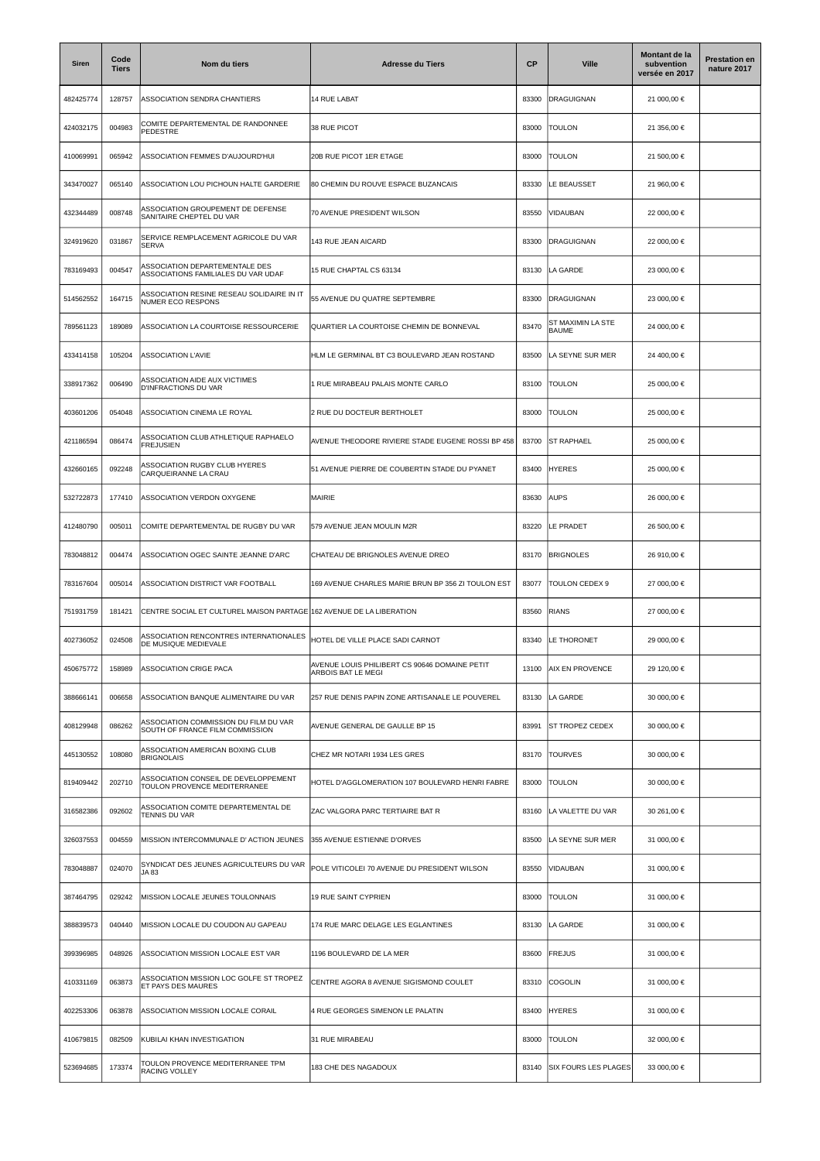| Siren     | Code<br>Tiers | Nom du tiers                                                             | <b>Adresse du Tiers</b>                                            | CP    | <b>Ville</b>                      | Montant de la<br>subvention<br>versée en 2017 | <b>Prestation en</b><br>nature 2017 |
|-----------|---------------|--------------------------------------------------------------------------|--------------------------------------------------------------------|-------|-----------------------------------|-----------------------------------------------|-------------------------------------|
| 482425774 | 128757        | ASSOCIATION SENDRA CHANTIERS                                             | 14 RUE LABAT                                                       | 83300 | <b>DRAGUIGNAN</b>                 | 21 000,00 €                                   |                                     |
| 424032175 | 004983        | COMITE DEPARTEMENTAL DE RANDONNEE<br>PEDESTRE                            | 38 RUE PICOT                                                       | 83000 | <b>TOULON</b>                     | 21 356,00 €                                   |                                     |
| 410069991 | 065942        | ASSOCIATION FEMMES D'AUJOURD'HUI                                         | 20B RUE PICOT 1ER ETAGE                                            | 83000 | <b>TOULON</b>                     | 21 500,00 €                                   |                                     |
| 343470027 | 065140        | ASSOCIATION LOU PICHOUN HALTE GARDERIE                                   | 80 CHEMIN DU ROUVE ESPACE BUZANCAIS                                | 83330 | LE BEAUSSET                       | 21 960,00 €                                   |                                     |
| 432344489 | 008748        | <b>ASSOCIATION GROUPEMENT DE DEFENSE</b><br>SANITAIRE CHEPTEL DU VAR     | 70 AVENUE PRESIDENT WILSON                                         | 83550 | VIDAUBAN                          | 22 000,00 €                                   |                                     |
| 324919620 | 031867        | SERVICE REMPLACEMENT AGRICOLE DU VAR<br><b>SERVA</b>                     | 143 RUE JEAN AICARD                                                | 83300 | <b>DRAGUIGNAN</b>                 | 22 000,00 €                                   |                                     |
| 783169493 | 004547        | ASSOCIATION DEPARTEMENTALE DES<br>ASSOCIATIONS FAMILIALES DU VAR UDAF    | 15 RUE CHAPTAL CS 63134                                            | 83130 | LA GARDE                          | 23 000,00 €                                   |                                     |
| 514562552 | 164715        | ASSOCIATION RESINE RESEAU SOLIDAIRE IN IT<br>NUMER ECO RESPONS           | 55 AVENUE DU QUATRE SEPTEMBRE                                      | 83300 | <b>DRAGUIGNAN</b>                 | 23 000,00 €                                   |                                     |
| 789561123 | 189089        | ASSOCIATION LA COURTOISE RESSOURCERIE                                    | QUARTIER LA COURTOISE CHEMIN DE BONNEVAL                           | 83470 | ST MAXIMIN LA STE<br><b>BAUME</b> | 24 000,00 €                                   |                                     |
| 433414158 | 105204        | ASSOCIATION L'AVIE                                                       | HLM LE GERMINAL BT C3 BOULEVARD JEAN ROSTAND                       | 83500 | A SEYNE SUR MER                   | 24 400,00 €                                   |                                     |
| 338917362 | 006490        | <b>ASSOCIATION AIDE AUX VICTIMES</b><br>D'INFRACTIONS DU VAR             | RUE MIRABEAU PALAIS MONTE CARLO                                    | 83100 | <b>TOULON</b>                     | 25 000,00 €                                   |                                     |
| 403601206 | 054048        | ASSOCIATION CINEMA LE ROYAL                                              | 2 RUE DU DOCTEUR BERTHOLET                                         | 83000 | <b>TOULON</b>                     | 25 000,00 €                                   |                                     |
| 421186594 | 086474        | ASSOCIATION CLUB ATHLETIQUE RAPHAELO<br><b>FREJUSIEN</b>                 | AVENUE THEODORE RIVIERE STADE EUGENE ROSSI BP 458                  | 83700 | <b>ST RAPHAEL</b>                 | 25 000,00 €                                   |                                     |
| 432660165 | 092248        | ASSOCIATION RUGBY CLUB HYERES<br>CARQUEIRANNE LA CRAU                    | 51 AVENUE PIERRE DE COUBERTIN STADE DU PYANET                      | 83400 | <b>HYERES</b>                     | 25 000,00 €                                   |                                     |
| 532722873 | 177410        | ASSOCIATION VERDON OXYGENE                                               | MAIRIE                                                             | 83630 | <b>AUPS</b>                       | 26 000,00 €                                   |                                     |
| 412480790 | 005011        | COMITE DEPARTEMENTAL DE RUGBY DU VAR                                     | 579 AVENUE JEAN MOULIN M2R                                         | 83220 | LE PRADET                         | 26 500,00 €                                   |                                     |
| 783048812 | 004474        | ASSOCIATION OGEC SAINTE JEANNE D'ARC                                     | CHATEAU DE BRIGNOLES AVENUE DREO                                   | 83170 | <b>BRIGNOLES</b>                  | 26 910,00 €                                   |                                     |
| 783167604 | 005014        | ASSOCIATION DISTRICT VAR FOOTBALL                                        | 169 AVENUE CHARLES MARIE BRUN BP 356 ZI TOULON EST                 | 83077 | TOULON CEDEX 9                    | 27 000,00 €                                   |                                     |
| 751931759 | 181421        | CENTRE SOCIAL ET CULTUREL MAISON PARTAGE 162 AVENUE DE LA LIBERATION     |                                                                    | 83560 | <b>RIANS</b>                      | 27 000,00 €                                   |                                     |
| 402736052 | 024508        | ASSOCIATION RENCONTRES INTERNATIONALES<br>DE MUSIQUE MEDIEVALE           | HOTEL DE VILLE PLACE SADI CARNOT                                   | 83340 | LE THORONET                       | 29 000,00 €                                   |                                     |
| 450675772 | 158989        | ASSOCIATION CRIGE PACA                                                   | VENUE LOUIS PHILIBERT CS 90646 DOMAINE PETIT<br>ARBOIS BAT LE MEGI | 13100 | <b>AIX EN PROVENCE</b>            | 29 120,00 €                                   |                                     |
| 388666141 | 006658        | ASSOCIATION BANQUE ALIMENTAIRE DU VAR                                    | 257 RUE DENIS PAPIN ZONE ARTISANALE LE POUVEREL                    | 83130 | LA GARDE                          | 30 000,00 €                                   |                                     |
| 408129948 | 086262        | ASSOCIATION COMMISSION DU FILM DU VAR<br>SOUTH OF FRANCE FILM COMMISSION | AVENUE GENERAL DE GAULLE BP 15                                     | 83991 | <b>ST TROPEZ CEDEX</b>            | 30 000,00 €                                   |                                     |
| 445130552 | 108080        | ASSOCIATION AMERICAN BOXING CLUB<br><b>BRIGNOLAIS</b>                    | CHEZ MR NOTARI 1934 LES GRES                                       | 83170 | <b>TOURVES</b>                    | 30 000,00 €                                   |                                     |
| 819409442 | 202710        | ASSOCIATION CONSEIL DE DEVELOPPEMENT<br>TOULON PROVENCE MEDITERRANEE     | HOTEL D'AGGLOMERATION 107 BOULEVARD HENRI FABRE                    | 83000 | TOULON                            | 30 000,00 €                                   |                                     |
| 316582386 | 092602        | ASSOCIATION COMITE DEPARTEMENTAL DE<br>TENNIS DU VAR                     | ZAC VALGORA PARC TERTIAIRE BAT R                                   | 83160 | LA VALETTE DU VAR                 | 30 261,00 €                                   |                                     |
| 326037553 | 004559        | MISSION INTERCOMMUNALE D' ACTION JEUNES                                  | 355 AVENUE ESTIENNE D'ORVES                                        | 83500 | LA SEYNE SUR MER                  | 31 000,00 €                                   |                                     |
| 783048887 | 024070        | SYNDICAT DES JEUNES AGRICULTEURS DU VAR<br>JA 83                         | POLE VITICOLEI 70 AVENUE DU PRESIDENT WILSON                       | 83550 | VIDAUBAN                          | 31 000,00 €                                   |                                     |
| 387464795 | 029242        | MISSION LOCALE JEUNES TOULONNAIS                                         | 19 RUE SAINT CYPRIEN                                               | 83000 | <b>TOULON</b>                     | 31 000,00 €                                   |                                     |
| 388839573 | 040440        | MISSION LOCALE DU COUDON AU GAPEAU                                       | 174 RUE MARC DELAGE LES EGLANTINES                                 | 83130 | LA GARDE                          | 31 000,00 €                                   |                                     |
| 399396985 | 048926        | ASSOCIATION MISSION LOCALE EST VAR                                       | 1196 BOULEVARD DE LA MER                                           | 83600 | <b>FREJUS</b>                     | 31 000,00 €                                   |                                     |
| 410331169 | 063873        | ASSOCIATION MISSION LOC GOLFE ST TROPEZ<br>ET PAYS DES MAURES            | CENTRE AGORA 8 AVENUE SIGISMOND COULET                             | 83310 | COGOLIN                           | 31 000,00 €                                   |                                     |
| 402253306 | 063878        | ASSOCIATION MISSION LOCALE CORAIL                                        | 4 RUE GEORGES SIMENON LE PALATIN                                   | 83400 | <b>HYERES</b>                     | 31 000,00 €                                   |                                     |
| 410679815 | 082509        | KUBILAI KHAN INVESTIGATION                                               | 31 RUE MIRABEAU                                                    | 83000 | <b>TOULON</b>                     | 32 000,00 €                                   |                                     |
| 523694685 | 173374        | TOULON PROVENCE MEDITERRANEE TPM<br>RACING VOLLEY                        | 183 CHE DES NAGADOUX                                               | 83140 | <b>SIX FOURS LES PLAGES</b>       | 33 000,00 €                                   |                                     |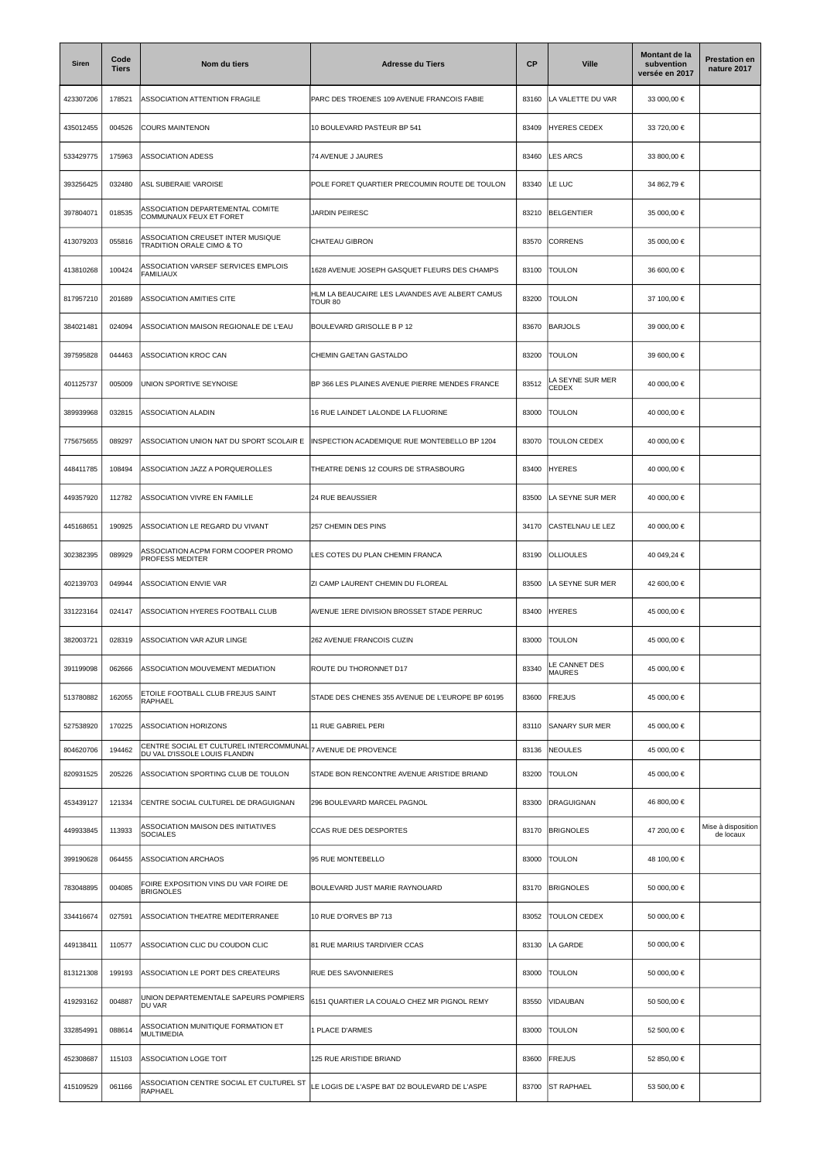| <b>Siren</b> | Code<br><b>Tiers</b> | Nom du tiers                                                             | <b>Adresse du Tiers</b>                                   | CP    | <b>Ville</b>                   | Montant de la<br>subvention<br>versée en 2017 | <b>Prestation en</b><br>nature 2017 |
|--------------|----------------------|--------------------------------------------------------------------------|-----------------------------------------------------------|-------|--------------------------------|-----------------------------------------------|-------------------------------------|
| 423307206    | 178521               | ASSOCIATION ATTENTION FRAGILE                                            | PARC DES TROENES 109 AVENUE FRANCOIS FABIE                | 83160 | LA VALETTE DU VAR              | 33 000,00 €                                   |                                     |
| 435012455    | 004526               | <b>COURS MAINTENON</b>                                                   | 10 BOULEVARD PASTEUR BP 541                               | 83409 | <b>HYERES CEDEX</b>            | 33 720,00 €                                   |                                     |
| 533429775    | 175963               | <b>ASSOCIATION ADESS</b>                                                 | 74 AVENUE J JAURES                                        | 83460 | <b>LES ARCS</b>                | 33 800,00 €                                   |                                     |
| 393256425    | 032480               | ASL SUBERAIE VAROISE                                                     | POLE FORET QUARTIER PRECOUMIN ROUTE DE TOULON             | 83340 | LE LUC                         | 34 862.79 €                                   |                                     |
| 397804071    | 018535               | ASSOCIATION DEPARTEMENTAL COMITE<br>COMMUNAUX FEUX ET FORET              | <b>JARDIN PEIRESC</b>                                     | 83210 | <b>BELGENTIER</b>              | 35 000,00 €                                   |                                     |
| 413079203    | 055816               | ASSOCIATION CREUSET INTER MUSIQUE<br>TRADITION ORALE CIMO & TO           | CHATEAU GIBRON                                            | 83570 | CORRENS                        | 35 000,00 €                                   |                                     |
| 413810268    | 100424               | ASSOCIATION VARSEF SERVICES EMPLOIS<br><b>FAMILIAUX</b>                  | 1628 AVENUE JOSEPH GASQUET FLEURS DES CHAMPS              | 83100 | <b>TOULON</b>                  | 36 600,00 €                                   |                                     |
| 817957210    | 201689               | ASSOCIATION AMITIES CITE                                                 | HLM LA BEAUCAIRE LES LAVANDES AVE ALBERT CAMUS<br>TOUR 80 | 83200 | <b>TOULON</b>                  | 37 100,00 €                                   |                                     |
| 384021481    | 024094               | ASSOCIATION MAISON REGIONALE DE L'EAU                                    | BOULEVARD GRISOLLE B P 12                                 | 83670 | <b>BARJOLS</b>                 | 39 000,00 €                                   |                                     |
| 397595828    | 044463               | ASSOCIATION KROC CAN                                                     | CHEMIN GAETAN GASTALDO                                    | 83200 | <b>TOULON</b>                  | 39 600,00 €                                   |                                     |
| 401125737    | 005009               | UNION SPORTIVE SEYNOISE                                                  | BP 366 LES PLAINES AVENUE PIERRE MENDES FRANCE            | 83512 | A SEYNE SUR MER<br>CEDEX       | 40 000,00 €                                   |                                     |
| 389939968    | 032815               | ASSOCIATION ALADIN                                                       | 16 RUE LAINDET LALONDE LA FLUORINE                        | 83000 | TOULON                         | 40 000,00 €                                   |                                     |
| 775675655    | 089297               | ASSOCIATION UNION NAT DU SPORT SCOLAIR E                                 | INSPECTION ACADEMIQUE RUE MONTEBELLO BP 1204              | 83070 | <b>TOULON CEDEX</b>            | 40 000,00 €                                   |                                     |
| 448411785    | 108494               | ASSOCIATION JAZZ A PORQUEROLLES                                          | THEATRE DENIS 12 COURS DE STRASBOURG                      | 83400 | <b>HYERES</b>                  | 40 000,00 €                                   |                                     |
| 449357920    | 112782               | ASSOCIATION VIVRE EN FAMILLE                                             | 24 RUE BEAUSSIER                                          | 83500 | LA SEYNE SUR MER               | 40 000,00 €                                   |                                     |
| 445168651    | 190925               | ASSOCIATION LE REGARD DU VIVANT                                          | 257 CHEMIN DES PINS                                       | 34170 | CASTELNAU LE LEZ               | 40 000,00 €                                   |                                     |
| 302382395    | 089929               | ASSOCIATION ACPM FORM COOPER PROMO<br>PROFESS MEDITER                    | LES COTES DU PLAN CHEMIN FRANCA                           | 83190 | <b>OLLIOULES</b>               | 40 049,24 €                                   |                                     |
| 402139703    | 049944               | ASSOCIATION ENVIE VAR                                                    | ZI CAMP LAURENT CHEMIN DU FLOREAL                         | 83500 | LA SEYNE SUR MER               | 42 600,00 €                                   |                                     |
| 331223164    | 024147               | ASSOCIATION HYERES FOOTBALL CLUB                                         | AVENUE 1ERE DIVISION BROSSET STADE PERRUC                 | 83400 | <b>HYERES</b>                  | 45 000,00 €                                   |                                     |
| 382003721    | 028319               | ASSOCIATION VAR AZUR LINGE                                               | 262 AVENUE FRANCOIS CUZIN                                 | 83000 | <b>TOULON</b>                  | 45 000,00 €                                   |                                     |
| 391199098    | 062666               | ASSOCIATION MOUVEMENT MEDIATION                                          | ROUTE DU THORONNET D17                                    | 83340 | LE CANNET DES<br><b>MAURES</b> | 45 000,00 €                                   |                                     |
| 513780882    | 162055               | ETOILE FOOTBALL CLUB FREJUS SAINT<br>RAPHAEL                             | STADE DES CHENES 355 AVENUE DE L'EUROPE BP 60195          | 83600 | FREJUS                         | 45 000,00 €                                   |                                     |
| 527538920    | 170225               | ASSOCIATION HORIZONS                                                     | 11 RUE GABRIEL PERI                                       | 83110 | <b>SANARY SUR MER</b>          | 45 000,00 €                                   |                                     |
| 804620706    | 194462               | CENTRE SOCIAL ET CULTUREL INTERCOMMUNAL<br>DU VAL D'ISSOLE LOUIS FLANDIN | 7 AVENUE DE PROVENCE                                      | 83136 | <b>NEOULES</b>                 | 45 000,00 €                                   |                                     |
| 820931525    | 205226               | ASSOCIATION SPORTING CLUB DE TOULON                                      | STADE BON RENCONTRE AVENUE ARISTIDE BRIAND                | 83200 | <b>TOULON</b>                  | 45 000,00 €                                   |                                     |
| 453439127    | 121334               | CENTRE SOCIAL CULTUREL DE DRAGUIGNAN                                     | 296 BOULEVARD MARCEL PAGNOL                               | 83300 | DRAGUIGNAN                     | 46 800,00 €                                   |                                     |
| 449933845    | 113933               | <b>ASSOCIATION MAISON DES INITIATIVES</b><br><b>SOCIALES</b>             | CCAS RUE DES DESPORTES                                    | 83170 | <b>BRIGNOLES</b>               | 47 200,00 €                                   | Mise à disposition<br>de locaux     |
| 399190628    | 064455               | ASSOCIATION ARCHAOS                                                      | 95 RUE MONTEBELLO                                         | 83000 | <b>TOULON</b>                  | 48 100,00 €                                   |                                     |
| 783048895    | 004085               | FOIRE EXPOSITION VINS DU VAR FOIRE DE<br><b>BRIGNOLES</b>                | BOULEVARD JUST MARIE RAYNOUARD                            | 83170 | <b>BRIGNOLES</b>               | 50 000,00 €                                   |                                     |
| 334416674    | 027591               | ASSOCIATION THEATRE MEDITERRANEE                                         | 10 RUE D'ORVES BP 713                                     | 83052 | TOULON CEDEX                   | 50 000,00 €                                   |                                     |
| 449138411    | 110577               | ASSOCIATION CLIC DU COUDON CLIC                                          | 81 RUE MARIUS TARDIVIER CCAS                              | 83130 | LA GARDE                       | 50 000,00 €                                   |                                     |
| 813121308    | 199193               | ASSOCIATION LE PORT DES CREATEURS                                        | RUE DES SAVONNIERES                                       | 83000 | <b>TOULON</b>                  | 50 000,00 €                                   |                                     |
| 419293162    | 004887               | UNION DEPARTEMENTALE SAPEURS POMPIERS<br>DU VAR                          | 6151 QUARTIER LA COUALO CHEZ MR PIGNOL REMY               | 83550 | VIDAUBAN                       | 50 500,00 €                                   |                                     |
| 332854991    | 088614               | ASSOCIATION MUNITIQUE FORMATION ET<br><b>MULTIMEDIA</b>                  | 1 PLACE D'ARMES                                           | 83000 | <b>TOULON</b>                  | 52 500,00 €                                   |                                     |
| 452308687    | 115103               | ASSOCIATION LOGE TOIT                                                    | 125 RUE ARISTIDE BRIAND                                   | 83600 | <b>FREJUS</b>                  | 52 850,00 €                                   |                                     |
| 415109529    | 061166               | ASSOCIATION CENTRE SOCIAL ET CULTUREL ST<br>RAPHAEL                      | LE LOGIS DE L'ASPE BAT D2 BOULEVARD DE L'ASPE             | 83700 | <b>ST RAPHAEL</b>              | 53 500,00 €                                   |                                     |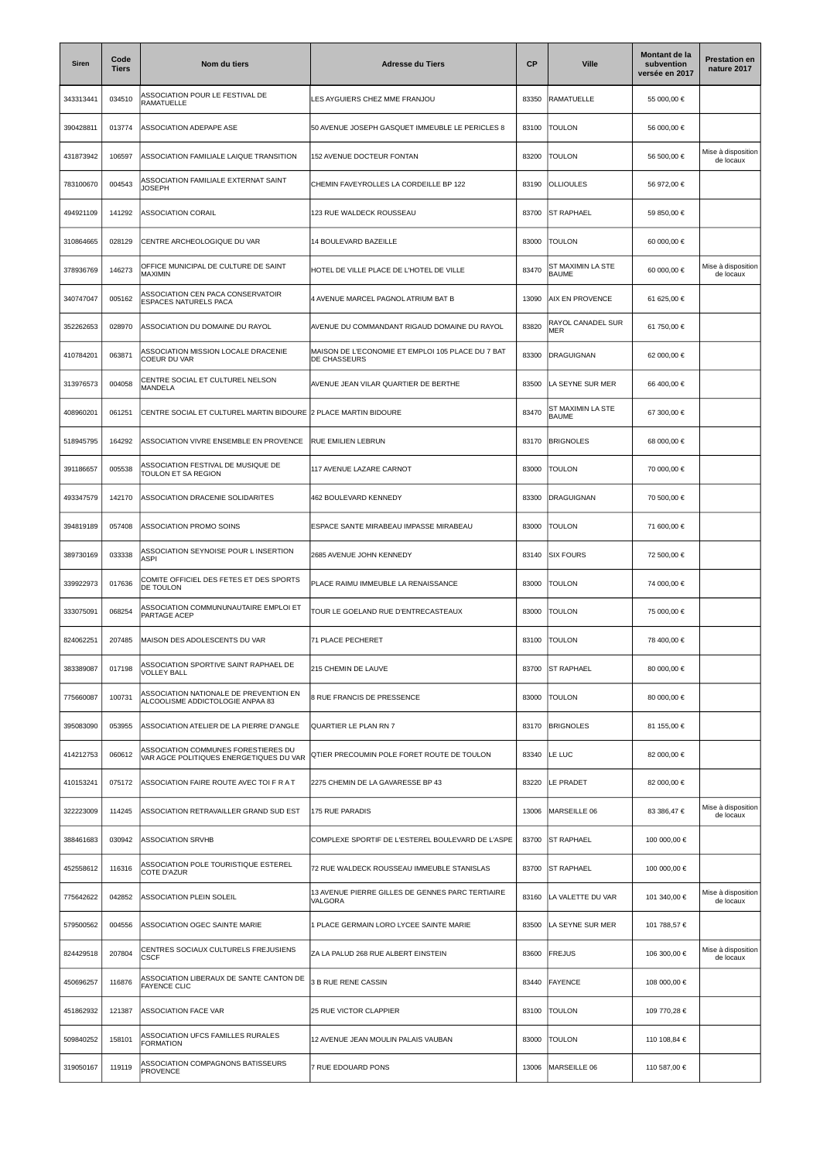| Siren     | Code<br><b>Tiers</b> | Nom du tiers                                                                   | <b>Adresse du Tiers</b>                                           | <b>CP</b> | <b>Ville</b>                      | Montant de la<br>subvention<br>versée en 2017 | <b>Prestation en</b><br>nature 2017 |
|-----------|----------------------|--------------------------------------------------------------------------------|-------------------------------------------------------------------|-----------|-----------------------------------|-----------------------------------------------|-------------------------------------|
| 343313441 | 034510               | ASSOCIATION POUR LE FESTIVAL DE<br>RAMATUELLE                                  | LES AYGUIERS CHEZ MME FRANJOU                                     | 83350     | RAMATUELLE                        | 55 000,00 €                                   |                                     |
| 390428811 | 013774               | ASSOCIATION ADEPAPE ASE                                                        | 50 AVENUE JOSEPH GASQUET IMMEUBLE LE PERICLES 8                   | 83100     | <b>TOULON</b>                     | 56 000,00 €                                   |                                     |
| 431873942 | 106597               | ASSOCIATION FAMILIALE LAIQUE TRANSITION                                        | 152 AVENUE DOCTEUR FONTAN                                         | 83200     | <b>TOULON</b>                     | 56 500,00 €                                   | Mise à disposition<br>de locaux     |
| 783100670 | 004543               | ASSOCIATION FAMILIALE EXTERNAT SAINT<br><b>JOSEPH</b>                          | CHEMIN FAVEYROLLES LA CORDEILLE BP 122                            | 83190     | <b>OLLIOULES</b>                  | 56 972,00 €                                   |                                     |
| 494921109 | 141292               | ASSOCIATION CORAIL                                                             | 123 RUE WALDECK ROUSSEAU                                          | 83700     | <b>ST RAPHAEL</b>                 | 59 850,00 €                                   |                                     |
| 310864665 | 028129               | CENTRE ARCHEOLOGIQUE DU VAR                                                    | 14 BOULEVARD BAZEILLE                                             | 83000     | <b>TOULON</b>                     | 60 000,00 €                                   |                                     |
| 378936769 | 146273               | OFFICE MUNICIPAL DE CULTURE DE SAINT<br>MAXIMIN                                | HOTEL DE VILLE PLACE DE L'HOTEL DE VILLE                          | 83470     | ST MAXIMIN LA STE<br><b>BAUME</b> | 60 000,00 €                                   | Mise à disposition<br>de locaux     |
| 340747047 | 005162               | ASSOCIATION CEN PACA CONSERVATOIR<br><b>ESPACES NATURELS PACA</b>              | 4 AVENUE MARCEL PAGNOL ATRIUM BAT B                               | 13090     | <b>AIX EN PROVENCE</b>            | 61 625,00 €                                   |                                     |
| 352262653 | 028970               | ASSOCIATION DU DOMAINE DU RAYOL                                                | AVENUE DU COMMANDANT RIGAUD DOMAINE DU RAYOL                      | 83820     | RAYOL CANADEL SUR<br>MER          | 61 750,00 €                                   |                                     |
| 410784201 | 063871               | ASSOCIATION MISSION LOCALE DRACENIE<br>COEUR DU VAR                            | MAISON DE L'ECONOMIE ET EMPLOI 105 PLACE DU 7 BAT<br>DE CHASSEURS | 83300     | <b>DRAGUIGNAN</b>                 | 62 000,00 €                                   |                                     |
| 313976573 | 004058               | CENTRE SOCIAL ET CULTUREL NELSON<br>MANDELA                                    | AVENUE JEAN VILAR QUARTIER DE BERTHE                              | 83500     | LA SEYNE SUR MER                  | 66 400,00 €                                   |                                     |
| 408960201 | 061251               | CENTRE SOCIAL ET CULTUREL MARTIN BIDOURE                                       | 2 PLACE MARTIN BIDOURE                                            | 83470     | ST MAXIMIN LA STE<br><b>BAUME</b> | 67 300,00 €                                   |                                     |
| 518945795 | 164292               | ASSOCIATION VIVRE ENSEMBLE EN PROVENCE                                         | RUE EMILIEN LEBRUN                                                | 83170     | <b>BRIGNOLES</b>                  | 68 000,00 €                                   |                                     |
| 391186657 | 005538               | ASSOCIATION FESTIVAL DE MUSIQUE DE<br>TOULON ET SA REGION                      | 117 AVENUE LAZARE CARNOT                                          | 83000     | Toulon                            | 70 000,00 €                                   |                                     |
| 493347579 | 142170               | ASSOCIATION DRACENIE SOLIDARITES                                               | 462 BOULEVARD KENNEDY                                             | 83300     | DRAGUIGNAN                        | 70 500,00 €                                   |                                     |
| 394819189 | 057408               | ASSOCIATION PROMO SOINS                                                        | ESPACE SANTE MIRABEAU IMPASSE MIRABEAU                            | 83000     | <b>TOULON</b>                     | 71 600,00 €                                   |                                     |
| 389730169 | 033338               | ASSOCIATION SEYNOISE POUR L INSERTION<br>ASPI                                  | 2685 AVENUE JOHN KENNEDY                                          | 83140     | <b>SIX FOURS</b>                  | 72 500,00 €                                   |                                     |
| 339922973 | 017636               | COMITE OFFICIEL DES FETES ET DES SPORTS<br>DE TOULON                           | PLACE RAIMU IMMEUBLE LA RENAISSANCE                               | 83000     | <b>TOULON</b>                     | 74 000,00 €                                   |                                     |
| 333075091 | 068254               | ASSOCIATION COMMUNUNAUTAIRE EMPLOI ET<br>PARTAGE ACEP                          | TOUR LE GOELAND RUE D'ENTRECASTEAUX                               | 83000     | <b>TOULON</b>                     | 75 000,00 €                                   |                                     |
| 824062251 | 207485               | MAISON DES ADOLESCENTS DU VAR                                                  | 71 PLACE PECHERET                                                 | 83100     | <b>TOULON</b>                     | 78 400,00 €                                   |                                     |
| 383389087 | 017198               | SSOCIATION SPORTIVE SAINT RAPHAEL DE<br><b>VOLLEY BALL</b>                     | 215 CHEMIN DE LAUVE                                               | 83700     | <b>ST RAPHAEL</b>                 | 80 000,00 €                                   |                                     |
| 775660087 | 100731               | ASSOCIATION NATIONALE DE PREVENTION EN<br>ALCOOLISME ADDICTOLOGIE ANPAA 83     | 8 RUE FRANCIS DE PRESSENCE                                        | 83000     | <b>TOULON</b>                     | 80 000,00 €                                   |                                     |
| 395083090 | 053955               | ASSOCIATION ATELIER DE LA PIERRE D'ANGLE                                       | QUARTIER LE PLAN RN 7                                             | 83170     | <b>BRIGNOLES</b>                  | 81 155,00 €                                   |                                     |
| 414212753 | 060612               | ASSOCIATION COMMUNES FORESTIERES DU<br>VAR AGCE POLITIQUES ENERGETIQUES DU VAR | QTIER PRECOUMIN POLE FORET ROUTE DE TOULON                        | 83340     | LE LUC                            | 82 000,00 €                                   |                                     |
| 410153241 | 075172               | ASSOCIATION FAIRE ROUTE AVEC TOI F R A T                                       | 2275 CHEMIN DE LA GAVARESSE BP 43                                 | 83220     | LE PRADET                         | 82 000,00 €                                   |                                     |
| 322223009 | 114245               | ASSOCIATION RETRAVAILLER GRAND SUD EST                                         | 175 RUE PARADIS                                                   | 13006     | MARSEILLE 06                      | 83 386,47 €                                   | Mise à disposition<br>de locaux     |
| 388461683 | 030942               | <b>ASSOCIATION SRVHB</b>                                                       | COMPLEXE SPORTIF DE L'ESTEREL BOULEVARD DE L'ASPE                 | 83700     | <b>ST RAPHAEL</b>                 | 100 000,00 €                                  |                                     |
| 452558612 | 116316               | ASSOCIATION POLE TOURISTIQUE ESTEREL<br>COTE D'AZUR                            | 72 RUE WALDECK ROUSSEAU IMMEUBLE STANISLAS                        | 83700     | <b>ST RAPHAEL</b>                 | 100 000,00 €                                  |                                     |
| 775642622 | 042852               | ASSOCIATION PLEIN SOLEIL                                                       | 13 AVENUE PIERRE GILLES DE GENNES PARC TERTIAIRE<br>VALGORA       | 83160     | LA VALETTE DU VAR                 | 101 340,00 €                                  | Mise à disposition<br>de locaux     |
| 579500562 | 004556               | ASSOCIATION OGEC SAINTE MARIE                                                  | 1 PLACE GERMAIN LORO LYCEE SAINTE MARIE                           | 83500     | LA SEYNE SUR MER                  | 101 788,57 €                                  |                                     |
| 824429518 | 207804               | CENTRES SOCIAUX CULTURELS FREJUSIENS<br><b>CSCF</b>                            | ZA LA PALUD 268 RUE ALBERT EINSTEIN                               | 83600     | <b>FREJUS</b>                     | 106 300,00 €                                  | Mise à disposition<br>de locaux     |
| 450696257 | 116876               | ASSOCIATION LIBERAUX DE SANTE CANTON DE<br><b>FAYENCE CLIC</b>                 | <b>B RUE RENE CASSIN</b>                                          | 83440     | <b>FAYENCE</b>                    | 108 000,00 €                                  |                                     |
| 451862932 | 121387               | ASSOCIATION FACE VAR                                                           | 25 RUE VICTOR CLAPPIER                                            | 83100     | <b>TOULON</b>                     | 109 770,28 €                                  |                                     |
| 509840252 | 158101               | ASSOCIATION UFCS FAMILLES RURALES<br><b>FORMATION</b>                          | 12 AVENUE JEAN MOULIN PALAIS VAUBAN                               | 83000     | TOULON                            | 110 108,84 €                                  |                                     |
| 319050167 | 119119               | ASSOCIATION COMPAGNONS BATISSEURS<br><b>PROVENCE</b>                           | 7 RUE EDOUARD PONS                                                | 13006     | MARSEILLE 06                      | 110 587,00 €                                  |                                     |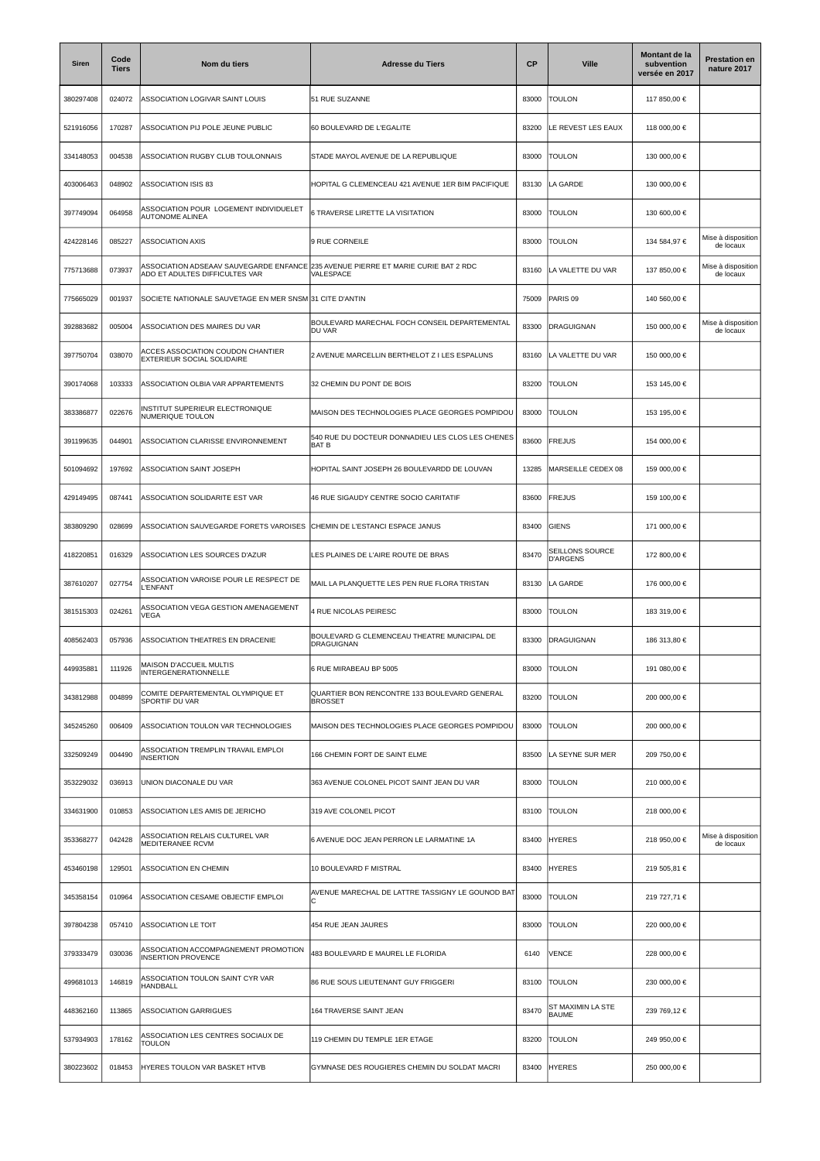| Siren     | Code<br><b>Tiers</b> | Nom du tiers                                                             | <b>Adresse du Tiers</b>                                          | <b>CP</b> | <b>Ville</b>                       | Montant de la<br>subvention<br>versée en 2017 | <b>Prestation en</b><br>nature 2017 |
|-----------|----------------------|--------------------------------------------------------------------------|------------------------------------------------------------------|-----------|------------------------------------|-----------------------------------------------|-------------------------------------|
| 380297408 | 024072               | ASSOCIATION LOGIVAR SAINT LOUIS                                          | 51 RUE SUZANNE                                                   | 83000     | TOULON                             | 117 850,00 €                                  |                                     |
| 521916056 | 170287               | ASSOCIATION PIJ POLE JEUNE PUBLIC                                        | 60 BOULEVARD DE L'EGALITE                                        | 83200     | LE REVEST LES EAUX                 | 118 000,00 €                                  |                                     |
| 334148053 | 004538               | ASSOCIATION RUGBY CLUB TOULONNAIS                                        | STADE MAYOL AVENUE DE LA REPUBLIQUE                              | 83000     | <b>TOULON</b>                      | 130 000,00 €                                  |                                     |
| 403006463 | 048902               | ASSOCIATION ISIS 83                                                      | HOPITAL G CLEMENCEAU 421 AVENUE 1ER BIM PACIFIQUE                | 83130     | LA GARDE                           | 130 000,00 €                                  |                                     |
| 397749094 | 064958               | ASSOCIATION POUR LOGEMENT INDIVIDUELET<br><b>AUTONOME ALINEA</b>         | 6 TRAVERSE LIRETTE LA VISITATION                                 | 83000     | Toulon                             | 130 600,00 €                                  |                                     |
| 424228146 | 085227               | <b>ASSOCIATION AXIS</b>                                                  | 9 RUE CORNEILE                                                   | 83000     | <b>TOULON</b>                      | 134 584,97 €                                  | Mise à disposition<br>de locaux     |
| 775713688 | 073937               | ASSOCIATION ADSEAAV SAUVEGARDE ENFANCE<br>ADO ET ADULTES DIFFICULTES VAR | 235 AVENUE PIERRE ET MARIE CURIE BAT 2 RDC<br>VALESPACE          | 83160     | LA VALETTE DU VAR                  | 137 850,00 €                                  | Mise à disposition<br>de locaux     |
| 775665029 | 001937               | SOCIETE NATIONALE SAUVETAGE EN MER SNSM 31 CITE D'ANTIN                  |                                                                  | 75009     | PARIS 09                           | 140 560,00 €                                  |                                     |
| 392883682 | 005004               | ASSOCIATION DES MAIRES DU VAR                                            | BOULEVARD MARECHAL FOCH CONSEIL DEPARTEMENTAL<br>DU VAR          | 83300     | DRAGUIGNAN                         | 150 000,00 €                                  | Mise à disposition<br>de locaux     |
| 397750704 | 038070               | ACCES ASSOCIATION COUDON CHANTIER<br>EXTERIEUR SOCIAL SOLIDAIRE          | 2 AVENUE MARCELLIN BERTHELOT Z I LES ESPALUNS                    | 83160     | LA VALETTE DU VAR                  | 150 000,00 €                                  |                                     |
| 390174068 | 103333               | ASSOCIATION OLBIA VAR APPARTEMENTS                                       | 32 CHEMIN DU PONT DE BOIS                                        | 83200     | <b>TOULON</b>                      | 153 145,00 €                                  |                                     |
| 383386877 | 022676               | INSTITUT SUPERIEUR ELECTRONIQUE<br>NUMERIQUE TOULON                      | MAISON DES TECHNOLOGIES PLACE GEORGES POMPIDOU                   | 83000     | TOULON                             | 153 195,00 €                                  |                                     |
| 391199635 | 044901               | ASSOCIATION CLARISSE ENVIRONNEMENT                                       | 540 RUE DU DOCTEUR DONNADIEU LES CLOS LES CHENES<br>BAT B        | 83600     | <b>FREJUS</b>                      | 154 000,00 €                                  |                                     |
| 501094692 | 197692               | ASSOCIATION SAINT JOSEPH                                                 | HOPITAL SAINT JOSEPH 26 BOULEVARDD DE LOUVAN                     | 13285     | MARSEILLE CEDEX 08                 | 159 000,00 €                                  |                                     |
| 429149495 | 087441               | ASSOCIATION SOLIDARITE EST VAR                                           | 46 RUE SIGAUDY CENTRE SOCIO CARITATIF                            | 83600     | <b>FREJUS</b>                      | 159 100,00 €                                  |                                     |
| 383809290 | 028699               | ASSOCIATION SAUVEGARDE FORETS VAROISES                                   | CHEMIN DE L'ESTANCI ESPACE JANUS                                 | 83400     | GIENS                              | 171 000,00 €                                  |                                     |
| 418220851 | 016329               | ASSOCIATION LES SOURCES D'AZUR                                           | LES PLAINES DE L'AIRE ROUTE DE BRAS                              | 83470     | SEILLONS SOURCE<br><b>D'ARGENS</b> | 172 800,00 €                                  |                                     |
| 387610207 | 027754               | ASSOCIATION VAROISE POUR LE RESPECT DE<br>L'ENFANT                       | MAIL LA PLANQUETTE LES PEN RUE FLORA TRISTAN                     | 83130     | LA GARDE                           | 176 000,00 €                                  |                                     |
| 381515303 | 024261               | ASSOCIATION VEGA GESTION AMENAGEMENT<br><b>VEGA</b>                      | <b>4 RUE NICOLAS PEIRESC</b>                                     | 83000     | <b>TOULON</b>                      | 183 319,00 €                                  |                                     |
| 408562403 | 057936               | ASSOCIATION THEATRES EN DRACENIE                                         | BOULEVARD G CLEMENCEAU THEATRE MUNICIPAL DE<br><b>DRAGUIGNAN</b> | 83300     | DRAGUIGNAN                         | 186 313,80 €                                  |                                     |
| 449935881 | 111926               | <b>MAISON D'ACCUEIL MULTIS</b><br><b>INTERGENERATIONNELLE</b>            | 6 RUE MIRABEAU BP 5005                                           | 83000     | <b>TOULON</b>                      | 191 080,00 €                                  |                                     |
| 343812988 | 004899               | COMITE DEPARTEMENTAL OLYMPIQUE ET<br>SPORTIF DU VAR                      | QUARTIER BON RENCONTRE 133 BOULEVARD GENERAL<br><b>BROSSET</b>   | 83200     | <b>TOULON</b>                      | 200 000,00 €                                  |                                     |
| 345245260 | 006409               | ASSOCIATION TOULON VAR TECHNOLOGIES                                      | MAISON DES TECHNOLOGIES PLACE GEORGES POMPIDOU                   | 83000     | TOULON                             | 200 000,00 €                                  |                                     |
| 332509249 | 004490               | ASSOCIATION TREMPLIN TRAVAIL EMPLOI<br><b>INSERTION</b>                  | 166 CHEMIN FORT DE SAINT ELME                                    | 83500     | LA SEYNE SUR MER                   | 209 750,00 €                                  |                                     |
| 353229032 | 036913               | UNION DIACONALE DU VAR                                                   | 363 AVENUE COLONEL PICOT SAINT JEAN DU VAR                       | 83000     | <b>TOULON</b>                      | 210 000,00 €                                  |                                     |
| 334631900 | 010853               | ASSOCIATION LES AMIS DE JERICHO                                          | 319 AVE COLONEL PICOT                                            | 83100     | TOULON                             | 218 000,00 €                                  |                                     |
| 353368277 | 042428               | ASSOCIATION RELAIS CULTUREL VAR<br>MEDITERANEE RCVM                      | 6 AVENUE DOC JEAN PERRON LE LARMATINE 1A                         | 83400     | <b>HYERES</b>                      | 218 950,00 €                                  | Mise à disposition<br>de locaux     |
| 453460198 | 129501               | <b>ASSOCIATION EN CHEMIN</b>                                             | 10 BOULEVARD F MISTRAL                                           | 83400     | <b>HYERES</b>                      | 219 505,81 €                                  |                                     |
| 345358154 | 010964               | ASSOCIATION CESAME OBJECTIF EMPLOI                                       | AVENUE MARECHAL DE LATTRE TASSIGNY LE GOUNOD BAT                 | 83000     | <b>TOULON</b>                      | 219 727,71 €                                  |                                     |
| 397804238 | 057410               | ASSOCIATION LE TOIT                                                      | 454 RUE JEAN JAURES                                              | 83000     | TOULON                             | 220 000,00 €                                  |                                     |
| 379333479 | 030036               | ASSOCIATION ACCOMPAGNEMENT PROMOTION<br><b>INSERTION PROVENCE</b>        | 483 BOULEVARD E MAUREL LE FLORIDA                                | 6140      | VENCE                              | 228 000,00 €                                  |                                     |
| 499681013 | 146819               | ASSOCIATION TOULON SAINT CYR VAR<br>HANDBALL                             | 86 RUE SOUS LIEUTENANT GUY FRIGGERI                              | 83100     | TOULON                             | 230 000,00 €                                  |                                     |
| 448362160 | 113865               | ASSOCIATION GARRIGUES                                                    | 164 TRAVERSE SAINT JEAN                                          | 83470     | ST MAXIMIN LA STE<br><b>BAUME</b>  | 239 769,12 €                                  |                                     |
| 537934903 | 178162               | ASSOCIATION LES CENTRES SOCIAUX DE<br><b>TOULON</b>                      | 119 CHEMIN DU TEMPLE 1ER ETAGE                                   | 83200     | TOULON                             | 249 950,00 €                                  |                                     |
| 380223602 | 018453               | HYERES TOULON VAR BASKET HTVB                                            | GYMNASE DES ROUGIERES CHEMIN DU SOLDAT MACRI                     | 83400     | <b>HYERES</b>                      | 250 000,00 €                                  |                                     |